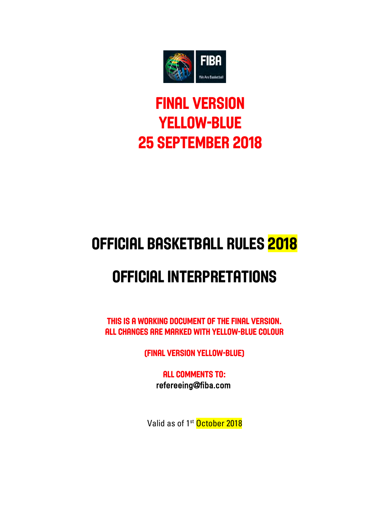

## FINAL version Yellow-BLUE 25 september 2018

# Official Basketball Rules 2018

# Official Interpretations

This is a working document of the final version. All changes are marked with yellow-blue colour

(final version Yellow-Blue)

all comments to: refereeing@fiba.com

Valid as of 1<sup>st</sup> October 2018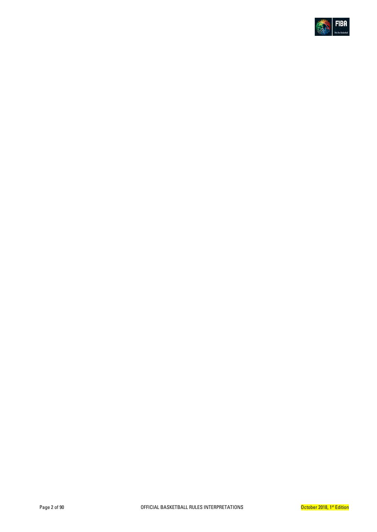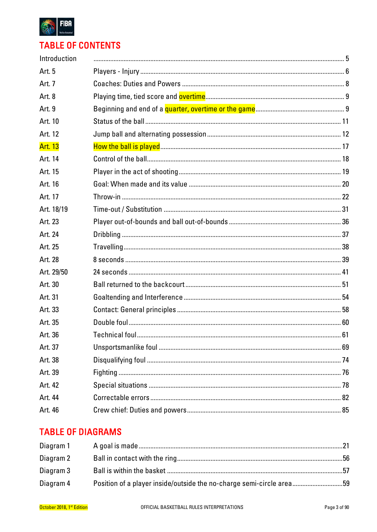

## **TABLE OF CONTENTS**

| Introduction |
|--------------|

| Introduction   |  |
|----------------|--|
| Art. 5         |  |
| Art. 7         |  |
| Art. 8         |  |
| Art. 9         |  |
| Art. 10        |  |
| Art. 12        |  |
| <b>Art. 13</b> |  |
| Art. 14        |  |
| Art. 15        |  |
| Art. 16        |  |
| Art. 17        |  |
| Art. 18/19     |  |
| Art. 23        |  |
| Art. 24        |  |
| Art. 25        |  |
| Art. 28        |  |
| Art. 29/50     |  |
| Art. 30        |  |
| Art. 31        |  |
| Art. 33        |  |
| Art. 35        |  |
| Art. 36        |  |
| Art. 37        |  |
| Art. 38        |  |
| Art. 39        |  |
| Art. 42        |  |
| Art. 44        |  |
| Art. 46        |  |
|                |  |

## **TABLE OF DIAGRAMS**

| Diagram 1 |                                                                      |  |
|-----------|----------------------------------------------------------------------|--|
| Diagram 2 |                                                                      |  |
| Diagram 3 |                                                                      |  |
| Diagram 4 | Position of a player inside/outside the no-charge semi-circle area59 |  |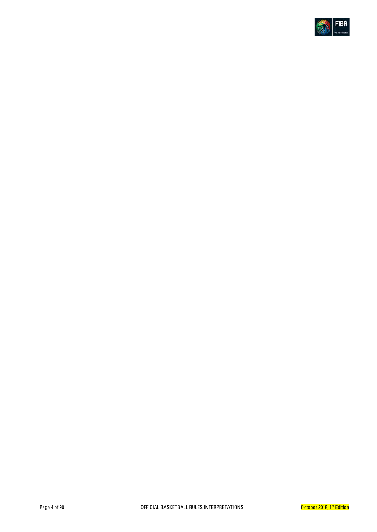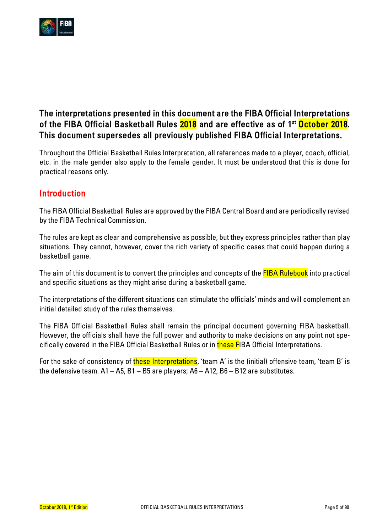

## The interpretations presented in this document are the FIBA Official Interpretations of the FIBA Official Basketball Rules 2018 and are effective as of 1<sup>st</sup> October 2018. This document supersedes all previously published FIBA Official Interpretations.

Throughout the Official Basketball Rules Interpretation, all references made to a player, coach, official, etc. in the male gender also apply to the female gender. It must be understood that this is done for practical reasons only.

## Introduction

The FIBA Official Basketball Rules are approved by the FIBA Central Board and are periodically revised by the FIBA Technical Commission.

The rules are kept as clear and comprehensive as possible, but they express principles rather than play situations. They cannot, however, cover the rich variety of specific cases that could happen during a basketball game.

The aim of this document is to convert the principles and concepts of the **FIBA Rulebook** into practical and specific situations as they might arise during a basketball game.

The interpretations of the different situations can stimulate the officials' minds and will complement an initial detailed study of the rules themselves.

The FIBA Official Basketball Rules shall remain the principal document governing FIBA basketball. However, the officials shall have the full power and authority to make decisions on any point not specifically covered in the FIBA Official Basketball Rules or in **these FIBA Official Interpretations.** 

For the sake of consistency of these Interpretations, 'team A' is the (initial) offensive team, 'team B' is the defensive team.  $A1 - A5$ ,  $B1 - B5$  are players;  $A6 - A12$ ,  $B6 - B12$  are substitutes.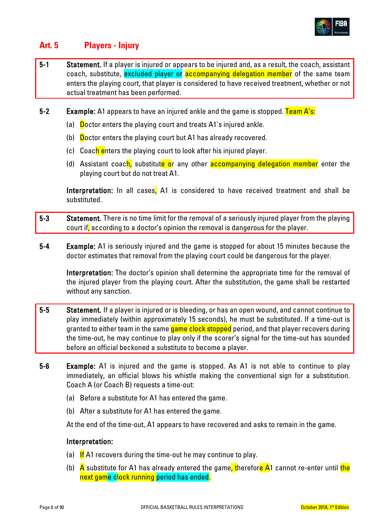

## **Art. 5 Players - Injury**

- 5-1 Statement. If a player is injured or appears to be injured and, as a result, the coach, assistant coach, substitute, excluded player or accompanying delegation member of the same team enters the playing court, that player is considered to have received treatment, whether or not actual treatment has been performed.
- 5-2 Example: A1 appears to have an injured ankle and the game is stopped. Team A's:
	- (a) **D**octor enters the playing court and treats A1's injured ankle.
	- (b) Doctor enters the playing court but A1 has already recovered.
	- (c) Coach enters the playing court to look after his injured player.
	- (d) Assistant coach, substitute or any other **accompanying delegation member** enter the playing court but do not treat A1.

Interpretation: In all cases. A1 is considered to have received treatment and shall be substituted.

- 5-3 Statement. There is no time limit for the removal of a seriously injured player from the playing court if, according to a doctor's opinion the removal is dangerous for the player.
- 5-4 Example: A1 is seriously injured and the game is stopped for about 15 minutes because the doctor estimates that removal from the playing court could be dangerous for the player.

Interpretation: The doctor's opinion shall determine the appropriate time for the removal of the injured player from the playing court. After the substitution, the game shall be restarted without any sanction.

- 5-5 Statement. If a player is injured or is bleeding, or has an open wound, and cannot continue to play immediately (within approximately 15 seconds), he must be substituted. If a time-out is granted to either team in the same game clock stopped period, and that player recovers during the time-out, he may continue to play only if the scorer's signal for the time-out has sounded before an official beckoned a substitute to become a player.
- 5-6 Example: A1 is injured and the game is stopped. As A1 is not able to continue to play immediately, an official blows his whistle making the conventional sign for a substitution. Coach A (or Coach B) requests a time-out:
	- (a) Before a substitute for A1 has entered the game.
	- (b) After a substitute for A1 has entered the game.

At the end of the time-out, A1 appears to have recovered and asks to remain in the game.

#### Interpretation:

- (a) If A1 recovers during the time-out he may continue to play.
- (b)  $\overline{A}$  substitute for A1 has already entered the game, therefore  $\overline{A}$ 1 cannot re-enter until the next game clock running period has ended.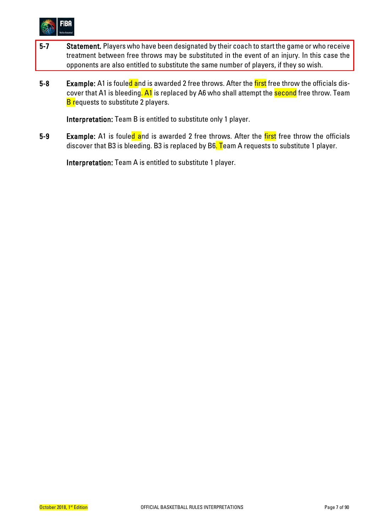

- 5-7 Statement. Players who have been designated by their coach to start the game or who receive treatment between free throws may be substituted in the event of an injury. In this case the opponents are also entitled to substitute the same number of players, if they so wish.
- 5-8 Example: A1 is fouled and is awarded 2 free throws. After the first free throw the officials discover that A1 is bleeding. A1 is replaced by A6 who shall attempt the **second** free throw. Team **B** requests to substitute 2 players.

Interpretation: Team B is entitled to substitute only 1 player.

5-9 **Example:** A1 is fouled and is awarded 2 free throws. After the first free throw the officials discover that B3 is bleeding. B3 is replaced by B6. Team A requests to substitute 1 player.

Interpretation: Team A is entitled to substitute 1 player.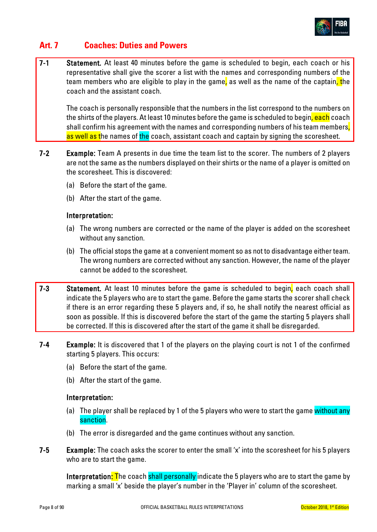

## **Art. 7 Coaches: Duties and Powers**

7-1 Statement. At least 40 minutes before the game is scheduled to begin, each coach or his representative shall give the scorer a list with the names and corresponding numbers of the team members who are eligible to play in the game, as well as the name of the captain, the coach and the assistant coach.

The coach is personally responsible that the numbers in the list correspond to the numbers on the shirts of the players. At least 10 minutes before the game is scheduled to begin, each coach shall confirm his agreement with the names and corresponding numbers of his team members, as well as the names of the coach, assistant coach and captain by signing the scoresheet.

- 7-2 Example: Team A presents in due time the team list to the scorer. The numbers of 2 players are not the same as the numbers displayed on their shirts or the name of a player is omitted on the scoresheet. This is discovered:
	- (a) Before the start of the game.
	- (b) After the start of the game.

#### Interpretation:

- (a) The wrong numbers are corrected or the name of the player is added on the scoresheet without any sanction.
- (b) The official stops the game at a convenient moment so as not to disadvantage either team. The wrong numbers are corrected without any sanction. However, the name of the player cannot be added to the scoresheet.
- 7-3 Statement. At least 10 minutes before the game is scheduled to begin, each coach shall indicate the 5 players who are to start the game. Before the game starts the scorer shall check if there is an error regarding these 5 players and, if so, he shall notify the nearest official as soon as possible. If this is discovered before the start of the game the starting 5 players shall be corrected. If this is discovered after the start of the game it shall be disregarded.
- 7-4 Example: It is discovered that 1 of the players on the playing court is not 1 of the confirmed starting 5 players. This occurs:
	- (a) Before the start of the game.
	- (b) After the start of the game.

#### Interpretation:

- (a) The player shall be replaced by 1 of the 5 players who were to start the game without any sanction.
- (b) The error is disregarded and the game continues without any sanction.
- 7-5 Example: The coach asks the scorer to enter the small 'x' into the scoresheet for his 5 players who are to start the game.

Interpretation: The coach shall personally indicate the 5 players who are to start the game by marking a small 'x' beside the player's number in the 'Player in' column of the scoresheet.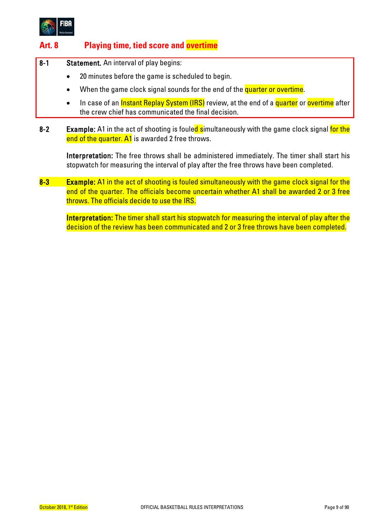

## **Art. 8 Playing time, tied score and overtime**

- 8-1 Statement. An interval of play begins:
	- 20 minutes before the game is scheduled to begin.
	- When the game clock signal sounds for the end of the quarter or overtime.
	- In case of an Instant Replay System (IRS) review, at the end of a quarter or overtime after the crew chief has communicated the final decision.
- 8-2 Example: A1 in the act of shooting is fouled simultaneously with the game clock signal for the end of the quarter. A1 is awarded 2 free throws.

Interpretation: The free throws shall be administered immediately. The timer shall start his stopwatch for measuring the interval of play after the free throws have been completed.

8-3 Example: A1 in the act of shooting is fouled simultaneously with the game clock signal for the end of the quarter. The officials become uncertain whether A1 shall be awarded 2 or 3 free throws. The officials decide to use the IRS.

Interpretation: The timer shall start his stopwatch for measuring the interval of play after the decision of the review has been communicated and 2 or 3 free throws have been completed.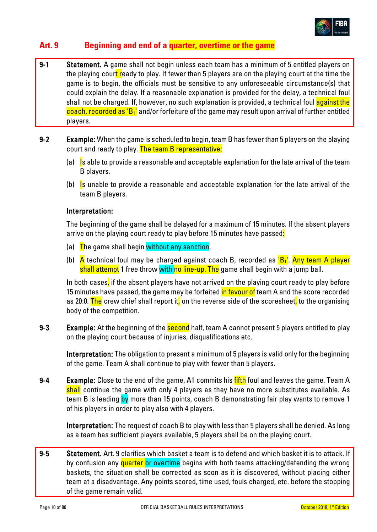

## **Art. 9 Beginning and end of a quarter, overtime or the game**

- 9-1 Statement. A game shall not begin unless each team has a minimum of 5 entitled players on the playing court ready to play. If fewer than 5 players are on the playing court at the time the game is to begin, the officials must be sensitive to any unforeseeable circumstance(s) that could explain the delay. If a reasonable explanation is provided for the delay, a technical foul shall not be charged. If, however, no such explanation is provided, a technical foul against the coach, recorded as 'B<sub>1</sub>' and/or forfeiture of the game may result upon arrival of further entitled players.
- 9-2 Example: When the game is scheduled to begin, team B has fewer than 5 players on the playing court and ready to play. The team B representative:
	- (a)  $\mathbf{I}$ s able to provide a reasonable and acceptable explanation for the late arrival of the team B players.
	- (b) Is unable to provide a reasonable and acceptable explanation for the late arrival of the team B players.

#### Interpretation:

The beginning of the game shall be delayed for a maximum of 15 minutes. If the absent players arrive on the playing court ready to play before 15 minutes have passed:

- (a) The game shall begin without any sanction.
- (b)  $\overline{A}$  technical foul may be charged against coach B, recorded as  $B_1$ <sup>'</sup>. Any team A player shall attempt 1 free throw with no line-up. The game shall begin with a jump ball.

In both cases, if the absent players have not arrived on the playing court ready to play before 15 minutes have passed, the game may be forfeited in favour of team A and the score recorded as 20:0. The crew chief shall report it, on the reverse side of the scoresheet, to the organising body of the competition.

**9-3** Example: At the beginning of the **second** half, team A cannot present 5 players entitled to play on the playing court because of injuries, disqualifications etc.

Interpretation: The obligation to present a minimum of 5 players is valid only for the beginning of the game. Team A shall continue to play with fewer than 5 players.

9-4 Example: Close to the end of the game, A1 commits his fifth foul and leaves the game. Team A shall continue the game with only 4 players as they have no more substitutes available. As team B is leading by more than 15 points, coach B demonstrating fair play wants to remove 1 of his players in order to play also with 4 players.

Interpretation: The request of coach B to play with less than 5 players shall be denied. As long as a team has sufficient players available, 5 players shall be on the playing court.

9-5 Statement. Art. 9 clarifies which basket a team is to defend and which basket it is to attack. If by confusion any quarter or overtime begins with both teams attacking/defending the wrong baskets, the situation shall be corrected as soon as it is discovered, without placing either team at a disadvantage. Any points scored, time used, fouls charged, etc. before the stopping of the game remain valid.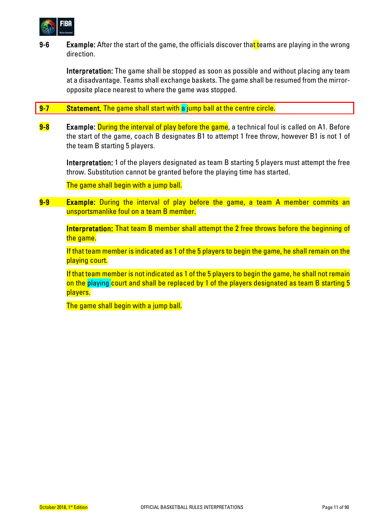

9-6 Example: After the start of the game, the officials discover that teams are playing in the wrong direction.

Interpretation: The game shall be stopped as soon as possible and without placing any team at a disadvantage. Teams shall exchange baskets. The game shall be resumed from the mirroropposite place nearest to where the game was stopped.

#### 9-7 Statement. The game shall start with a jump ball at the centre circle.

9-8 Example: During the interval of play before the game, a technical foul is called on A1. Before the start of the game, coach B designates B1 to attempt 1 free throw, however B1 is not 1 of the team B starting 5 players.

Interpretation: 1 of the players designated as team B starting 5 players must attempt the free throw. Substitution cannot be granted before the playing time has started.

The game shall begin with a jump ball.

9-9 **Example:** During the interval of play before the game, a team A member commits an unsportsmanlike foul on a team B member.

Interpretation: That team B member shall attempt the 2 free throws before the beginning of the game.

If that team member is indicated as 1 of the 5 players to begin the game, he shall remain on the playing court.

If that team member is not indicated as 1 of the 5 players to begin the game, he shall not remain on the playing court and shall be replaced by 1 of the players designated as team B starting 5 players.

The game shall begin with a jump ball.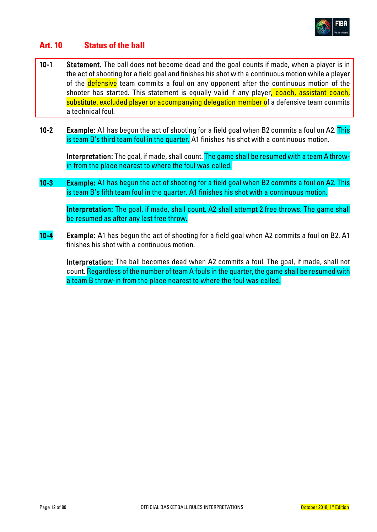

## **Art. 10 Status of the ball**

- 10-1 Statement. The ball does not become dead and the goal counts if made, when a player is in the act of shooting for a field goal and finishes his shot with a continuous motion while a player of the **defensive** team commits a foul on any opponent after the continuous motion of the shooter has started. This statement is equally valid if any player, coach, assistant coach, substitute, excluded player or accompanying delegation member of a defensive team commits a technical foul.
- 10-2 Example: A1 has begun the act of shooting for a field goal when B2 commits a foul on A2. This is team B's third team foul in the quarter. A1 finishes his shot with a continuous motion.

Interpretation: The goal, if made, shall count. The game shall be resumed with a team A throwin from the place nearest to where the foul was called.

10-3 Example: A1 has begun the act of shooting for a field goal when B2 commits a foul on A2. This is team B's fifth team foul in the quarter. A1 finishes his shot with a continuous motion.

Interpretation: The goal, if made, shall count. A2 shall attempt 2 free throws. The game shall be resumed as after any last free throw.

10-4 Example: A1 has begun the act of shooting for a field goal when A2 commits a foul on B2. A1 finishes his shot with a continuous motion.

Interpretation: The ball becomes dead when A2 commits a foul. The goal, if made, shall not count. Regardless of the number of team A fouls in the quarter, the game shall be resumed with a team B throw-in from the place nearest to where the foul was called.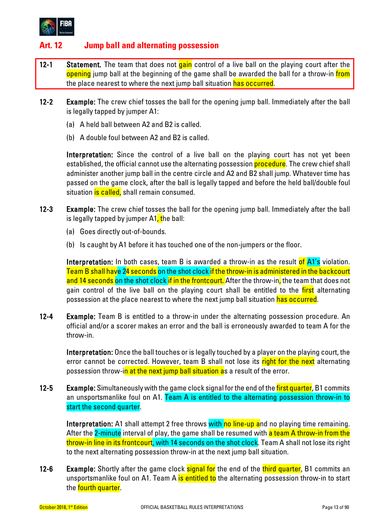

## **Art. 12 Jump ball and alternating possession**

- 12-1 Statement. The team that does not gain control of a live ball on the playing court after the opening jump ball at the beginning of the game shall be awarded the ball for a throw-in from the place nearest to where the next jump ball situation has occurred.
- 12-2 Example: The crew chief tosses the ball for the opening jump ball. Immediately after the ball is legally tapped by jumper A1:
	- (a) A held ball between A2 and B2 is called.
	- (b) A double foul between A2 and B2 is called.

Interpretation: Since the control of a live ball on the playing court has not yet been established, the official cannot use the alternating possession **procedure**. The crew chief shall administer another jump ball in the centre circle and A2 and B2 shall jump. Whatever time has passed on the game clock, after the ball is legally tapped and before the held ball/double foul situation is called, shall remain consumed.

- 12-3 Example: The crew chief tosses the ball for the opening jump ball. Immediately after the ball is legally tapped by jumper A1, the ball:
	- (a) Goes directly out-of-bounds.
	- (b) Is caught by A1 before it has touched one of the non-jumpers or the floor.

Interpretation: In both cases, team B is awarded a throw-in as the result of A1's violation. Team B shall have 24 seconds on the shot clock if the throw-in is administered in the backcourt and 14 seconds on the shot clock if in the frontcourt. After the throw-in, the team that does not gain control of the live ball on the playing court shall be entitled to the first alternating possession at the place nearest to where the next jump ball situation has occurred.

12-4 Example: Team B is entitled to a throw-in under the alternating possession procedure. An official and/or a scorer makes an error and the ball is erroneously awarded to team A for the throw-in.

Interpretation: Once the ball touches or is legally touched by a player on the playing court, the error cannot be corrected. However, team B shall not lose its right for the next alternating possession throw-in at the next jump ball situation as a result of the error.

12-5 Example: Simultaneously with the game clock signal for the end of the first quarter, B1 commits an unsportsmanlike foul on A1. Team A is entitled to the alternating possession throw-in to start the second quarter.

Interpretation: A1 shall attempt 2 free throws with no line-up and no playing time remaining. After the 2-minute interval of play, the game shall be resumed with a team A throw-in from the throw-in line in its frontcourt, with 14 seconds on the shot clock. Team A shall not lose its right to the next alternating possession throw-in at the next jump ball situation.

12-6 Example: Shortly after the game clock signal for the end of the third quarter, B1 commits an unsportsmanlike foul on A1. Team A is entitled to the alternating possession throw-in to start the **fourth quarter**.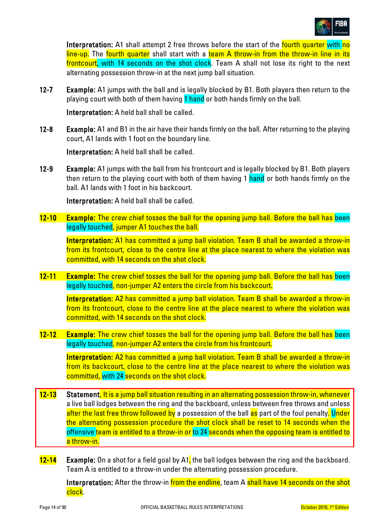

Interpretation: A1 shall attempt 2 free throws before the start of the fourth quarter with no line-up. The fourth quarter shall start with a team A throw-in from the throw-in line in its frontcourt, with 14 seconds on the shot clock. Team A shall not lose its right to the next alternating possession throw-in at the next jump ball situation.

12-7 Example: A1 jumps with the ball and is legally blocked by B1. Both players then return to the playing court with both of them having 1 hand or both hands firmly on the ball.

Interpretation: A held ball shall be called.

12-8 Example: A1 and B1 in the air have their hands firmly on the ball. After returning to the playing court, A1 lands with 1 foot on the boundary line.

Interpretation: A held ball shall be called.

12-9 Example: A1 jumps with the ball from his frontcourt and is legally blocked by B1. Both players then return to the playing court with both of them having 1 hand or both hands firmly on the ball. A1 lands with 1 foot in his backcourt.

Interpretation: A held ball shall be called.

12-10 Example: The crew chief tosses the ball for the opening jump ball. Before the ball has been legally touched, jumper A1 touches the ball.

Interpretation: A1 has committed a jump ball violation. Team B shall be awarded a throw-in from its frontcourt, close to the centre line at the place nearest to where the violation was committed, with 14 seconds on the shot clock.

12-11 Example: The crew chief tosses the ball for the opening jump ball. Before the ball has been legally touched, non-jumper A2 enters the circle from his backcourt.

Interpretation: A2 has committed a jump ball violation. Team B shall be awarded a throw-in from its frontcourt, close to the centre line at the place nearest to where the violation was committed, with 14 seconds on the shot clock.

12-12 Example: The crew chief tosses the ball for the opening jump ball. Before the ball has been legally touched, non-jumper A2 enters the circle from his frontcourt.

Interpretation: A2 has committed a jump ball violation. Team B shall be awarded a throw-in from its backcourt, close to the centre line at the place nearest to where the violation was committed, with 24 seconds on the shot clock.

- 12-13 Statement. It is a jump ball situation resulting in an alternating possession throw-in, whenever a live ball lodges between the ring and the backboard, unless between free throws and unless after the last free throw followed by a possession of the ball as part of the foul penalty. Under the alternating possession procedure the shot clock shall be reset to 14 seconds when the offensive team is entitled to a throw-in or to 24 seconds when the opposing team is entitled to a throw-in.
- 12-14 Example: On a shot for a field goal by A1, the ball lodges between the ring and the backboard. Team A is entitled to a throw-in under the alternating possession procedure.

Interpretation: After the throw-in from the endline, team A shall have 14 seconds on the shot clock.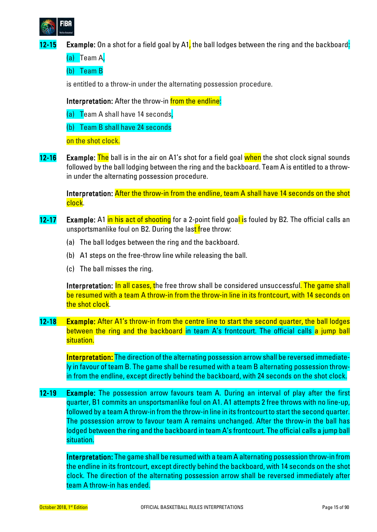

- 12-15 Example: On a shot for a field goal by A1, the ball lodges between the ring and the backboard:
	- (a) Team A,
	- (b) Team B

is entitled to a throw-in under the alternating possession procedure.

### Interpretation: After the throw-in from the endline:

- (a) Team A shall have 14 seconds,
- (b) Team B shall have 24 seconds

on the shot clock.

12-16 Example: The ball is in the air on A1's shot for a field goal when the shot clock signal sounds followed by the ball lodging between the ring and the backboard. Team A is entitled to a throwin under the alternating possession procedure.

Interpretation: After the throw-in from the endline, team A shall have 14 seconds on the shot clock.

- 12-17 Example: A1 in his act of shooting for a 2-point field goal is fouled by B2. The official calls an unsportsmanlike foul on B2. During the last free throw:
	- (a) The ball lodges between the ring and the backboard.
	- (b) A1 steps on the free-throw line while releasing the ball.
	- (c) The ball misses the ring.

Interpretation: In all cases, the free throw shall be considered unsuccessful. The game shall be resumed with a team A throw-in from the throw-in line in its frontcourt, with 14 seconds on the shot clock.

12-18 Example: After A1's throw-in from the centre line to start the second quarter, the ball lodges between the ring and the backboard in team A's frontcourt. The official calls a jump ball situation.

Interpretation: The direction of the alternating possession arrow shall be reversed immediately in favour of team B. The game shall be resumed with a team B alternating possession throwin from the endline, except directly behind the backboard, with 24 seconds on the shot clock.

12-19 Example: The possession arrow favours team A. During an interval of play after the first quarter, B1 commits an unsportsmanlike foul on A1. A1 attempts 2 free throws with no line-up, followed by a team A throw-in from the throw-in line in its frontcourt to start the second quarter. The possession arrow to favour team A remains unchanged. After the throw-in the ball has lodged between the ring and the backboard in team A's frontcourt. The official calls a jump ball situation.

Interpretation: The game shall be resumed with a team A alternating possession throw-in from the endline in its frontcourt, except directly behind the backboard, with 14 seconds on the shot clock. The direction of the alternating possession arrow shall be reversed immediately after team A throw-in has ended.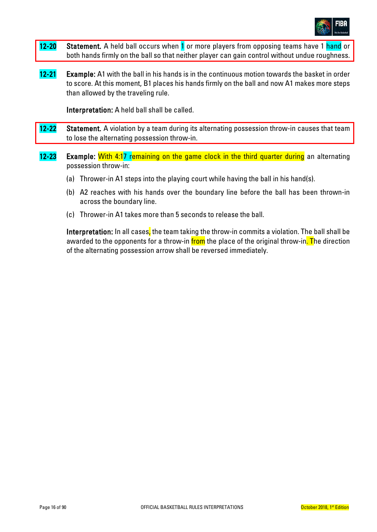

- 12-20 Statement. A held ball occurs when 1 or more players from opposing teams have 1 hand or both hands firmly on the ball so that neither player can gain control without undue roughness.
- 12-21 Example: A1 with the ball in his hands is in the continuous motion towards the basket in order to score. At this moment, B1 places his hands firmly on the ball and now A1 makes more steps than allowed by the traveling rule.

Interpretation: A held ball shall be called.

- **12-22** Statement. A violation by a team during its alternating possession throw-in causes that team to lose the alternating possession throw-in.
- 12-23 Example: With 4:17 remaining on the game clock in the third quarter during an alternating possession throw-in:
	- (a) Thrower-in A1 steps into the playing court while having the ball in his hand(s).
	- (b) A2 reaches with his hands over the boundary line before the ball has been thrown-in across the boundary line.
	- (c) Thrower-in A1 takes more than 5 seconds to release the ball.

Interpretation: In all cases, the team taking the throw-in commits a violation. The ball shall be awarded to the opponents for a throw-in from the place of the original throw-in. The direction of the alternating possession arrow shall be reversed immediately.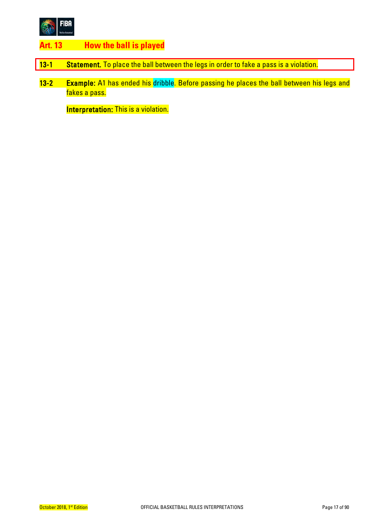

**Art. 13 How the ball is played**

- 13-1 Statement. To place the ball between the legs in order to fake a pass is a violation.
- 13-2 Example: A1 has ended his dribble. Before passing he places the ball between his legs and fakes a pass.

**Interpretation: This is a violation.**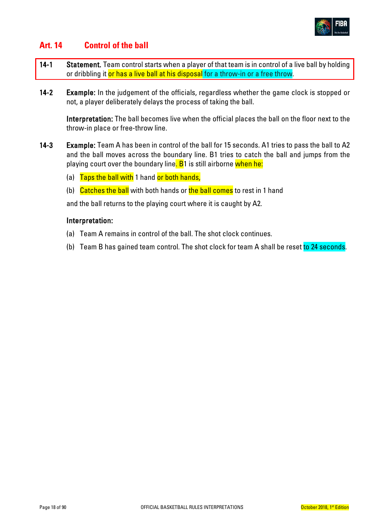

## **Art. 14 Control of the ball**

- 14-1 Statement. Team control starts when a player of that team is in control of a live ball by holding or dribbling it or has a live ball at his disposal for a throw-in or a free throw.
- 14-2 Example: In the judgement of the officials, regardless whether the game clock is stopped or not, a player deliberately delays the process of taking the ball.

Interpretation: The ball becomes live when the official places the ball on the floor next to the throw-in place or free-throw line.

- 14-3 Example: Team A has been in control of the ball for 15 seconds. A1 tries to pass the ball to A2 and the ball moves across the boundary line. B1 tries to catch the ball and jumps from the playing court over the boundary line. B1 is still airborne when he:
	- (a) Taps the ball with 1 hand or both hands,
	- (b) Catches the ball with both hands or the ball comes to rest in 1 hand

and the ball returns to the playing court where it is caught by A2.

#### Interpretation:

- (a) Team A remains in control of the ball. The shot clock continues.
- (b) Team B has gained team control. The shot clock for team A shall be reset to 24 seconds.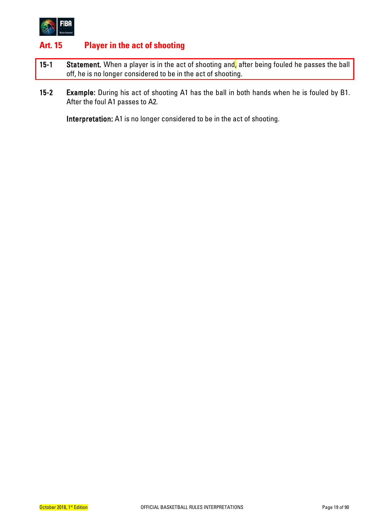

## **Art. 15 Player in the act of shooting**

- 15-1 Statement. When a player is in the act of shooting and, after being fouled he passes the ball off, he is no longer considered to be in the act of shooting.
- 15-2 Example: During his act of shooting A1 has the ball in both hands when he is fouled by B1. After the foul A1 passes to A2.

Interpretation: A1 is no longer considered to be in the act of shooting.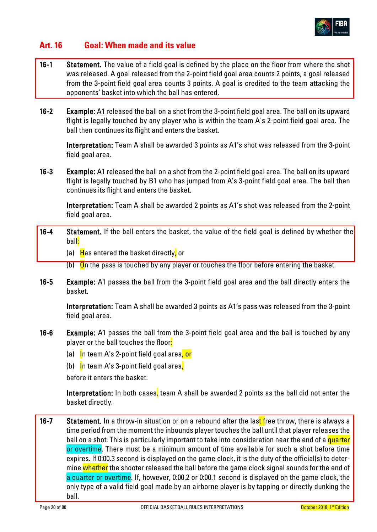

## **Art. 16 Goal: When made and its value**

- 16-1 Statement. The value of a field goal is defined by the place on the floor from where the shot was released. A goal released from the 2-point field goal area counts 2 points, a goal released from the 3-point field goal area counts 3 points. A goal is credited to the team attacking the opponents' basket into which the ball has entered.
- 16-2 Example: A1 released the ball on a shot from the 3-point field goal area. The ball on its upward flight is legally touched by any player who is within the team A's 2-point field goal area. The ball then continues its flight and enters the basket.

Interpretation: Team A shall be awarded 3 points as A1's shot was released from the 3-point field goal area.

16-3 Example: A1 released the ball on a shot from the 2-point field goal area. The ball on its upward flight is legally touched by B1 who has jumped from A's 3-point field goal area. The ball then continues its flight and enters the basket.

Interpretation: Team A shall be awarded 2 points as A1's shot was released from the 2-point field goal area.

- 16-4 Statement. If the ball enters the basket, the value of the field goal is defined by whether the ball:
	- (a)  $H$ as entered the basket directly, or
	- (b) On the pass is touched by any player or touches the floor before entering the basket.
- 16-5 Example: A1 passes the ball from the 3-point field goal area and the ball directly enters the basket.

Interpretation: Team A shall be awarded 3 points as A1's pass was released from the 3-point field goal area.

- 16-6 Example: A1 passes the ball from the 3-point field goal area and the ball is touched by any player or the ball touches the floor:
	- (a) In team A's 2-point field goal area, or
	- (b) In team A's 3-point field goal area,

before it enters the basket.

Interpretation: In both cases, team A shall be awarded 2 points as the ball did not enter the basket directly.

16-7 Statement. In a throw-in situation or on a rebound after the last free throw, there is always a time period from the moment the inbounds player touches the ball until that player releases the ball on a shot. This is particularly important to take into consideration near the end of a quarter or overtime. There must be a minimum amount of time available for such a shot before time expires. If 0:00.3 second is displayed on the game clock, it is the duty of the official(s) to determine whether the shooter released the ball before the game clock signal sounds for the end of a quarter or overtime. If, however, 0:00.2 or 0:00.1 second is displayed on the game clock, the only type of a valid field goal made by an airborne player is by tapping or directly dunking the ball.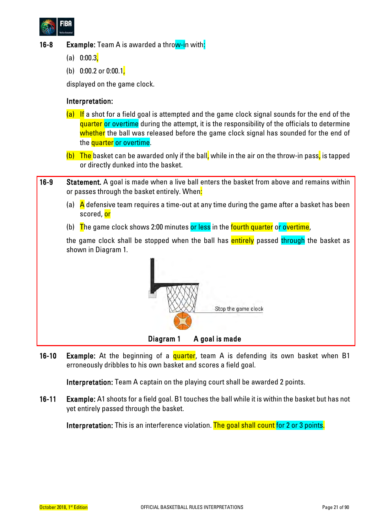

- 16-8 Example: Team A is awarded a throw-in with:
	- (a)  $0:00.3$
	- (b)  $0.00.2$  or  $0.00.1$ ,

displayed on the game clock.

### Interpretation:

- (a) If a shot for a field goal is attempted and the game clock signal sounds for the end of the **quarter or overtime** during the attempt, it is the responsibility of the officials to determine whether the ball was released before the game clock signal has sounded for the end of the **quarter** or overtime.
- $(b)$  The basket can be awarded only if the ball, while in the air on the throw-in pass, is tapped or directly dunked into the basket.
- 16-9 Statement. A goal is made when a live ball enters the basket from above and remains within or passes through the basket entirely. When:
	- (a)  $\overline{A}$  defensive team requires a time-out at any time during the game after a basket has been scored, or
	- (b) The game clock shows 2:00 minutes or less in the fourth quarter or overtime,

the game clock shall be stopped when the ball has **entirely** passed through the basket as shown in Diagram 1.



<span id="page-20-0"></span>16-10 Example: At the beginning of a quarter, team A is defending its own basket when B1 erroneously dribbles to his own basket and scores a field goal.

Interpretation: Team A captain on the playing court shall be awarded 2 points.

16-11 Example: A1 shoots for a field goal. B1 touches the ball while it is within the basket but has not yet entirely passed through the basket.

Interpretation: This is an interference violation. The goal shall count for 2 or 3 points.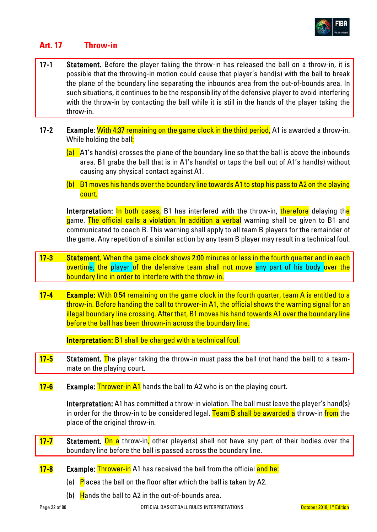

## **Art. 17 Throw-in**

- 17-1 Statement. Before the player taking the throw-in has released the ball on a throw-in, it is possible that the throwing-in motion could cause that player's hand(s) with the ball to break the plane of the boundary line separating the inbounds area from the out-of-bounds area. In such situations, it continues to be the responsibility of the defensive player to avoid interfering with the throw-in by contacting the ball while it is still in the hands of the player taking the throw-in.
- 17-2 Example: With 4:37 remaining on the game clock in the third period, A1 is awarded a throw-in. While holding the ball:
	- $(a)$  A1's hand(s) crosses the plane of the boundary line so that the ball is above the inbounds area. B1 grabs the ball that is in A1's hand(s) or taps the ball out of A1's hand(s) without causing any physical contact against A1.
	- (b) B1 moves his hands over the boundary line towards A1 to stop his pass to A2 on the playing court.

Interpretation: In both cases, B1 has interfered with the throw-in, therefore delaying the game. The official calls a violation. In addition a verbal warning shall be given to B1 and communicated to coach B. This warning shall apply to all team B players for the remainder of the game. Any repetition of a similar action by any team B player may result in a technical foul.

- 17-3 Statement. When the game clock shows 2:00 minutes or less in the fourth quarter and in each overtime, the player of the defensive team shall not move any part of his body over the boundary line in order to interfere with the throw-in.
- 17-4 Example: With 0:54 remaining on the game clock in the fourth quarter, team A is entitled to a throw-in. Before handing the ball to thrower-in A1, the official shows the warning signal for an illegal boundary line crossing. After that, B1 moves his hand towards A1 over the boundary line before the ball has been thrown-in across the boundary line.

Interpretation: B1 shall be charged with a technical foul.

- 17-5 Statement. The player taking the throw-in must pass the ball (not hand the ball) to a teammate on the playing court.
- **17-6** Example: Thrower-in A1 hands the ball to A2 who is on the playing court.

Interpretation: A1 has committed a throw-in violation. The ball must leave the player's hand(s) in order for the throw-in to be considered legal. Team B shall be awarded a throw-in from the place of the original throw-in.

- 17-7 Statement. On a throw-in, other player(s) shall not have any part of their bodies over the boundary line before the ball is passed across the boundary line.
- 17-8 Example: Thrower-in A1 has received the ball from the official and he:
	- (a) Places the ball on the floor after which the ball is taken by A2.
	- (b)  $H$ ands the ball to A2 in the out-of-bounds area.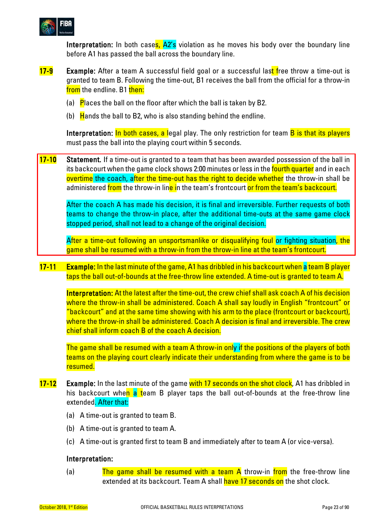

Interpretation: In both cases, A2's violation as he moves his body over the boundary line before A1 has passed the ball across the boundary line.

- 17-9 Example: After a team A successful field goal or a successful last free throw a time-out is granted to team B. Following the time-out, B1 receives the ball from the official for a throw-in from the endline. B1 then:
	- (a) Places the ball on the floor after which the ball is taken by B2.
	- (b) Hands the ball to B2, who is also standing behind the endline.

Interpretation: In both cases, a legal play. The only restriction for team B is that its players must pass the ball into the playing court within 5 seconds.

17-10 Statement. If a time-out is granted to a team that has been awarded possession of the ball in its backcourt when the game clock shows 2:00 minutes or less in the fourth quarter and in each overtime the coach, after the time-out has the right to decide whether the throw-in shall be administered from the throw-in line in the team's frontcourt or from the team's backcourt.

After the coach A has made his decision, it is final and irreversible. Further requests of both teams to change the throw-in place, after the additional time-outs at the same game clock stopped period, shall not lead to a change of the original decision.

After a time-out following an unsportsmanlike or disqualifying foul or fighting situation, the game shall be resumed with a throw-in from the throw-in line at the team's frontcourt.

17-11 Example: In the last minute of the game, A1 has dribbled in his backcourt when a team B player taps the ball out-of-bounds at the free-throw line extended. A time-out is granted to team A.

Interpretation: At the latest after the time-out, the crew chief shall ask coach A of his decision where the throw-in shall be administered. Coach A shall say loudly in English "frontcourt" or "backcourt" and at the same time showing with his arm to the place (frontcourt or backcourt), where the throw-in shall be administered. Coach A decision is final and irreversible. The crew chief shall inform coach B of the coach A decision.

The game shall be resumed with a team A throw-in only if the positions of the players of both teams on the playing court clearly indicate their understanding from where the game is to be resumed.

- 17-12 Example: In the last minute of the game with 17 seconds on the shot clock, A1 has dribbled in his backcourt when a team B player taps the ball out-of-bounds at the free-throw line extended. After that:
	- (a) A time-out is granted to team B.
	- (b) A time-out is granted to team A.
	- (c) A time-out is granted first to team B and immediately after to team A (or vice-versa).

#### Interpretation:

(a) **The game shall be resumed with a team A** throw-in from the free-throw line extended at its backcourt. Team A shall have 17 seconds on the shot clock.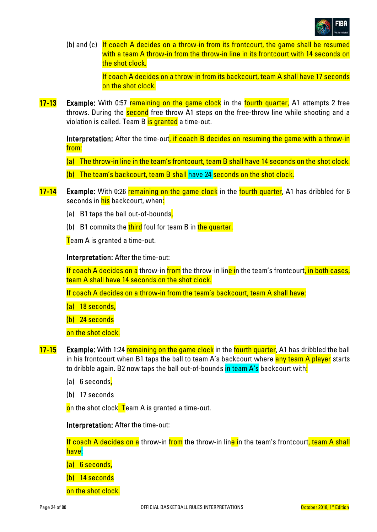

(b) and (c) If coach A decides on a throw-in from its frontcourt, the game shall be resumed with a team A throw-in from the throw-in line in its frontcourt with 14 seconds on the shot clock.

> If coach A decides on a throw-in from its backcourt, team A shall have 17 seconds on the shot clock.

17-13 Example: With 0:57 remaining on the game clock in the fourth quarter, A1 attempts 2 free throws. During the **second** free throw A1 steps on the free-throw line while shooting and a violation is called. Team B is granted a time-out.

Interpretation: After the time-out, if coach B decides on resuming the game with a throw-in from:

- (a) The throw-in line in the team's frontcourt, team B shall have 14 seconds on the shot clock.
- (b) The team's backcourt, team B shall have 24 seconds on the shot clock.
- 17-14 Example: With 0:26 remaining on the game clock in the fourth quarter, A1 has dribbled for 6 seconds in his backcourt, when:
	- (a) B1 taps the ball out-of-bounds,
	- (b) B1 commits the **third** foul for team B in the quarter.

**Team A** is granted a time-out.

Interpretation: After the time-out:

If coach A decides on a throw-in from the throw-in line in the team's frontcourt, in both cases, team A shall have 14 seconds on the shot clock.

If coach A decides on a throw-in from the team's backcourt, team A shall have:

(a) 18 seconds,

(b) 24 seconds

on the shot clock.

- 17-15 Example: With 1:24 remaining on the game clock in the fourth quarter, A1 has dribbled the ball in his frontcourt when B1 taps the ball to team A's backcourt where any team A player starts to dribble again. B2 now taps the ball out-of-bounds in team A's backcourt with:
	- (a) 6 seconds.
	- (b) 17 seconds

on the shot clock. Team A is granted a time-out.

Interpretation: After the time-out:

If coach A decides on a throw-in from the throw-in line in the team's frontcourt, team A shall have:

- (a) 6 seconds,
- (b) 14 seconds
- on the shot clock.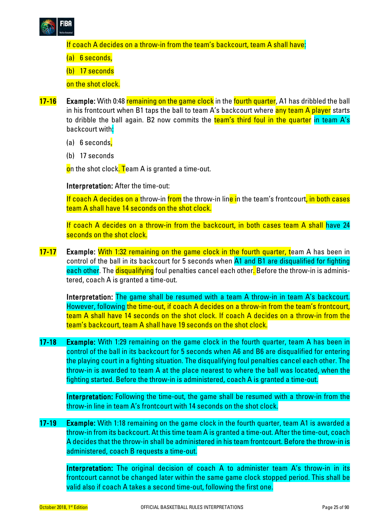

If coach A decides on a throw-in from the team's backcourt, team A shall have:

- (a) 6 seconds,
- (b) 17 seconds
- on the shot clock.
- 17-16 Example: With 0:48 remaining on the game clock in the fourth quarter, A1 has dribbled the ball in his frontcourt when B1 taps the ball to team A's backcourt where any team A player starts to dribble the ball again. B2 now commits the team's third foul in the quarter in team A's backcourt with:
	- (a) 6 seconds.
	- (b) 17 seconds

on the shot clock. Team A is granted a time-out.

#### Interpretation: After the time-out:

If coach A decides on a throw-in from the throw-in line in the team's frontcourt, in both cases team A shall have 14 seconds on the shot clock.

If coach A decides on a throw-in from the backcourt, in both cases team A shall have 24 seconds on the shot clock.

17-17 Example: With 1:32 remaining on the game clock in the fourth quarter, team A has been in control of the ball in its backcourt for 5 seconds when A1 and B1 are disqualified for fighting each other. The disqualifying foul penalties cancel each other. Before the throw-in is administered, coach A is granted a time-out.

Interpretation: The game shall be resumed with a team A throw-in in team A's backcourt. However, following the time-out, if coach A decides on a throw-in from the team's frontcourt, team A shall have 14 seconds on the shot clock. If coach A decides on a throw-in from the team's backcourt, team A shall have 19 seconds on the shot clock.

17-18 Example: With 1:29 remaining on the game clock in the fourth quarter, team A has been in control of the ball in its backcourt for 5 seconds when A6 and B6 are disqualified for entering the playing court in a fighting situation. The disqualifying foul penalties cancel each other. The throw-in is awarded to team A at the place nearest to where the ball was located, when the fighting started. Before the throw-in is administered, coach A is granted a time-out.

Interpretation: Following the time-out, the game shall be resumed with a throw-in from the throw-in line in team A's frontcourt with 14 seconds on the shot clock.

17-19 Example: With 1:18 remaining on the game clock in the fourth quarter, team A1 is awarded a throw-in from its backcourt. At this time team A is granted a time-out. After the time-out, coach A decides that the throw-in shall be administered in his team frontcourt. Before the throw-in is administered, coach B requests a time-out.

Interpretation: The original decision of coach A to administer team A's throw-in in its frontcourt cannot be changed later within the same game clock stopped period. This shall be valid also if coach A takes a second time-out, following the first one.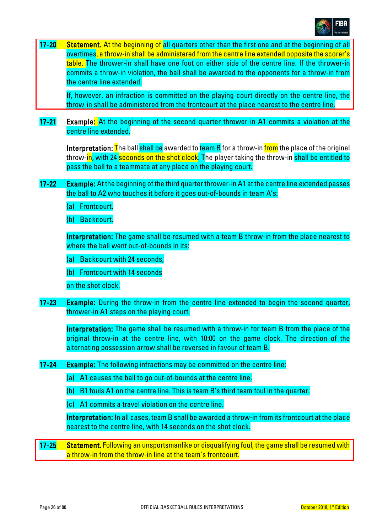

17-20 Statement. At the beginning of all quarters other than the first one and at the beginning of all overtimes, a throw-in shall be administered from the centre line extended opposite the scorer's table. The thrower-in shall have one foot on either side of the centre line. If the thrower-in commits a throw-in violation, the ball shall be awarded to the opponents for a throw-in from the centre line extended.

If, however, an infraction is committed on the playing court directly on the centre line, the throw-in shall be administered from the frontcourt at the place nearest to the centre line.

17-21 Example: At the beginning of the second quarter thrower-in A1 commits a violation at the centre line extended.

Interpretation: The ball shall be awarded to team B for a throw-in from the place of the original throw-in, with 24 seconds on the shot clock. The player taking the throw-in shall be entitled to pass the ball to a teammate at any place on the playing court.

- 17-22 Example: At the beginning of the third quarter thrower-in A1 at the centre line extended passes the ball to A2 who touches it before it goes out-of-bounds in team A's:
	- (a) Frontcourt.
	- (b) Backcourt.

Interpretation: The game shall be resumed with a team B throw-in from the place nearest to where the ball went out-of-bounds in its:

- (a) Backcourt with 24 seconds,
- (b) Frontcourt with 14 seconds

on the shot clock.

17-23 Example: During the throw-in from the centre line extended to begin the second quarter, thrower-in A1 steps on the playing court.

Interpretation: The game shall be resumed with a throw-in for team B from the place of the original throw-in at the centre line, with 10:00 on the game clock. The direction of the alternating possession arrow shall be reversed in favour of team B.

- 17-24 Example: The following infractions may be committed on the centre line:
	- (a) A1 causes the ball to go out-of-bounds at the centre line.
	- (b) B1 fouls A1 on the centre line. This is team B's third team foul in the quarter.
	- (c) A1 commits a travel violation on the centre line.

Interpretation: In all cases, team B shall be awarded a throw-in from its frontcourt at the place nearest to the centre line, with 14 seconds on the shot clock.

17-25 Statement. Following an unsportsmanlike or disqualifying foul, the game shall be resumed with a throw-in from the throw-in line at the team's frontcourt.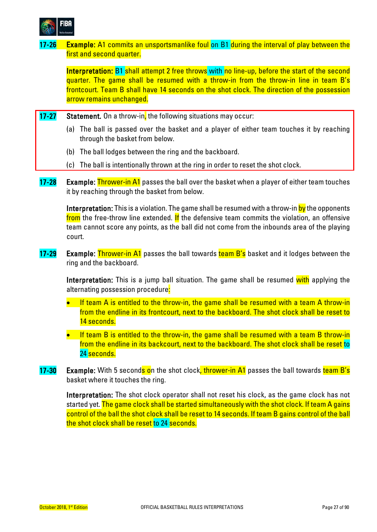

17-26 Example: A1 commits an unsportsmanlike foul on B1 during the interval of play between the first and second quarter.

Interpretation: B1 shall attempt 2 free throws with no line-up, before the start of the second quarter. The game shall be resumed with a throw-in from the throw-in line in team B's frontcourt. Team B shall have 14 seconds on the shot clock. The direction of the possession arrow remains unchanged.

17-27 Statement. On a throw-in, the following situations may occur:

- (a) The ball is passed over the basket and a player of either team touches it by reaching through the basket from below.
- (b) The ball lodges between the ring and the backboard.
- (c) The ball is intentionally thrown at the ring in order to reset the shot clock.
- 17-28 Example: Thrower-in A1 passes the ball over the basket when a player of either team touches it by reaching through the basket from below.

Interpretation: This is a violation. The game shall be resumed with a throw-in by the opponents from the free-throw line extended. If the defensive team commits the violation, an offensive team cannot score any points, as the ball did not come from the inbounds area of the playing court.

17-29 Example: Thrower-in A1 passes the ball towards team B's basket and it lodges between the ring and the backboard.

**Interpretation:** This is a jump ball situation. The game shall be resumed with applying the alternating possession procedure:

- If team A is entitled to the throw-in, the game shall be resumed with a team A throw-in from the endline in its frontcourt, next to the backboard. The shot clock shall be reset to 14 seconds.
- If team B is entitled to the throw-in, the game shall be resumed with a team B throw-in from the endline in its backcourt, next to the backboard. The shot clock shall be reset to 24 seconds.
- 17-30 Example: With 5 seconds on the shot clock, thrower-in A1 passes the ball towards team B's basket where it touches the ring.

Interpretation: The shot clock operator shall not reset his clock, as the game clock has not started yet. The game clock shall be started simultaneously with the shot clock. If team A gains control of the ball the shot clock shall be reset to 14 seconds. If team B gains control of the ball the shot clock shall be reset to 24 seconds.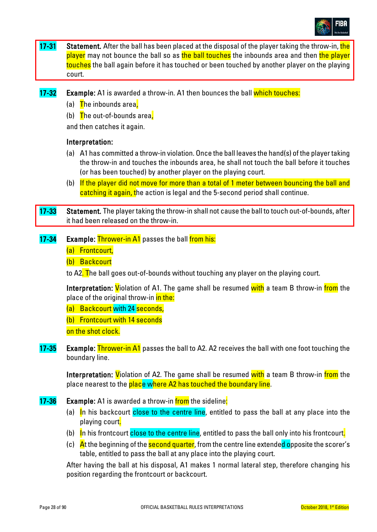

17-31 Statement. After the ball has been placed at the disposal of the player taking the throw-in, the player may not bounce the ball so as the ball touches the inbounds area and then the player touches the ball again before it has touched or been touched by another player on the playing court.

17-32 Example: A1 is awarded a throw-in. A1 then bounces the ball which touches:

- (a) The inbounds area,
- (b) The out-of-bounds area,

and then catches it again.

#### Interpretation:

- (a) A1 has committed a throw-in violation. Once the ball leaves the hand(s) of the player taking the throw-in and touches the inbounds area, he shall not touch the ball before it touches (or has been touched) by another player on the playing court.
- (b) If the player did not move for more than a total of 1 meter between bouncing the ball and catching it again, the action is legal and the 5-second period shall continue.
- 17-33 Statement. The player taking the throw-in shall not cause the ball to touch out-of-bounds, after it had been released on the throw-in.
- 17-34 Example: Thrower-in A1 passes the ball from his:
	- (a) Frontcourt,
	- (b) Backcourt

to A2. The ball goes out-of-bounds without touching any player on the playing court.

Interpretation: Violation of A1. The game shall be resumed with a team B throw-in from the place of the original throw-in in the:

(a) Backcourt with 24 seconds,

(b) Frontcourt with 14 seconds

on the shot clock.

17-35 Example: Thrower-in A1 passes the ball to A2. A2 receives the ball with one foot touching the boundary line.

Interpretation: Violation of A2. The game shall be resumed with a team B throw-in from the place nearest to the **place where A2 has touched the boundary line**.

**17-36** Example: A1 is awarded a throw-in **from** the sideline:

- (a) In his backcourt close to the centre line, entitled to pass the ball at any place into the playing court.
- (b) In his frontcourt close to the centre line, entitled to pass the ball only into his frontcourt.
- (c)  $\overline{A}$ t the beginning of the **second quarter**, from the centre line extended opposite the scorer's table, entitled to pass the ball at any place into the playing court.

After having the ball at his disposal, A1 makes 1 normal lateral step, therefore changing his position regarding the frontcourt or backcourt.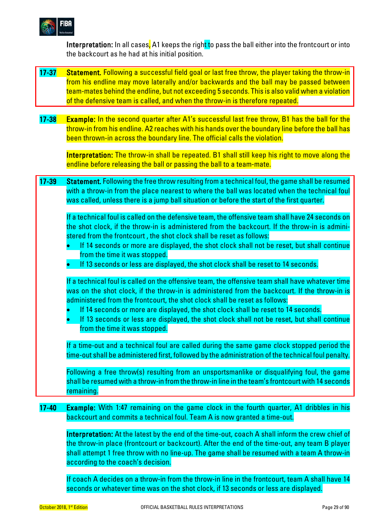

Interpretation: In all cases, A1 keeps the right to pass the ball either into the frontcourt or into the backcourt as he had at his initial position.

| $17 - 37$ | Statement. Following a successful field goal or last free throw, the player taking the throw-in<br>from his endline may move laterally and/or backwards and the ball may be passed between<br>team-mates behind the endline, but not exceeding 5 seconds. This is also valid when a violation<br>of the defensive team is called, and when the throw-in is therefore repeated.                                                                                                                       |
|-----------|------------------------------------------------------------------------------------------------------------------------------------------------------------------------------------------------------------------------------------------------------------------------------------------------------------------------------------------------------------------------------------------------------------------------------------------------------------------------------------------------------|
| $17 - 38$ | <b>Example:</b> In the second quarter after A1's successful last free throw, B1 has the ball for the<br>throw-in from his endline. A2 reaches with his hands over the boundary line before the ball has<br>been thrown-in across the boundary line. The official calls the violation.<br>Interpretation: The throw-in shall be repeated. B1 shall still keep his right to move along the                                                                                                             |
|           | endline before releasing the ball or passing the ball to a team-mate.                                                                                                                                                                                                                                                                                                                                                                                                                                |
| $17 - 39$ | Statement. Following the free throw resulting from a technical foul, the game shall be resumed<br>with a throw-in from the place nearest to where the ball was located when the technical foul<br>was called, unless there is a jump ball situation or before the start of the first quarter.                                                                                                                                                                                                        |
|           | If a technical foul is called on the defensive team, the offensive team shall have 24 seconds on<br>the shot clock, if the throw-in is administered from the backcourt. If the throw-in is admini-<br>stered from the frontcourt, the shot clock shall be reset as follows:<br>If 14 seconds or more are displayed, the shot clock shall not be reset, but shall continue<br>from the time it was stopped.<br>If 13 seconds or less are displayed, the shot clock shall be reset to 14 seconds.      |
|           | If a technical foul is called on the offensive team, the offensive team shall have whatever time<br>was on the shot clock, if the throw-in is administered from the backcourt. If the throw-in is<br>administered from the frontcourt, the shot clock shall be reset as follows:<br>If 14 seconds or more are displayed, the shot clock shall be reset to 14 seconds.<br>If 13 seconds or less are displayed, the shot clock shall not be reset, but shall continue<br>from the time it was stopped. |
|           | If a time-out and a technical foul are called during the same game clock stopped period the<br>time-out shall be administered first, followed by the administration of the technical foul penalty.                                                                                                                                                                                                                                                                                                   |
|           | Following a free throw(s) resulting from an unsportsmanlike or disqualifying foul, the game<br>shall be resumed with a throw-in from the throw-in line in the team's frontcourt with 14 seconds<br>remaining.                                                                                                                                                                                                                                                                                        |
| $17 - 40$ | <b>Example:</b> With 1:47 remaining on the game clock in the fourth quarter, A1 dribbles in his<br>backcourt and commits a technical foul. Team A is now granted a time-out.                                                                                                                                                                                                                                                                                                                         |
|           | <b>Interpretation:</b> At the latest by the end of the time-out, coach $\Delta$ shall inform the crew chief of                                                                                                                                                                                                                                                                                                                                                                                       |

Interpretation: At the latest by the end of the time-out, coach A shall inform the crew chief of the throw-in place (frontcourt or backcourt). After the end of the time-out, any team B player shall attempt 1 free throw with no line-up. The game shall be resumed with a team A throw-in according to the coach's decision.

If coach A decides on a throw-in from the throw-in line in the frontcourt, team A shall have 14 seconds or whatever time was on the shot clock, if 13 seconds or less are displayed.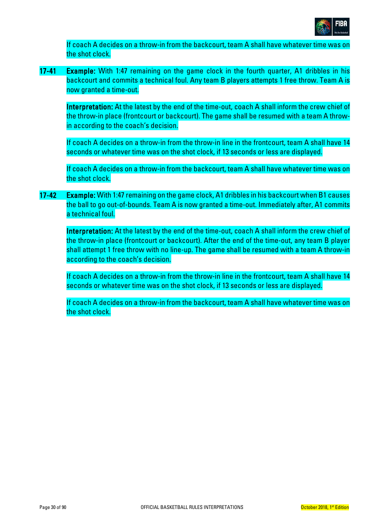

If coach A decides on a throw-in from the backcourt, team A shall have whatever time was on the shot clock.

17-41 Example: With 1:47 remaining on the game clock in the fourth quarter, A1 dribbles in his backcourt and commits a technical foul. Any team B players attempts 1 free throw. Team A is now granted a time-out.

Interpretation: At the latest by the end of the time-out, coach A shall inform the crew chief of the throw-in place (frontcourt or backcourt). The game shall be resumed with a team A throwin according to the coach's decision.

If coach A decides on a throw-in from the throw-in line in the frontcourt, team A shall have 14 seconds or whatever time was on the shot clock, if 13 seconds or less are displayed.

If coach A decides on a throw-in from the backcourt, team A shall have whatever time was on the shot clock.

17-42 Example: With 1:47 remaining on the game clock, A1 dribbles in his backcourt when B1 causes the ball to go out-of-bounds. Team A is now granted a time-out. Immediately after, A1 commits a technical foul.

Interpretation: At the latest by the end of the time-out, coach A shall inform the crew chief of the throw-in place (frontcourt or backcourt). After the end of the time-out, any team B player shall attempt 1 free throw with no line-up. The game shall be resumed with a team A throw-in according to the coach's decision.

If coach A decides on a throw-in from the throw-in line in the frontcourt, team A shall have 14 seconds or whatever time was on the shot clock, if 13 seconds or less are displayed.

If coach A decides on a throw-in from the backcourt, team A shall have whatever time was on the shot clock.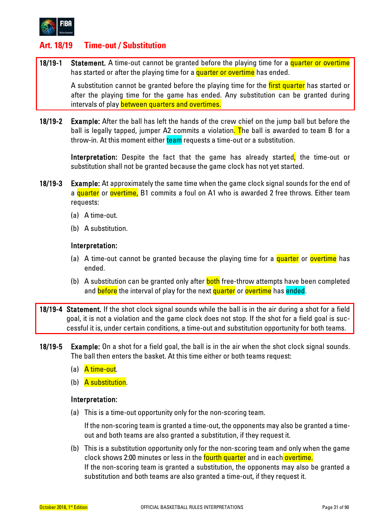

## **Art. 18/19 Time-out / Substitution**

18/19-1 Statement. A time-out cannot be granted before the playing time for a quarter or overtime has started or after the playing time for a quarter or overtime has ended.

A substitution cannot be granted before the playing time for the first quarter has started or after the playing time for the game has ended. Any substitution can be granted during intervals of play between quarters and overtimes.

18/19-2 Example: After the ball has left the hands of the crew chief on the jump ball but before the ball is legally tapped, jumper A2 commits a violation. The ball is awarded to team B for a throw-in. At this moment either team requests a time-out or a substitution.

Interpretation: Despite the fact that the game has already started, the time-out or substitution shall not be granted because the game clock has not yet started.

- 18/19-3 Example: At approximately the same time when the game clock signal sounds for the end of a quarter or overtime, B1 commits a foul on A1 who is awarded 2 free throws. Either team requests:
	- (a) A time-out.
	- (b) A substitution.

#### Interpretation:

- (a) A time-out cannot be granted because the playing time for a quarter or overtime has ended.
- (b) A substitution can be granted only after **both** free-throw attempts have been completed and before the interval of play for the next quarter or overtime has ended.
- 18/19-4 Statement. If the shot clock signal sounds while the ball is in the air during a shot for a field goal, it is not a violation and the game clock does not stop. If the shot for a field goal is successful it is, under certain conditions, a time-out and substitution opportunity for both teams.
- 18/19-5 Example: On a shot for a field goal, the ball is in the air when the shot clock signal sounds. The ball then enters the basket. At this time either or both teams request:
	- (a) A time-out.
	- (b) A substitution.

#### Interpretation:

(a) This is a time-out opportunity only for the non-scoring team.

If the non-scoring team is granted a time-out, the opponents may also be granted a timeout and both teams are also granted a substitution, if they request it.

(b) This is a substitution opportunity only for the non-scoring team and only when the game clock shows 2:00 minutes or less in the **fourth quarter** and in each overtime. If the non-scoring team is granted a substitution, the opponents may also be granted a substitution and both teams are also granted a time-out, if they request it.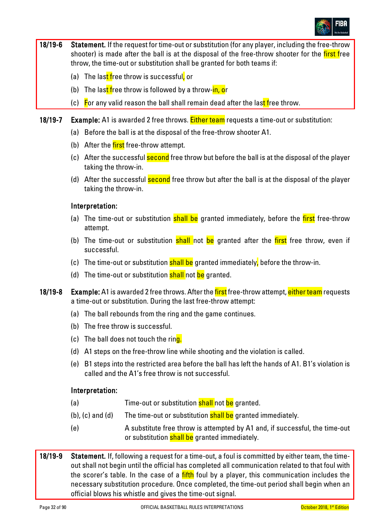

- 18/19-6 Statement. If the request for time-out or substitution (for any player, including the free-throw shooter) is made after the ball is at the disposal of the free-throw shooter for the first free throw, the time-out or substitution shall be granted for both teams if:
	- (a) The last free throw is successful, or
	- (b) The last free throw is followed by a throw- $\frac{\mathsf{in}}{\mathsf{in}}$ , or
	- (c) For any valid reason the ball shall remain dead after the last free throw.
- 18/19-7 Example: A1 is awarded 2 free throws. Either team requests a time-out or substitution:
	- (a) Before the ball is at the disposal of the free-throw shooter A1.
	- (b) After the  $first$  free-throw attempt.
	- (c) After the successful **second** free throw but before the ball is at the disposal of the player taking the throw-in.
	- (d) After the successful **second** free throw but after the ball is at the disposal of the player taking the throw-in.

#### Interpretation:

- (a) The time-out or substitution shall be granted immediately, before the first free-throw attempt.
- (b) The time-out or substitution shall not be granted after the first free throw, even if successful.
- (c) The time-out or substitution  $\frac{\text{shall}}{\text{be}}$  granted immediately, before the throw-in.
- (d) The time-out or substitution  $shall$  not be granted.
- 18/19-8 Example: A1 is awarded 2 free throws. After the first free-throw attempt, either team requests a time-out or substitution. During the last free-throw attempt:
	- (a) The ball rebounds from the ring and the game continues.
	- (b) The free throw is successful.
	- (c) The ball does not touch the ring.
	- (d) A1 steps on the free-throw line while shooting and the violation is called.
	- (e) B1 steps into the restricted area before the ball has left the hands of A1. B1's violation is called and the A1's free throw is not successful.

#### Interpretation:

- (a) Time-out or substitution **shall** not be granted.
- (b), (c) and (d) The time-out or substitution  $shall$  be granted immediately.
- (e) A substitute free throw is attempted by A1 and, if successful, the time-out or substitution shall be granted immediately.

18/19-9 Statement. If, following a request for a time-out, a foul is committed by either team, the timeout shall not begin until the official has completed all communication related to that foul with the scorer's table. In the case of a fifth foul by a player, this communication includes the necessary substitution procedure. Once completed, the time-out period shall begin when an official blows his whistle and gives the time-out signal.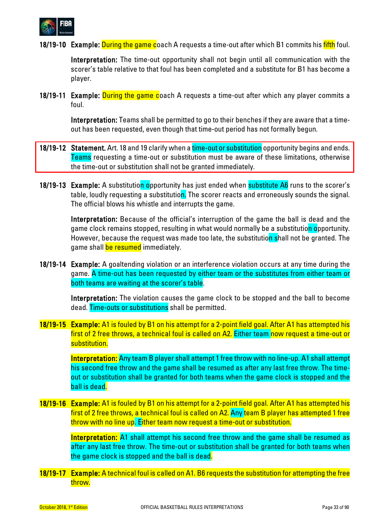

18/19-10 Example: During the game coach A requests a time-out after which B1 commits his fifth foul.

Interpretation: The time-out opportunity shall not begin until all communication with the scorer's table relative to that foul has been completed and a substitute for B1 has become a player.

18/19-11 Example: During the game coach A requests a time-out after which any player commits a foul.

Interpretation: Teams shall be permitted to go to their benches if they are aware that a timeout has been requested, even though that time-out period has not formally begun.

- 18/19-12 Statement. Art. 18 and 19 clarify when a time-out or substitution opportunity begins and ends. Teams requesting a time-out or substitution must be aware of these limitations, otherwise the time-out or substitution shall not be granted immediately.
- 18/19-13 Example: A substitution opportunity has just ended when substitute A6 runs to the scorer's table, loudly requesting a substitution. The scorer reacts and erroneously sounds the signal. The official blows his whistle and interrupts the game.

Interpretation: Because of the official's interruption of the game the ball is dead and the game clock remains stopped, resulting in what would normally be a substitution opportunity. However, because the request was made too late, the substitution shall not be granted. The game shall be resumed immediately.

18/19-14 Example: A goaltending violation or an interference violation occurs at any time during the game. A time-out has been requested by either team or the substitutes from either team or both teams are waiting at the scorer's table.

Interpretation: The violation causes the game clock to be stopped and the ball to become dead. Time-outs or substitutions shall be permitted.

18/19-15 Example: A1 is fouled by B1 on his attempt for a 2-point field goal. After A1 has attempted his first of 2 free throws, a technical foul is called on A2. Either team now request a time-out or substitution.

> Interpretation: Any team B player shall attempt 1 free throw with no line-up. A1 shall attempt his second free throw and the game shall be resumed as after any last free throw. The timeout or substitution shall be granted for both teams when the game clock is stopped and the ball is dead.

18/19-16 Example: A1 is fouled by B1 on his attempt for a 2-point field goal. After A1 has attempted his first of 2 free throws, a technical foul is called on A2. Any team B player has attempted 1 free throw with no line up. Either team now request a time-out or substitution.

> Interpretation: A1 shall attempt his second free throw and the game shall be resumed as after any last free throw. The time-out or substitution shall be granted for both teams when the game clock is stopped and the ball is dead.

18/19-17 Example: A technical foul is called on A1. B6 requests the substitution for attempting the free throw.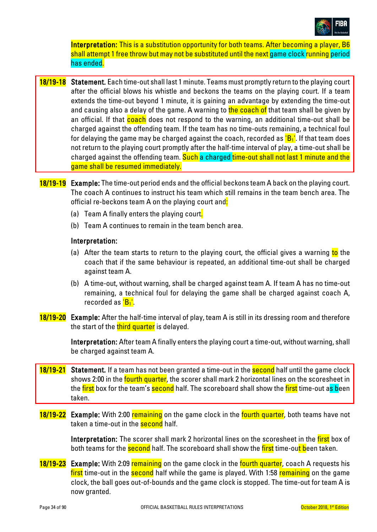

Interpretation: This is a substitution opportunity for both teams. After becoming a player, B6 shall attempt 1 free throw but may not be substituted until the next game clock running period has ended.

- 18/19-18 Statement. Each time-out shall last 1 minute. Teams must promptly return to the playing court after the official blows his whistle and beckons the teams on the playing court. If a team extends the time-out beyond 1 minute, it is gaining an advantage by extending the time-out and causing also a delay of the game. A warning to the coach of that team shall be given by an official. If that **coach** does not respond to the warning, an additional time-out shall be charged against the offending team. If the team has no time-outs remaining, a technical foul for delaying the game may be charged against the coach, recorded as  $B_1$ . If that team does not return to the playing court promptly after the half-time interval of play, a time-out shall be charged against the offending team. Such a charged time-out shall not last 1 minute and the game shall be resumed immediately.
- 18/19-19 Example: The time-out period ends and the official beckons team A back on the playing court. The coach A continues to instruct his team which still remains in the team bench area. The official re-beckons team A on the playing court and:
	- (a) Team A finally enters the playing court.
	- (b) Team A continues to remain in the team bench area.

#### Interpretation:

- (a) After the team starts to return to the playing court, the official gives a warning to the coach that if the same behaviour is repeated, an additional time-out shall be charged against team A.
- (b) A time-out, without warning, shall be charged against team A. If team A has no time-out remaining, a technical foul for delaying the game shall be charged against coach A, recorded as  $B_1$ .
- 18/19-20 Example: After the half-time interval of play, team A is still in its dressing room and therefore the start of the third quarter is delayed.

Interpretation: After team A finally enters the playing court a time-out, without warning, shall be charged against team A.

- 18/19-21 Statement. If a team has not been granted a time-out in the **second** half until the game clock shows 2:00 in the fourth quarter, the scorer shall mark 2 horizontal lines on the scoresheet in the first box for the team's second half. The scoreboard shall show the first time-out as been taken.
- 18/19-22 Example: With 2:00 remaining on the game clock in the fourth quarter, both teams have not taken a time-out in the **second** half.

Interpretation: The scorer shall mark 2 horizontal lines on the scoresheet in the first box of both teams for the **second** half. The scoreboard shall show the first time-out been taken.

**18/19-23** Example: With 2:09 remaining on the game clock in the fourth quarter, coach A requests his first time-out in the second half while the game is played. With 1:58 remaining on the game clock, the ball goes out-of-bounds and the game clock is stopped. The time-out for team A is now granted.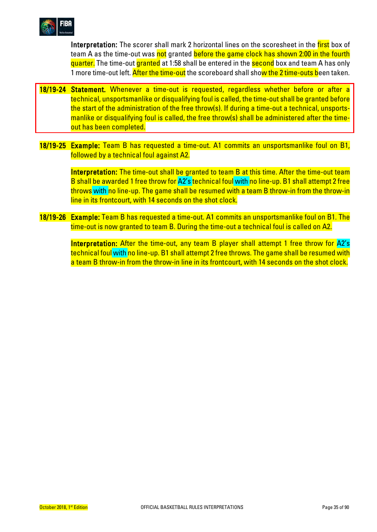

Interpretation: The scorer shall mark 2 horizontal lines on the scoresheet in the first box of team A as the time-out was not granted before the game clock has shown 2:00 in the fourth quarter. The time-out granted at 1:58 shall be entered in the **second** box and team A has only 1 more time-out left. After the time-out the scoreboard shall show the 2 time-outs been taken.

- 18/19-24 Statement. Whenever a time-out is requested, regardless whether before or after a technical, unsportsmanlike or disqualifying foul is called, the time-out shall be granted before the start of the administration of the free throw(s). If during a time-out a technical, unsportsmanlike or disqualifying foul is called, the free throw(s) shall be administered after the timeout has been completed.
- 18/19-25 Example: Team B has requested a time-out. A1 commits an unsportsmanlike foul on B1, followed by a technical foul against A2.

Interpretation: The time-out shall be granted to team B at this time. After the time-out team B shall be awarded 1 free throw for A2's technical foul with no line-up. B1 shall attempt 2 free throws with no line-up. The game shall be resumed with a team B throw-in from the throw-in line in its frontcourt, with 14 seconds on the shot clock.

18/19-26 Example: Team B has requested a time-out. A1 commits an unsportsmanlike foul on B1. The time-out is now granted to team B. During the time-out a technical foul is called on A2.

Interpretation: After the time-out, any team B player shall attempt 1 free throw for A2's technical foul with no line-up. B1 shall attempt 2 free throws. The game shall be resumed with a team B throw-in from the throw-in line in its frontcourt, with 14 seconds on the shot clock.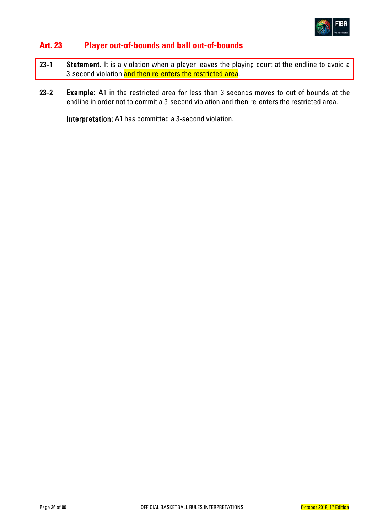

## **Art. 23 Player out-of-bounds and ball out-of-bounds**

- 23-1 Statement. It is a violation when a player leaves the playing court at the endline to avoid a 3-second violation and then re-enters the restricted area.
- 23-2 Example: A1 in the restricted area for less than 3 seconds moves to out-of-bounds at the endline in order not to commit a 3-second violation and then re-enters the restricted area.

Interpretation: A1 has committed a 3-second violation.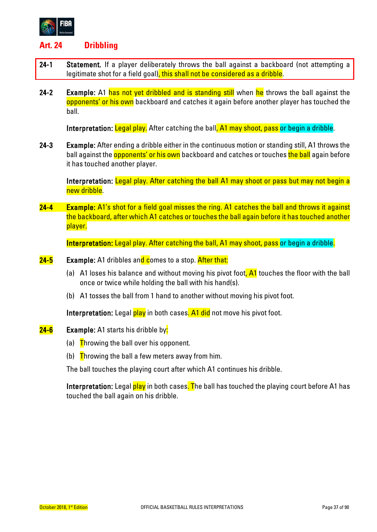

## **Art. 24 Dribbling**

- 24-1 Statement. If a player deliberately throws the ball against a backboard (not attempting a legitimate shot for a field goal), this shall not be considered as a dribble.
- 24-2 Example: A1 has not yet dribbled and is standing still when he throws the ball against the opponents' or his own backboard and catches it again before another player has touched the ball.

Interpretation: Legal play. After catching the ball, A1 may shoot, pass or begin a dribble.

24-3 Example: After ending a dribble either in the continuous motion or standing still, A1 throws the ball against the *opponents' or his own* backboard and catches or touches the ball again before it has touched another player.

Interpretation: Legal play. After catching the ball A1 may shoot or pass but may not begin a new dribble.

24-4 Example: A1's shot for a field goal misses the ring. A1 catches the ball and throws it against the backboard, after which A1 catches or touches the ball again before it has touched another player.

Interpretation: Legal play. After catching the ball, A1 may shoot, pass or begin a dribble.

- 24-5 Example: A1 dribbles and comes to a stop. After that:
	- (a) A1 loses his balance and without moving his pivot foot, A1 touches the floor with the ball once or twice while holding the ball with his hand(s).
	- (b) A1 tosses the ball from 1 hand to another without moving his pivot foot.

Interpretation: Legal play in both cases. A1 did not move his pivot foot.

- 24-6 Example: A1 starts his dribble by:
	- (a) Throwing the ball over his opponent.
	- (b) Throwing the ball a few meters away from him.

The ball touches the playing court after which A1 continues his dribble.

Interpretation: Legal play in both cases. The ball has touched the playing court before A1 has touched the ball again on his dribble.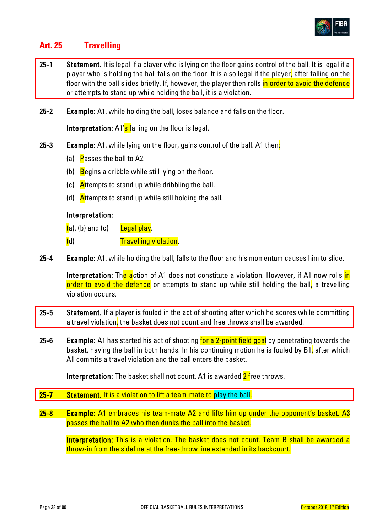

# **Art. 25 Travelling**

- 25-1 Statement. It is legal if a player who is lying on the floor gains control of the ball. It is legal if a player who is holding the ball falls on the floor. It is also legal if the player, after falling on the floor with the ball slides briefly. If, however, the player then rolls in order to avoid the defence or attempts to stand up while holding the ball, it is a violation.
- 25-2 Example: A1, while holding the ball, loses balance and falls on the floor.

Interpretation: A1's falling on the floor is legal.

- 25-3 Example: A1, while lying on the floor, gains control of the ball. A1 then:
	- (a) **P**asses the ball to A2.
	- (b) Begins a dribble while still lying on the floor.
	- (c) Attempts to stand up while dribbling the ball.
	- (d)  $\overline{A}$ ttempts to stand up while still holding the ball.

#### Interpretation:

 $(a)$ , (b) and (c) Legal play.

- (d) Travelling violation.
- 25-4 Example: A1, while holding the ball, falls to the floor and his momentum causes him to slide.

Interpretation: The action of A1 does not constitute a violation. However, if A1 now rolls in order to avoid the defence or attempts to stand up while still holding the ball, a travelling violation occurs.

- 25-5 Statement. If a player is fouled in the act of shooting after which he scores while committing a travel violation, the basket does not count and free throws shall be awarded.
- 25-6 Example: A1 has started his act of shooting for a 2-point field goal by penetrating towards the basket, having the ball in both hands. In his continuing motion he is fouled by B1, after which A1 commits a travel violation and the ball enters the basket.

Interpretation: The basket shall not count. A1 is awarded 2 free throws.

- 25-7 Statement. It is a violation to lift a team-mate to play the ball.
- 25-8 **Example:** A1 embraces his team-mate A2 and lifts him up under the opponent's basket. A3 passes the ball to A2 who then dunks the ball into the basket.

Interpretation: This is a violation. The basket does not count. Team B shall be awarded a throw-in from the sideline at the free-throw line extended in its backcourt.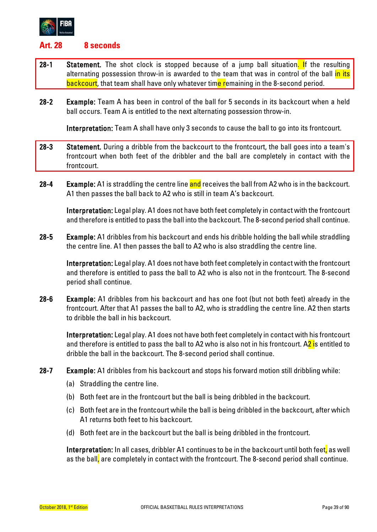

## **Art. 28 8 seconds**

- 28-1 Statement. The shot clock is stopped because of a jump ball situation. If the resulting alternating possession throw-in is awarded to the team that was in control of the ball in its **backcourt**, that team shall have only whatever time remaining in the 8-second period.
- 28-2 Example: Team A has been in control of the ball for 5 seconds in its backcourt when a held ball occurs. Team A is entitled to the next alternating possession throw-in.

Interpretation: Team A shall have only 3 seconds to cause the ball to go into its frontcourt.

- 28-3 Statement. During a dribble from the backcourt to the frontcourt, the ball goes into a team's frontcourt when both feet of the dribbler and the ball are completely in contact with the frontcourt.
- 28-4 Example: A1 is straddling the centre line and receives the ball from A2 who is in the backcourt. A1 then passes the ball back to A2 who is still in team A's backcourt.

Interpretation: Legal play. A1 does not have both feet completely in contact with the frontcourt and therefore is entitled to pass the ball into the backcourt. The 8-second period shall continue.

28-5 Example: A1 dribbles from his backcourt and ends his dribble holding the ball while straddling the centre line. A1 then passes the ball to A2 who is also straddling the centre line.

Interpretation: Legal play. A1 does not have both feet completely in contact with the frontcourt and therefore is entitled to pass the ball to A2 who is also not in the frontcourt. The 8-second period shall continue.

28-6 Example: A1 dribbles from his backcourt and has one foot (but not both feet) already in the frontcourt. After that A1 passes the ball to A2, who is straddling the centre line. A2 then starts to dribble the ball in his backcourt.

Interpretation: Legal play. A1 does not have both feet completely in contact with his frontcourt and therefore is entitled to pass the ball to A2 who is also not in his frontcourt. A2 is entitled to dribble the ball in the backcourt. The 8-second period shall continue.

- 28-7 Example: A1 dribbles from his backcourt and stops his forward motion still dribbling while:
	- (a) Straddling the centre line.
	- (b) Both feet are in the frontcourt but the ball is being dribbled in the backcourt.
	- (c) Both feet are in the frontcourt while the ball is being dribbled in the backcourt, after which A1 returns both feet to his backcourt.
	- (d) Both feet are in the backcourt but the ball is being dribbled in the frontcourt.

Interpretation: In all cases, dribbler A1 continues to be in the backcourt until both feet, as well as the ball, are completely in contact with the frontcourt. The 8-second period shall continue.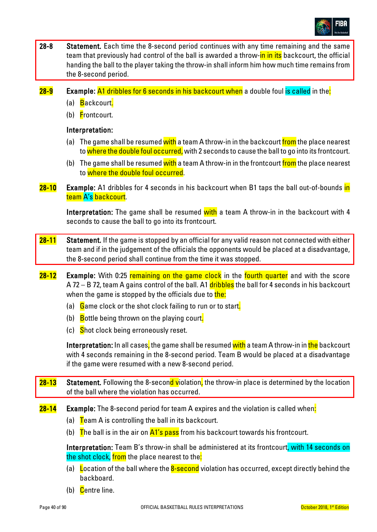

28-8 Statement. Each time the 8-second period continues with any time remaining and the same team that previously had control of the ball is awarded a throw-in in its backcourt, the official handing the ball to the player taking the throw-in shall inform him how much time remains from the 8-second period.

28-9 Example: A1 dribbles for 6 seconds in his backcourt when a double foul is called in the:

- (a) **B**ackcourt.
- (b) **F**rontcourt.

## Interpretation:

- (a) The game shall be resumed with a team A throw-in in the backcourt from the place nearest to where the double foul occurred, with 2 seconds to cause the ball to go into its frontcourt.
- (b) The game shall be resumed with a team A throw-in in the frontcourt from the place nearest to where the double foul occurred.
- 28-10 Example: A1 dribbles for 4 seconds in his backcourt when B1 taps the ball out-of-bounds in team A's backcourt.

Interpretation: The game shall be resumed with a team A throw-in in the backcourt with 4 seconds to cause the ball to go into its frontcourt.

- 28-11 Statement. If the game is stopped by an official for any valid reason not connected with either team and if in the judgement of the officials the opponents would be placed at a disadvantage, the 8-second period shall continue from the time it was stopped.
- 28-12 Example: With 0:25 remaining on the game clock in the fourth quarter and with the score A 72 – B 72, team A gains control of the ball. A1 dribbles the ball for 4 seconds in his backcourt when the game is stopped by the officials due to the:
	- (a) Game clock or the shot clock failing to run or to start.
	- (b) Bottle being thrown on the playing court.
	- (c) Shot clock being erroneously reset.

Interpretation: In all cases, the game shall be resumed <mark>with</mark> a team A throw-in in the backcourt with 4 seconds remaining in the 8-second period. Team B would be placed at a disadvantage if the game were resumed with a new 8-second period.

28-13 Statement. Following the 8-second violation, the throw-in place is determined by the location of the ball where the violation has occurred.

28-14 Example: The 8-second period for team A expires and the violation is called when:

- (a) **T**eam A is controlling the ball in its backcourt.
- (b) The ball is in the air on  $A1's$  pass from his backcourt towards his frontcourt.

Interpretation: Team B's throw-in shall be administered at its frontcourt, with 14 seconds on the shot clock, from the place nearest to the:

- (a) Location of the ball where the  $8$ -second violation has occurred, except directly behind the backboard.
- (b)  $C$ entre line.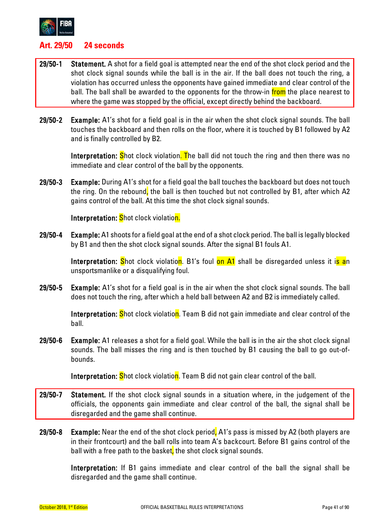

## **Art. 29/50 24 seconds**

- 29/50-1 Statement. A shot for a field goal is attempted near the end of the shot clock period and the shot clock signal sounds while the ball is in the air. If the ball does not touch the ring, a violation has occurred unless the opponents have gained immediate and clear control of the ball. The ball shall be awarded to the opponents for the throw-in from the place nearest to where the game was stopped by the official, except directly behind the backboard.
- 29/50-2 Example: A1's shot for a field goal is in the air when the shot clock signal sounds. The ball touches the backboard and then rolls on the floor, where it is touched by B1 followed by A2 and is finally controlled by B2.

Interpretation: Shot clock violation. The ball did not touch the ring and then there was no immediate and clear control of the ball by the opponents.

29/50-3 Example: During A1's shot for a field goal the ball touches the backboard but does not touch the ring. On the rebound, the ball is then touched but not controlled by B1, after which A2 gains control of the ball. At this time the shot clock signal sounds.

Interpretation: Shot clock violation.

29/50-4 Example: A1 shoots for a field goal at the end of a shot clock period. The ball is legally blocked by B1 and then the shot clock signal sounds. After the signal B1 fouls A1.

Interpretation: Shot clock violation. B1's foul on A1 shall be disregarded unless it is an unsportsmanlike or a disqualifying foul.

29/50-5 Example: A1's shot for a field goal is in the air when the shot clock signal sounds. The ball does not touch the ring, after which a held ball between A2 and B2 is immediately called.

Interpretation: Shot clock violation. Team B did not gain immediate and clear control of the ball.

29/50-6 Example: A1 releases a shot for a field goal. While the ball is in the air the shot clock signal sounds. The ball misses the ring and is then touched by B1 causing the ball to go out-ofbounds.

Interpretation: Shot clock violation. Team B did not gain clear control of the ball.

- 29/50-7 Statement. If the shot clock signal sounds in a situation where, in the judgement of the officials, the opponents gain immediate and clear control of the ball, the signal shall be disregarded and the game shall continue.
- 29/50-8 Example: Near the end of the shot clock period, A1's pass is missed by A2 (both players are in their frontcourt) and the ball rolls into team A's backcourt. Before B1 gains control of the ball with a free path to the basket, the shot clock signal sounds.

Interpretation: If B1 gains immediate and clear control of the ball the signal shall be disregarded and the game shall continue.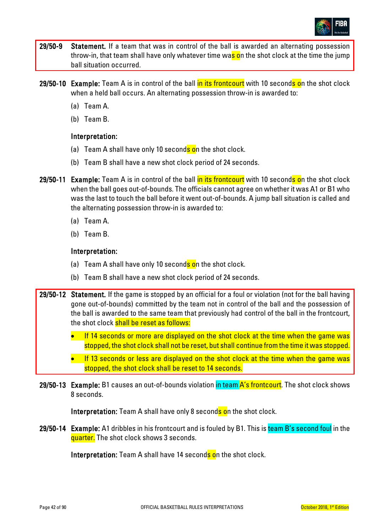

- 29/50-9 Statement. If a team that was in control of the ball is awarded an alternating possession throw-in, that team shall have only whatever time was on the shot clock at the time the jump ball situation occurred.
- 29/50-10 Example: Team A is in control of the ball in its frontcourt with 10 seconds on the shot clock when a held ball occurs. An alternating possession throw-in is awarded to:
	- (a) Team A.
	- (b) Team B.

## Interpretation:

- (a) Team A shall have only 10 seconds on the shot clock.
- (b) Team B shall have a new shot clock period of 24 seconds.
- 29/50-11 Example: Team A is in control of the ball in its frontcourt with 10 seconds on the shot clock when the ball goes out-of-bounds. The officials cannot agree on whether it was A1 or B1 who was the last to touch the ball before it went out-of-bounds. A jump ball situation is called and the alternating possession throw-in is awarded to:
	- (a) Team A.
	- (b) Team B.

## Interpretation:

- (a) Team A shall have only 10 second<mark>s o</mark>n the shot clock.
- (b) Team B shall have a new shot clock period of 24 seconds.
- 29/50-12 Statement. If the game is stopped by an official for a foul or violation (not for the ball having gone out-of-bounds) committed by the team not in control of the ball and the possession of the ball is awarded to the same team that previously had control of the ball in the frontcourt, the shot clock shall be reset as follows:
	- If 14 seconds or more are displayed on the shot clock at the time when the game was stopped, the shot clock shall not be reset, but shall continue from the time it was stopped.
	- If 13 seconds or less are displayed on the shot clock at the time when the game was stopped, the shot clock shall be reset to 14 seconds.
- 29/50-13 Example: B1 causes an out-of-bounds violation in team A's frontcourt. The shot clock shows 8 seconds.

Interpretation: Team A shall have only 8 seconds on the shot clock.

29/50-14 Example: A1 dribbles in his frontcourt and is fouled by B1. This is team B's second foul in the quarter. The shot clock shows 3 seconds.

Interpretation: Team A shall have 14 seconds on the shot clock.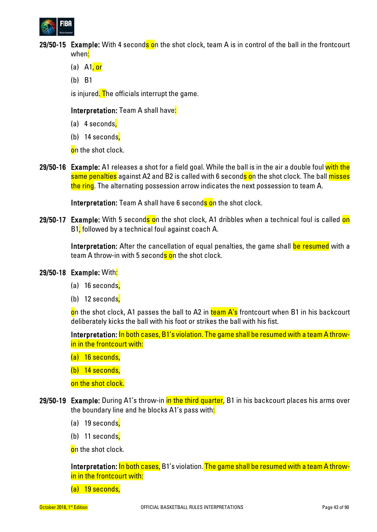

29/50-15 Example: With 4 seconds on the shot clock, team A is in control of the ball in the frontcourt when:

- (a)  $A1$ , or
- (b) B1

is injured. The officials interrupt the game.

## Interpretation: Team A shall have:

- (a) 4 seconds,
- (b) 14 seconds,

on the shot clock.

29/50-16 Example: A1 releases a shot for a field goal. While the ball is in the air a double foul with the same penalties against A2 and B2 is called with 6 seconds on the shot clock. The ball misses the ring. The alternating possession arrow indicates the next possession to team A.

Interpretation: Team A shall have 6 seconds on the shot clock.

29/50-17 Example: With 5 seconds on the shot clock, A1 dribbles when a technical foul is called on B1, followed by a technical foul against coach A.

Interpretation: After the cancellation of equal penalties, the game shall be resumed with a team A throw-in with 5 seconds on the shot clock.

## 29/50-18 Example: With:

- (a) 16 seconds,
- (b) 12 seconds,

on the shot clock, A1 passes the ball to A2 in team A's frontcourt when B1 in his backcourt deliberately kicks the ball with his foot or strikes the ball with his fist.

Interpretation: In both cases, B1's violation. The game shall be resumed with a team A throwin in the frontcourt with:

- (a) 16 seconds,
- (b) 14 seconds,

on the shot clock.

- 29/50-19 Example: During A1's throw-in in the third quarter, B1 in his backcourt places his arms over the boundary line and he blocks A1's pass with:
	- (a) 19 seconds,
	- (b) 11 seconds,

on the shot clock.

Interpretation: In both cases, B1's violation. The game shall be resumed with a team A throwin in the frontcourt with:

(a) 19 seconds,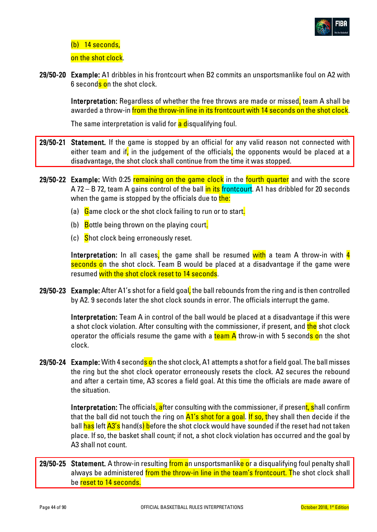

## (b) 14 seconds,

## on the shot clock.

29/50-20 Example: A1 dribbles in his frontcourt when B2 commits an unsportsmanlike foul on A2 with 6 second<mark>s o</mark>n the shot clock.

> Interpretation: Regardless of whether the free throws are made or missed, team A shall be awarded a throw-in from the throw-in line in its frontcourt with 14 seconds on the shot clock.

The same interpretation is valid for **a d**isqualifying foul.

- 29/50-21 Statement. If the game is stopped by an official for any valid reason not connected with either team and if, in the judgement of the officials, the opponents would be placed at a disadvantage, the shot clock shall continue from the time it was stopped.
- 29/50-22 Example: With 0:25 remaining on the game clock in the fourth quarter and with the score A 72 – B 72, team A gains control of the ball in its frontcourt. A1 has dribbled for 20 seconds when the game is stopped by the officials due to the:
	- (a)  $Ga$  Game clock or the shot clock failing to run or to start.
	- (b) **Bottle being thrown on the playing court.**
	- (c) Shot clock being erroneously reset.

Interpretation: In all cases, the game shall be resumed with a team A throw-in with  $4$ seconds on the shot clock. Team B would be placed at a disadvantage if the game were resumed with the shot clock reset to 14 seconds.

29/50-23 Example: After A1's shot for a field goal, the ball rebounds from the ring and is then controlled by A2. 9 seconds later the shot clock sounds in error. The officials interrupt the game.

> Interpretation: Team A in control of the ball would be placed at a disadvantage if this were a shot clock violation. After consulting with the commissioner, if present, and the shot clock operator the officials resume the game with a  $\frac{\tan A}{A}$  throw-in with 5 seconds on the shot clock.

29/50-24 Example: With 4 seconds on the shot clock, A1 attempts a shot for a field goal. The ball misses the ring but the shot clock operator erroneously resets the clock. A2 secures the rebound and after a certain time, A3 scores a field goal. At this time the officials are made aware of the situation.

Interpretation: The officials, after consulting with the commissioner, if present, shall confirm that the ball did not touch the ring on  $A1's$  shot for a goal. If so, they shall then decide if the ball has left A3's hand(s) before the shot clock would have sounded if the reset had not taken place. If so, the basket shall count; if not, a shot clock violation has occurred and the goal by A3 shall not count.

29/50-25 Statement. A throw-in resulting from an unsportsmanlike or a disqualifying foul penalty shall always be administered from the throw-in line in the team's frontcourt. The shot clock shall be reset to 14 seconds.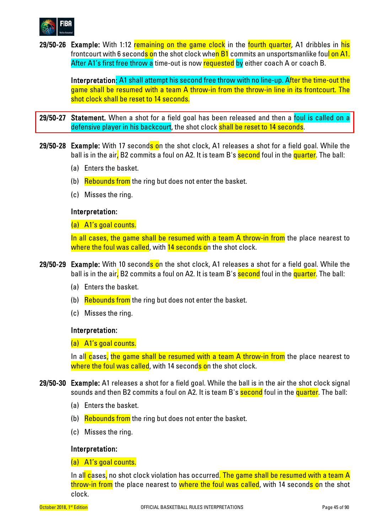

29/50-26 Example: With 1:12 remaining on the game clock in the fourth quarter, A1 dribbles in his frontcourt with 6 seconds on the shot clock when B1 commits an unsportsmanlike foul on A1. After A1's first free throw a time-out is now requested by either coach A or coach B.

> Interpretation: A1 shall attempt his second free throw with no line-up. After the time-out the game shall be resumed with a team A throw-in from the throw-in line in its frontcourt. The shot clock shall be reset to 14 seconds.

29/50-27 Statement. When a shot for a field goal has been released and then a foul is called on a defensive player in his backcourt, the shot clock shall be reset to 14 seconds.

- 29/50-28 Example: With 17 second<mark>s o</mark>n the shot clock, A1 releases a shot for a field goal. While the ball is in the air, B2 commits a foul on A2. It is team B's **second** foul in the quarter. The ball:
	- (a) Enters the basket.
	- (b) Rebounds from the ring but does not enter the basket.
	- (c) Misses the ring.

#### Interpretation:

(a) A1's goal counts.

In all cases, the game shall be resumed with a team A throw-in from the place nearest to where the foul was called, with 14 seconds on the shot clock.

- 29/50-29 Example: With 10 second<mark>s o</mark>n the shot clock, A1 releases a shot for a field goal. While the ball is in the air, B2 commits a foul on A2. It is team B's **second** foul in the *quarter*. The ball:
	- (a) Enters the basket.
	- (b) Rebounds from the ring but does not enter the basket.
	- (c) Misses the ring.

#### Interpretation:

#### (a) A1's goal counts.

In all cases, the game shall be resumed with a team A throw-in from the place nearest to where the foul was called, with 14 seconds on the shot clock.

- 29/50-30 Example: A1 releases a shot for a field goal. While the ball is in the air the shot clock signal sounds and then B2 commits a foul on A2. It is team B's **second** foul in the *quarter*. The ball:
	- (a) Enters the basket.
	- (b) Rebounds from the ring but does not enter the basket.
	- (c) Misses the ring.

#### Interpretation:

#### (a) A1's goal counts.

In all cases, no shot clock violation has occurred. The game shall be resumed with a team A throw-in from the place nearest to where the foul was called, with 14 seconds on the shot clock.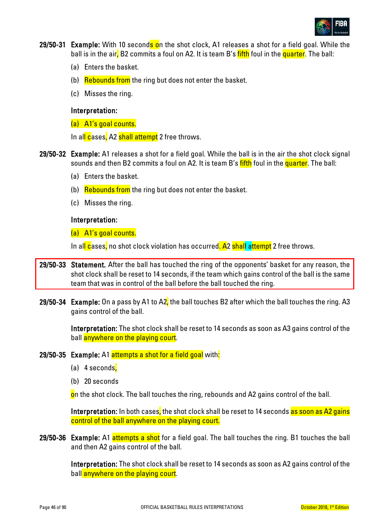

- 29/50-31 Example: With 10 seconds on the shot clock, A1 releases a shot for a field goal. While the ball is in the air, B2 commits a foul on A2. It is team B's fifth foul in the quarter. The ball:
	- (a) Enters the basket.
	- (b) Rebounds from the ring but does not enter the basket.
	- (c) Misses the ring.

#### Interpretation:

(a) A1's goal counts.

In all cases, A2 shall attempt 2 free throws.

- 29/50-32 Example: A1 releases a shot for a field goal. While the ball is in the air the shot clock signal sounds and then B2 commits a foul on A2. It is team B's fifth foul in the quarter. The ball:
	- (a) Enters the basket.
	- (b) Rebounds from the ring but does not enter the basket.
	- (c) Misses the ring.

#### Interpretation:

(a) A1's goal counts.

In all cases, no shot clock violation has occurred. A2 shall attempt 2 free throws.

- 29/50-33 Statement. After the ball has touched the ring of the opponents' basket for any reason, the shot clock shall be reset to 14 seconds, if the team which gains control of the ball is the same team that was in control of the ball before the ball touched the ring.
- 29/50-34 Example: On a pass by A1 to A2, the ball touches B2 after which the ball touches the ring. A3 gains control of the ball.

Interpretation: The shot clock shall be reset to 14 seconds as soon as A3 gains control of the ball **anywhere on the playing court**.

#### 29/50-35 Example: A1 attempts a shot for a field goal with:

- (a) 4 seconds,
- (b) 20 seconds

on the shot clock. The ball touches the ring, rebounds and A2 gains control of the ball.

Interpretation: In both cases, the shot clock shall be reset to 14 seconds as soon as A2 gains control of the ball anywhere on the playing court.

29/50-36 Example: A1 attempts a shot for a field goal. The ball touches the ring. B1 touches the ball and then A2 gains control of the ball.

Interpretation: The shot clock shall be reset to 14 seconds as soon as A2 gains control of the ball anywhere on the playing court.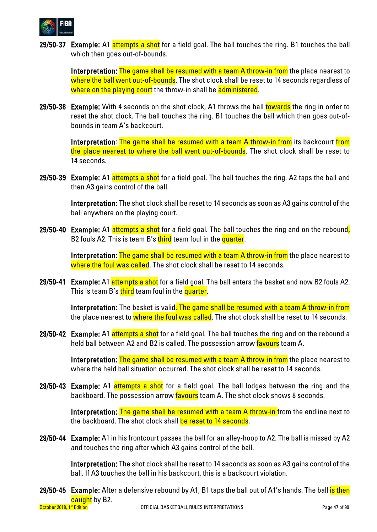

29/50-37 Example: A1 attempts a shot for a field goal. The ball touches the ring. B1 touches the ball which then goes out-of-bounds.

Interpretation: The game shall be resumed with a team A throw-in from the place nearest to where the ball went out-of-bounds. The shot clock shall be reset to 14 seconds regardless of where on the playing court the throw-in shall be administered.

29/50-38 Example: With 4 seconds on the shot clock, A1 throws the ball **towards** the ring in order to reset the shot clock. The ball touches the ring. B1 touches the ball which then goes out-ofbounds in team A's backcourt.

Interpretation: The game shall be resumed with a team A throw-in from its backcourt from the place nearest to where the ball went out-of-bounds. The shot clock shall be reset to 14 seconds.

29/50-39 Example: A1 attempts a shot for a field goal. The ball touches the ring. A2 taps the ball and then A3 gains control of the ball.

Interpretation: The shot clock shall be reset to 14 seconds as soon as A3 gains control of the ball anywhere on the playing court.

29/50-40 Example: A1 attempts a shot for a field goal. The ball touches the ring and on the rebound, B2 fouls A2. This is team B's third team foul in the quarter.

Interpretation: The game shall be resumed with a team A throw-in from the place nearest to where the foul was called. The shot clock shall be reset to 14 seconds.

29/50-41 Example: A1 attempts a shot for a field goal. The ball enters the basket and now B2 fouls A2. This is team B's third team foul in the quarter.

Interpretation: The basket is valid. The game shall be resumed with a team A throw-in from the place nearest to where the foul was called. The shot clock shall be reset to 14 seconds.

29/50-42 Example: A1 attempts a shot for a field goal. The ball touches the ring and on the rebound a held ball between A2 and B2 is called. The possession arrow favours team A.

Interpretation: The game shall be resumed with a team A throw-in from the place nearest to where the held ball situation occurred. The shot clock shall be reset to 14 seconds.

29/50-43 Example: A1 attempts a shot for a field goal. The ball lodges between the ring and the backboard. The possession arrow favours team A. The shot clock shows 8 seconds.

Interpretation: The game shall be resumed with a team A throw-in from the endline next to the backboard. The shot clock shall be reset to 14 seconds.

29/50-44 Example: A1 in his frontcourt passes the ball for an alley-hoop to A2. The ball is missed by A2 and touches the ring after which A3 gains control of the ball.

Interpretation: The shot clock shall be reset to 14 seconds as soon as A3 gains control of the ball. If A3 touches the ball in his backcourt, this is a backcourt violation.

October 2018, 1<sup>st</sup> Edition **Communication COFFICIAL BASKETBALL RULES INTERPRETATIONS** Page 47 of 90 29/50-45 Example: After a defensive rebound by A1, B1 taps the ball out of A1's hands. The ball is then caught by B2.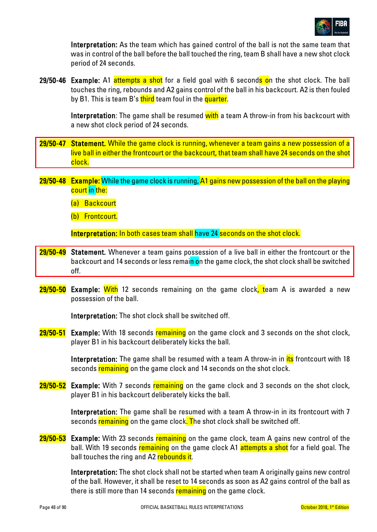

Interpretation: As the team which has gained control of the ball is not the same team that was in control of the ball before the ball touched the ring, team B shall have a new shot clock period of 24 seconds.

29/50-46 Example: A1 attempts a shot for a field goal with 6 seconds on the shot clock. The ball touches the ring, rebounds and A2 gains control of the ball in his backcourt. A2 is then fouled by B1. This is team B's third team foul in the quarter.

Interpretation: The game shall be resumed with a team A throw-in from his backcourt with a new shot clock period of 24 seconds.

- 29/50-47 Statement. While the game clock is running, whenever a team gains a new possession of a live ball in either the frontcourt or the backcourt, that team shall have 24 seconds on the shot clock.
- 29/50-48 Example: While the game clock is running, A1 gains new possession of the ball on the playing court in the:
	- (a) Backcourt
	- (b) Frontcourt.

Interpretation: In both cases team shall have 24 seconds on the shot clock.

- 29/50-49 Statement. Whenever a team gains possession of a live ball in either the frontcourt or the backcourt and 14 seconds or less remain on the game clock, the shot clock shall be switched off.
- 29/50-50 Example: With 12 seconds remaining on the game clock, team A is awarded a new possession of the ball.

Interpretation: The shot clock shall be switched off.

29/50-51 Example: With 18 seconds remaining on the game clock and 3 seconds on the shot clock, player B1 in his backcourt deliberately kicks the ball.

Interpretation: The game shall be resumed with a team A throw-in in its frontcourt with 18 seconds remaining on the game clock and 14 seconds on the shot clock.

29/50-52 Example: With 7 seconds remaining on the game clock and 3 seconds on the shot clock, player B1 in his backcourt deliberately kicks the ball.

Interpretation: The game shall be resumed with a team A throw-in in its frontcourt with 7 seconds remaining on the game clock. The shot clock shall be switched off.

29/50-53 Example: With 23 seconds remaining on the game clock, team A gains new control of the ball. With 19 seconds remaining on the game clock A1 attempts a shot for a field goal. The ball touches the ring and A2 rebounds it.

Interpretation: The shot clock shall not be started when team A originally gains new control of the ball. However, it shall be reset to 14 seconds as soon as A2 gains control of the ball as there is still more than 14 seconds remaining on the game clock.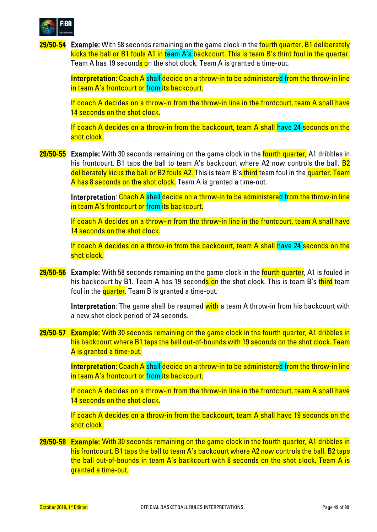

29/50-54 Example: With 58 seconds remaining on the game clock in the fourth quarter, B1 deliberately kicks the ball or B1 fouls A1 in team A's backcourt. This is team B's third foul in the quarter. Team A has 19 seconds on the shot clock. Team A is granted a time-out.

Interpretation: Coach A shall decide on a throw-in to be administered from the throw-in line in team A's frontcourt or from its backcourt.

If coach A decides on a throw-in from the throw-in line in the frontcourt, team A shall have 14 seconds on the shot clock.

If coach A decides on a throw-in from the backcourt, team A shall have 24 seconds on the shot clock.

29/50-55 Example: With 30 seconds remaining on the game clock in the fourth quarter, A1 dribbles in his frontcourt. B1 taps the ball to team A's backcourt where A2 now controls the ball.  $B2$ deliberately kicks the ball or B2 fouls A2. This is team B's third team foul in the quarter. Team A has 8 seconds on the shot clock. Team A is granted a time-out.

Interpretation: Coach A shall decide on a throw-in to be administered from the throw-in line in team A's frontcourt or from its backcourt.

If coach A decides on a throw-in from the throw-in line in the frontcourt, team A shall have 14 seconds on the shot clock.

If coach A decides on a throw-in from the backcourt, team A shall have 24 seconds on the shot clock.

29/50-56 Example: With 58 seconds remaining on the game clock in the fourth quarter, A1 is fouled in his backcourt by B1. Team A has 19 second<mark>s o</mark>n the shot clock. This is team B's third team foul in the quarter. Team B is granted a time-out.

Interpretation: The game shall be resumed with a team A throw-in from his backcourt with a new shot clock period of 24 seconds.

29/50-57 Example: With 30 seconds remaining on the game clock in the fourth quarter, A1 dribbles in his backcourt where B1 taps the ball out-of-bounds with 19 seconds on the shot clock. Team A is granted a time-out.

Interpretation: Coach A shall decide on a throw-in to be administered from the throw-in line in team A's frontcourt or from its backcourt.

If coach A decides on a throw-in from the throw-in line in the frontcourt, team A shall have 14 seconds on the shot clock.

If coach A decides on a throw-in from the backcourt, team A shall have 19 seconds on the shot clock.

29/50-58 Example: With 30 seconds remaining on the game clock in the fourth quarter, A1 dribbles in his frontcourt. B1 taps the ball to team A's backcourt where A2 now controls the ball. B2 taps the ball out-of-bounds in team A's backcourt with 8 seconds on the shot clock. Team A is granted a time-out.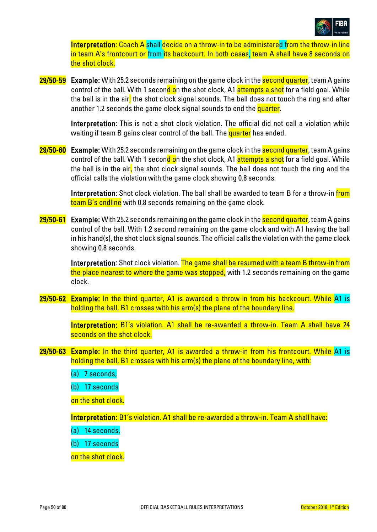

Interpretation: Coach A shall decide on a throw-in to be administered from the throw-in line in team A's frontcourt or from its backcourt. In both cases, team A shall have 8 seconds on the shot clock.

29/50-59 Example: With 25.2 seconds remaining on the game clock in the **second quarter**, team A gains control of the ball. With 1 secon<mark>d o</mark>n the shot clock, A1 attempts a shot for a field goal. While the ball is in the air, the shot clock signal sounds. The ball does not touch the ring and after another 1.2 seconds the game clock signal sounds to end the quarter.

Interpretation: This is not a shot clock violation. The official did not call a violation while waiting if team B gains clear control of the ball. The quarter has ended.

29/50-60 Example: With 25.2 seconds remaining on the game clock in the **second quarter**, team A gains control of the ball. With 1 second on the shot clock, A1 attempts a shot for a field goal. While the ball is in the air, the shot clock signal sounds. The ball does not touch the ring and the official calls the violation with the game clock showing 0.8 seconds.

Interpretation: Shot clock violation. The ball shall be awarded to team B for a throw-in from team B's endline with 0.8 seconds remaining on the game clock.

29/50-61 Example: With 25.2 seconds remaining on the game clock in the **second quarter**, team A gains control of the ball. With 1.2 second remaining on the game clock and with A1 having the ball in his hand(s), the shot clock signal sounds. The official calls the violation with the game clock showing 0.8 seconds.

Interpretation: Shot clock violation. The game shall be resumed with a team B throw-in from the place nearest to where the game was stopped, with 1.2 seconds remaining on the game clock.

29/50-62 Example: In the third quarter, A1 is awarded a throw-in from his backcourt. While A1 is holding the ball, B1 crosses with his arm(s) the plane of the boundary line.

Interpretation: B1's violation. A1 shall be re-awarded a throw-in. Team A shall have 24 seconds on the shot clock.

- 29/50-63 Example: In the third quarter, A1 is awarded a throw-in from his frontcourt. While A1 is holding the ball, B1 crosses with his arm(s) the plane of the boundary line, with:
	- (a) 7 seconds,
	- (b) 17 seconds
	- on the shot clock.

Interpretation: B1's violation. A1 shall be re-awarded a throw-in. Team A shall have:

- (a) 14 seconds,
- (b) 17 seconds

on the shot clock.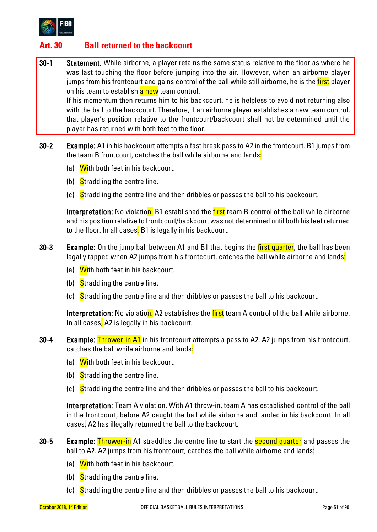

# **Art. 30 Ball returned to the backcourt**

- 30-1 Statement. While airborne, a player retains the same status relative to the floor as where he was last touching the floor before jumping into the air. However, when an airborne player jumps from his frontcourt and gains control of the ball while still airborne, he is the first player on his team to establish a new team control. If his momentum then returns him to his backcourt, he is helpless to avoid not returning also with the ball to the backcourt. Therefore, if an airborne player establishes a new team control, that player's position relative to the frontcourt/backcourt shall not be determined until the player has returned with both feet to the floor.
- 30-2 Example: A1 in his backcourt attempts a fast break pass to A2 in the frontcourt. B1 jumps from the team B frontcourt, catches the ball while airborne and lands:
	- (a) With both feet in his backcourt.
	- (b) Straddling the centre line.
	- (c) Straddling the centre line and then dribbles or passes the ball to his backcourt.

Interpretation: No violation. B1 established the first team B control of the ball while airborne and his position relative to frontcourt/backcourt was not determined until both his feet returned to the floor. In all cases, B1 is legally in his backcourt.

- **30-3** Example: On the jump ball between A1 and B1 that begins the first quarter, the ball has been legally tapped when A2 jumps from his frontcourt, catches the ball while airborne and lands:
	- (a) With both feet in his backcourt.
	- (b) Straddling the centre line.
	- (c) Straddling the centre line and then dribbles or passes the ball to his backcourt.

Interpretation: No violation. A2 establishes the first team A control of the ball while airborne. In all cases, A2 is legally in his backcourt.

- 30-4 Example: Thrower-in A1 in his frontcourt attempts a pass to A2. A2 jumps from his frontcourt, catches the ball while airborne and lands:
	- (a) With both feet in his backcourt.
	- (b) Straddling the centre line.
	- (c) Straddling the centre line and then dribbles or passes the ball to his backcourt.

Interpretation: Team A violation. With A1 throw-in, team A has established control of the ball in the frontcourt, before A2 caught the ball while airborne and landed in his backcourt. In all cases, A2 has illegally returned the ball to the backcourt.

- 30-5 Example: Thrower-in A1 straddles the centre line to start the **second quarter** and passes the ball to A2. A2 jumps from his frontcourt, catches the ball while airborne and lands:
	- (a) With both feet in his backcourt.
	- (b) Straddling the centre line.
	- (c) Straddling the centre line and then dribbles or passes the ball to his backcourt.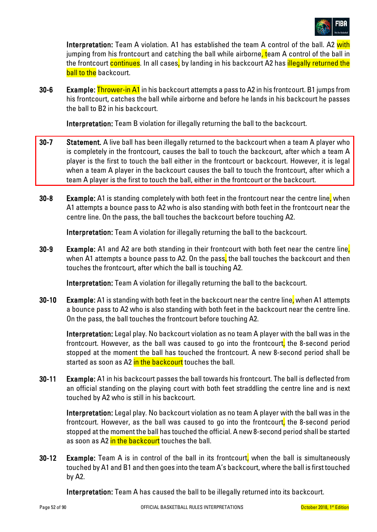

Interpretation: Team A violation. A1 has established the team A control of the ball. A2 with jumping from his frontcourt and catching the ball while airborne, team A control of the ball in the frontcourt **continues**. In all cases, by landing in his backcourt A2 has *illegally returned the* **ball to the** backcourt.

30-6 Example: Thrower-in A1 in his backcourt attempts a pass to A2 in his frontcourt. B1 jumps from his frontcourt, catches the ball while airborne and before he lands in his backcourt he passes the ball to B2 in his backcourt.

Interpretation: Team B violation for illegally returning the ball to the backcourt.

- 30-7 Statement. A live ball has been illegally returned to the backcourt when a team A player who is completely in the frontcourt, causes the ball to touch the backcourt, after which a team A player is the first to touch the ball either in the frontcourt or backcourt. However, it is legal when a team A player in the backcourt causes the ball to touch the frontcourt, after which a team A player is the first to touch the ball, either in the frontcourt or the backcourt.
- 30-8 Example: A1 is standing completely with both feet in the frontcourt near the centre line, when A1 attempts a bounce pass to A2 who is also standing with both feet in the frontcourt near the centre line. On the pass, the ball touches the backcourt before touching A2.

Interpretation: Team A violation for illegally returning the ball to the backcourt.

30-9 Example: A1 and A2 are both standing in their frontcourt with both feet near the centre line, when A1 attempts a bounce pass to A2. On the pass, the ball touches the backcourt and then touches the frontcourt, after which the ball is touching A2.

Interpretation: Team A violation for illegally returning the ball to the backcourt.

**30-10 Example:** A1 is standing with both feet in the backcourt near the centre line, when A1 attempts a bounce pass to A2 who is also standing with both feet in the backcourt near the centre line. On the pass, the ball touches the frontcourt before touching A2.

Interpretation: Legal play. No backcourt violation as no team A player with the ball was in the frontcourt. However, as the ball was caused to go into the frontcourt, the 8-second period stopped at the moment the ball has touched the frontcourt. A new 8-second period shall be started as soon as A2 in the backcourt touches the ball.

30-11 Example: A1 in his backcourt passes the ball towards his frontcourt. The ball is deflected from an official standing on the playing court with both feet straddling the centre line and is next touched by A2 who is still in his backcourt.

Interpretation: Legal play. No backcourt violation as no team A player with the ball was in the frontcourt. However, as the ball was caused to go into the frontcourt, the 8-second period stopped at the moment the ball has touched the official. A new 8-second period shall be started as soon as A2 in the backcourt touches the ball.

**30-12** Example: Team A is in control of the ball in its frontcourt, when the ball is simultaneously touched by A1 and B1 and then goes into the team A's backcourt, where the ball is first touched by A2.

Interpretation: Team A has caused the ball to be illegally returned into its backcourt.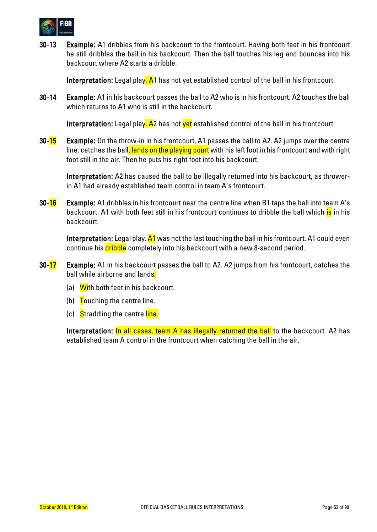

30-13 Example: A1 dribbles from his backcourt to the frontcourt. Having both feet in his frontcourt he still dribbles the ball in his backcourt. Then the ball touches his leg and bounces into his backcourt where A2 starts a dribble.

Interpretation: Legal play. A<sub>1</sub> has not yet established control of the ball in his frontcourt.

30-14 Example: A1 in his backcourt passes the ball to A2 who is in his frontcourt. A2 touches the ball which returns to A1 who is still in the backcourt.

Interpretation: Legal play. A2 has not vet established control of the ball in his frontcourt.

30-15 Example: On the throw-in in his frontcourt, A1 passes the ball to A2. A2 jumps over the centre line, catches the ball<mark>, lands on the playing court</mark> with his left foot in his frontcourt and with right foot still in the air. Then he puts his right foot into his backcourt.

Interpretation: A2 has caused the ball to be illegally returned into his backcourt, as throwerin A1 had already established team control in team A's frontcourt.

30-16 Example: A1 dribbles in his frontcourt near the centre line when B1 taps the ball into team A's backcourt. A1 with both feet still in his frontcourt continues to dribble the ball which is in his backcourt.

Interpretation: Legal play. A1 was not the last touching the ball in his frontcourt. A1 could even continue his **dribble** completely into his backcourt with a new 8-second period.

- **30-<mark>17</mark>** Example: A1 in his backcourt passes the ball to A2. A2 jumps from his frontcourt, catches the ball while airborne and lands:
	- (a) With both feet in his backcourt.
	- (b)  $\overline{\text{T}}$ ouching the centre line.
	- (c) Straddling the centre line.

Interpretation: In all cases, team A has illegally returned the ball to the backcourt. A2 has established team A control in the frontcourt when catching the ball in the air.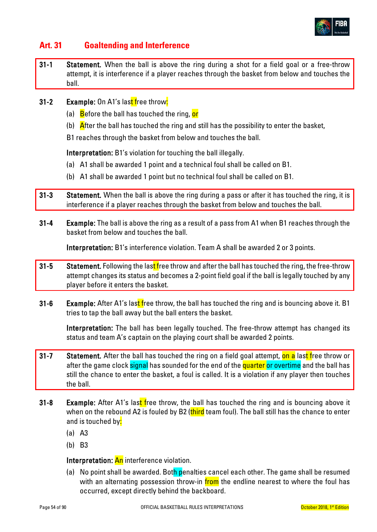

# **Art. 31 Goaltending and Interference**

- 31-1 Statement. When the ball is above the ring during a shot for a field goal or a free-throw attempt, it is interference if a player reaches through the basket from below and touches the ball.
- 31-2 Example: On A1's last free throw:
	- (a) Before the ball has touched the ring, or
	- (b) After the ball has touched the ring and still has the possibility to enter the basket,

B1 reaches through the basket from below and touches the ball.

Interpretation: B1's violation for touching the ball illegally.

- (a) A1 shall be awarded 1 point and a technical foul shall be called on B1.
- (b) A1 shall be awarded 1 point but no technical foul shall be called on B1.
- 31-3 Statement. When the ball is above the ring during a pass or after it has touched the ring, it is interference if a player reaches through the basket from below and touches the ball.
- 31-4 Example: The ball is above the ring as a result of a pass from A1 when B1 reaches through the basket from below and touches the ball.

Interpretation: B1's interference violation. Team A shall be awarded 2 or 3 points.

- 31-5 Statement. Following the last free throw and after the ball has touched the ring, the free-throw attempt changes its status and becomes a 2-point field goal if the ball is legally touched by any player before it enters the basket.
- 31-6 Example: After A1's last free throw, the ball has touched the ring and is bouncing above it. B1 tries to tap the ball away but the ball enters the basket.

Interpretation: The ball has been legally touched. The free-throw attempt has changed its status and team A's captain on the playing court shall be awarded 2 points.

- 31-7 Statement. After the ball has touched the ring on a field goal attempt, on a last free throw or after the game clock signal has sounded for the end of the quarter or overtime and the ball has still the chance to enter the basket, a foul is called. It is a violation if any player then touches the ball.
- **31-8** Example: After A1's last free throw, the ball has touched the ring and is bouncing above it when on the rebound A2 is fouled by B2 (third team foul). The ball still has the chance to enter and is touched by:
	- (a) A3
	- (b) B3

Interpretation: An interference violation.

(a) No point shall be awarded. Both penalties cancel each other. The game shall be resumed with an alternating possession throw-in from the endline nearest to where the foul has occurred, except directly behind the backboard.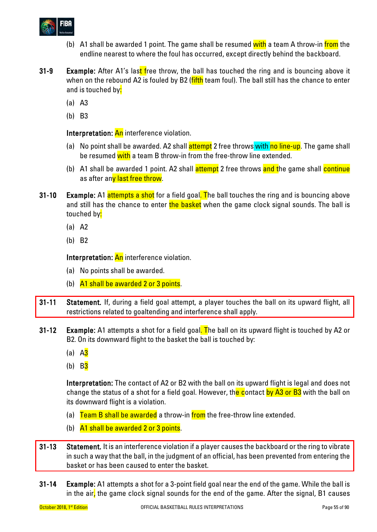

- (b) A1 shall be awarded 1 point. The game shall be resumed with a team A throw-in from the endline nearest to where the foul has occurred, except directly behind the backboard.
- 31-9 Example: After A1's last free throw, the ball has touched the ring and is bouncing above it when on the rebound A2 is fouled by B2 (*fifth* team foul). The ball still has the chance to enter and is touched by:
	- (a) A3
	- (b) B3

Interpretation: **An** interference violation.

- (a) No point shall be awarded. A2 shall **attempt** 2 free throws with no line-up. The game shall be resumed with a team B throw-in from the free-throw line extended.
- (b) A1 shall be awarded 1 point. A2 shall attempt 2 free throws and the game shall continue as after anv last free throw.
- **31-10** Example: A1 attempts a shot for a field goal. The ball touches the ring and is bouncing above and still has the chance to enter the basket when the game clock signal sounds. The ball is touched by:
	- (a) A2
	- (b) B2

Interpretation: **An** interference violation.

- (a) No points shall be awarded.
- (b) A1 shall be awarded 2 or 3 points.
- 31-11 Statement. If, during a field goal attempt, a player touches the ball on its upward flight, all restrictions related to goaltending and interference shall apply.
- 31-12 Example: A1 attempts a shot for a field goal. The ball on its upward flight is touched by A2 or B2. On its downward flight to the basket the ball is touched by:
	- (a)  $A3$
	- (b)  $B_3$

Interpretation: The contact of A2 or B2 with the ball on its upward flight is legal and does not change the status of a shot for a field goal. However, the contact by A3 or B3 with the ball on its downward flight is a violation.

- (a) Team B shall be awarded a throw-in from the free-throw line extended.
- (b) A1 shall be awarded 2 or 3 points.
- 31-13 Statement. It is an interference violation if a player causes the backboard or the ring to vibrate in such a way that the ball, in the judgment of an official, has been prevented from entering the basket or has been caused to enter the basket.
- 31-14 Example: A1 attempts a shot for a 3-point field goal near the end of the game. While the ball is in the air, the game clock signal sounds for the end of the game. After the signal, B1 causes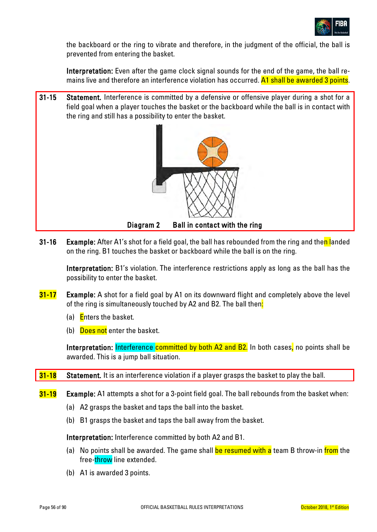

the backboard or the ring to vibrate and therefore, in the judgment of the official, the ball is prevented from entering the basket.

Interpretation: Even after the game clock signal sounds for the end of the game, the ball remains live and therefore an interference violation has occurred. A1 shall be awarded 3 points.

31-15 Statement. Interference is committed by a defensive or offensive player during a shot for a field goal when a player touches the basket or the backboard while the ball is in contact with the ring and still has a possibility to enter the basket.



Diagram 2 Ball in contact with the ring

31-16 Example: After A1's shot for a field goal, the ball has rebounded from the ring and then landed on the ring. B1 touches the basket or backboard while the ball is on the ring.

Interpretation: B1's violation. The interference restrictions apply as long as the ball has the possibility to enter the basket.

- **31-17** Example: A shot for a field goal by A1 on its downward flight and completely above the level of the ring is simultaneously touched by A2 and B2. The ball then:
	- (a) Enters the basket.
	- (b) Does not enter the basket.

Interpretation: Interference committed by both A2 and B2. In both cases, no points shall be awarded. This is a jump ball situation.

**31-18** Statement. It is an interference violation if a player grasps the basket to play the ball.

- **31-19** Example: A1 attempts a shot for a 3-point field goal. The ball rebounds from the basket when:
	- (a) A2 grasps the basket and taps the ball into the basket.
	- (b) B1 grasps the basket and taps the ball away from the basket.

Interpretation: Interference committed by both A2 and B1.

- (a) No points shall be awarded. The game shall be resumed with a team B throw-in from the free-throw line extended.
- (b) A1 is awarded 3 points.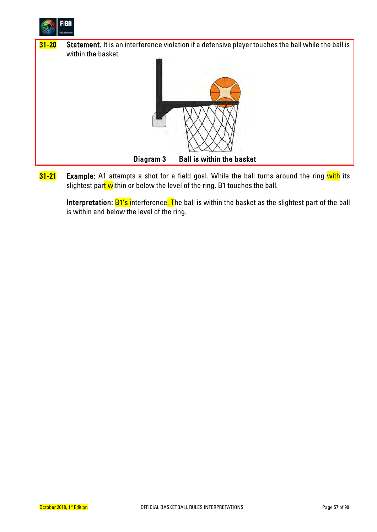



**31-21** Example: A1 attempts a shot for a field goal. While the ball turns around the ring with its slightest part within or below the level of the ring, B1 touches the ball.

Interpretation: **B1's i**nterference. The ball is within the basket as the slightest part of the ball is within and below the level of the ring.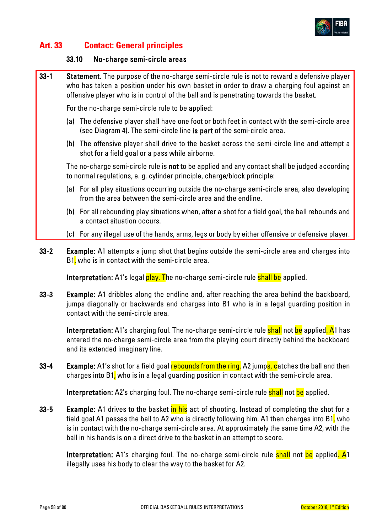

# **Art. 33 Contact: General principles**

### 33.10 No-charge semi-circle areas

33-1 Statement. The purpose of the no-charge semi-circle rule is not to reward a defensive player who has taken a position under his own basket in order to draw a charging foul against an offensive player who is in control of the ball and is penetrating towards the basket.

For the no-charge semi-circle rule to be applied:

- (a) The defensive player shall have one foot or both feet in contact with the semi-circle area (see Diagram 4). The semi-circle line is part of the semi-circle area.
- (b) The offensive player shall drive to the basket across the semi-circle line and attempt a shot for a field goal or a pass while airborne.

The no-charge semi-circle rule is not to be applied and any contact shall be judged according to normal regulations, e. g. cylinder principle, charge/block principle:

- (a) For all play situations occurring outside the no-charge semi-circle area, also developing from the area between the semi-circle area and the endline.
- (b) For all rebounding play situations when, after a shot for a field goal, the ball rebounds and a contact situation occurs.
- (c) For any illegal use of the hands, arms, legs or body by either offensive or defensive player.
- **33-2** Example: A1 attempts a jump shot that begins outside the semi-circle area and charges into B1, who is in contact with the semi-circle area.

Interpretation: A1's legal play. The no-charge semi-circle rule shall be applied.

**33-3** Example: A1 dribbles along the endline and, after reaching the area behind the backboard, jumps diagonally or backwards and charges into B1 who is in a legal guarding position in contact with the semi-circle area.

Interpretation: A1's charging foul. The no-charge semi-circle rule shall not be applied. A1 has entered the no-charge semi-circle area from the playing court directly behind the backboard and its extended imaginary line.

33-4 Example: A1's shot for a field goal rebounds from the ring. A2 jumps, catches the ball and then charges into B1, who is in a legal guarding position in contact with the semi-circle area.

Interpretation: A2's charging foul. The no-charge semi-circle rule shall not be applied.

33-5 Example: A1 drives to the basket in his act of shooting. Instead of completing the shot for a field goal A1 passes the ball to A2 who is directly following him. A1 then charges into B1, who is in contact with the no-charge semi-circle area. At approximately the same time A2, with the ball in his hands is on a direct drive to the basket in an attempt to score.

Interpretation: A1's charging foul. The no-charge semi-circle rule shall not be applied. A1 illegally uses his body to clear the way to the basket for A2.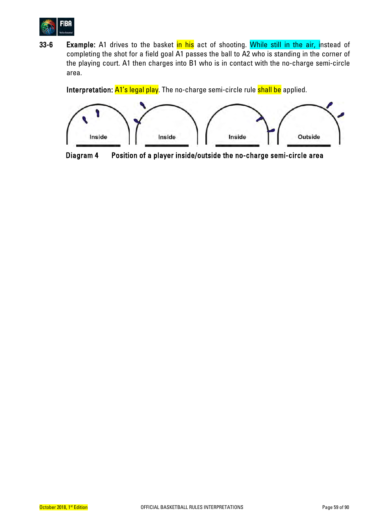

33-6 Example: A1 drives to the basket in his act of shooting. While still in the air, instead of completing the shot for a field goal A1 passes the ball to A2 who is standing in the corner of the playing court. A1 then charges into B1 who is in contact with the no-charge semi-circle area.

Interpretation: A1's legal play. The no-charge semi-circle rule shall be applied.



Diagram 4 Position of a player inside/outside the no-charge semi-circle area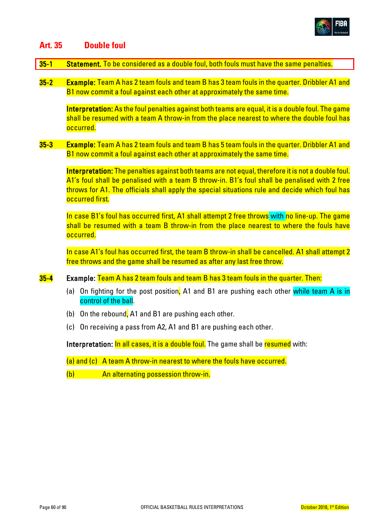

## **Art. 35 Double foul**

- 35-1 Statement. To be considered as a double foul, both fouls must have the same penalties.
- 35-2 Example: Team A has 2 team fouls and team B has 3 team fouls in the quarter. Dribbler A1 and B1 now commit a foul against each other at approximately the same time.

Interpretation: As the foul penalties against both teams are equal, it is a double foul. The game shall be resumed with a team A throw-in from the place nearest to where the double foul has occurred.

35-3 Example: Team A has 2 team fouls and team B has 5 team fouls in the quarter. Dribbler A1 and B1 now commit a foul against each other at approximately the same time.

Interpretation: The penalties against both teams are not equal, therefore it is not a double foul. A1's foul shall be penalised with a team B throw-in. B1's foul shall be penalised with 2 free throws for A1. The officials shall apply the special situations rule and decide which foul has occurred first.

In case B1's foul has occurred first, A1 shall attempt 2 free throws with no line-up. The game shall be resumed with a team B throw-in from the place nearest to where the fouls have occurred.

In case A1's foul has occurred first, the team B throw-in shall be cancelled. A1 shall attempt 2 free throws and the game shall be resumed as after any last free throw.

35-4 Example: Team A has 2 team fouls and team B has 3 team fouls in the quarter. Then:

- (a) On fighting for the post position, A1 and B1 are pushing each other while team A is in control of the ball.
- (b) On the rebound, A1 and B1 are pushing each other.
- (c) On receiving a pass from A2, A1 and B1 are pushing each other.

Interpretation: In all cases, it is a double foul. The game shall be resumed with:

(a) and (c) A team A throw-in nearest to where the fouls have occurred.

(b) An alternating possession throw-in.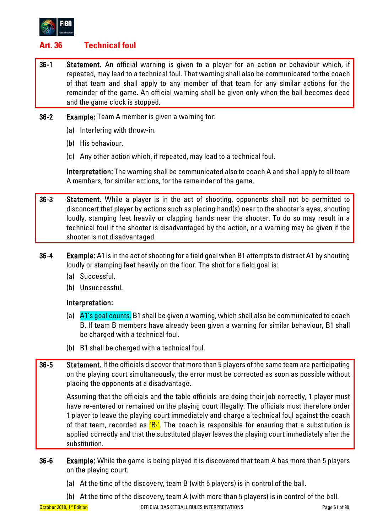

# **Art. 36 Technical foul**

- 36-1 Statement. An official warning is given to a player for an action or behaviour which, if repeated, may lead to a technical foul. That warning shall also be communicated to the coach of that team and shall apply to any member of that team for any similar actions for the remainder of the game. An official warning shall be given only when the ball becomes dead and the game clock is stopped.
- 36-2 Example: Team A member is given a warning for:
	- (a) Interfering with throw-in.
	- (b) His behaviour.
	- (c) Any other action which, if repeated, may lead to a technical foul.

Interpretation: The warning shall be communicated also to coach A and shall apply to all team A members, for similar actions, for the remainder of the game.

- 36-3 Statement. While a player is in the act of shooting, opponents shall not be permitted to disconcert that player by actions such as placing hand(s) near to the shooter's eyes, shouting loudly, stamping feet heavily or clapping hands near the shooter. To do so may result in a technical foul if the shooter is disadvantaged by the action, or a warning may be given if the shooter is not disadvantaged.
- 36-4 Example: A1 is in the act of shooting for a field goal when B1 attempts to distract A1 by shouting loudly or stamping feet heavily on the floor. The shot for a field goal is:
	- (a) Successful.
	- (b) Unsuccessful.

## Interpretation:

- (a) A1's goal counts. B1 shall be given a warning, which shall also be communicated to coach B. If team B members have already been given a warning for similar behaviour, B1 shall be charged with a technical foul.
- (b) B1 shall be charged with a technical foul.
- 36-5 Statement. If the officials discover that more than 5 players of the same team are participating on the playing court simultaneously, the error must be corrected as soon as possible without placing the opponents at a disadvantage.

Assuming that the officials and the table officials are doing their job correctly, 1 player must have re-entered or remained on the playing court illegally. The officials must therefore order 1 player to leave the playing court immediately and charge a technical foul against the coach of that team, recorded as  $B_1$ . The coach is responsible for ensuring that a substitution is applied correctly and that the substituted player leaves the playing court immediately after the substitution.

- 36-6 Example: While the game is being played it is discovered that team A has more than 5 players on the playing court.
	- (a) At the time of the discovery, team B (with 5 players) is in control of the ball.
	- (b) At the time of the discovery, team A (with more than 5 players) is in control of the ball.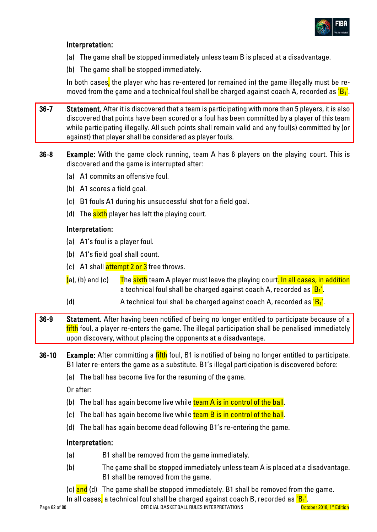

## Interpretation:

- (a) The game shall be stopped immediately unless team B is placed at a disadvantage.
- (b) The game shall be stopped immediately.

In both cases, the player who has re-entered (or remained in) the game illegally must be removed from the game and a technical foul shall be charged against coach A, recorded as  $B_1$ .

- 36-7 Statement. After it is discovered that a team is participating with more than 5 players, it is also discovered that points have been scored or a foul has been committed by a player of this team while participating illegally. All such points shall remain valid and any foul(s) committed by (or against) that player shall be considered as player fouls.
- 36-8 Example: With the game clock running, team A has 6 players on the playing court. This is discovered and the game is interrupted after:
	- (a) A1 commits an offensive foul.
	- (b) A1 scores a field goal.
	- (c) B1 fouls A1 during his unsuccessful shot for a field goal.
	- (d) The **sixth** player has left the playing court.

## Interpretation:

- (a) A1's foul is a player foul.
- (b) A1's field goal shall count.
- (c) A1 shall  $\frac{attempt}{2}$  or  $\frac{3}{5}$  free throws.
- $(a)$ , (b) and (c) The sixth team A player must leave the playing court. In all cases, in addition a technical foul shall be charged against coach A, recorded as  $B_1$ .
- (d) A technical foul shall be charged against coach A, recorded as  $B_1$ .
- 36-9 Statement. After having been notified of being no longer entitled to participate because of a fifth foul, a player re-enters the game. The illegal participation shall be penalised immediately upon discovery, without placing the opponents at a disadvantage.
- 36-10 Example: After committing a fifth foul, B1 is notified of being no longer entitled to participate. B1 later re-enters the game as a substitute. B1's illegal participation is discovered before:
	- (a) The ball has become live for the resuming of the game.

Or after:

- (b) The ball has again become live while  $\frac{1}{10}$  and  $\frac{1}{10}$  and  $\frac{1}{10}$  on  $\frac{1}{10}$  and  $\frac{1}{10}$ .
- (c) The ball has again become live while team B is in control of the ball.
- (d) The ball has again become dead following B1's re-entering the game.

## Interpretation:

- (a) B1 shall be removed from the game immediately.
- (b) The game shall be stopped immediately unless team A is placed at a disadvantage. B1 shall be removed from the game.
- (c)  $\text{and}$  (d) The game shall be stopped immediately. B1 shall be removed from the game.

Page 62 of 90 **OFFICIAL BASKETBALL RULES INTERPRETATIONS OCTOBER 2018, 1st Edition**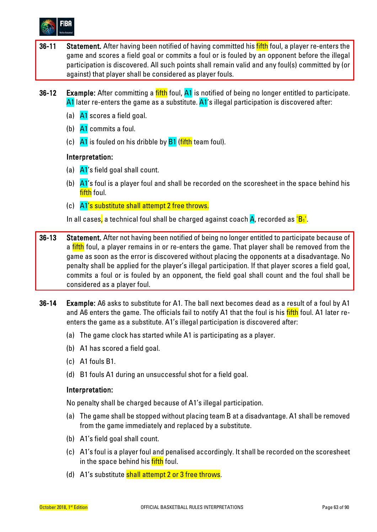

- 36-11 Statement. After having been notified of having committed his fifth foul, a player re-enters the game and scores a field goal or commits a foul or is fouled by an opponent before the illegal participation is discovered. All such points shall remain valid and any foul(s) committed by (or against) that player shall be considered as player fouls.
- 36-12 Example: After committing a fifth foul, A1 is notified of being no longer entitled to participate. A1 later re-enters the game as a substitute. A1's illegal participation is discovered after:
	- (a) A1 scores a field goal.
	- (b) A1 commits a foul.
	- (c)  $\overline{A1}$  is fouled on his dribble by  $\overline{B1}$  (fifth team foul).

## Interpretation:

- (a)  $\overline{A1}$ 's field goal shall count.
- (b)  $\overline{A1}$ 's foul is a player foul and shall be recorded on the scoresheet in the space behind his fifth foul.
- (c) A1's substitute shall attempt 2 free throws.

In all cases, a technical foul shall be charged against coach  $\overline{A}$ , recorded as  $\overline{B_1}$ .

- 36-13 Statement. After not having been notified of being no longer entitled to participate because of a fifth foul, a player remains in or re-enters the game. That player shall be removed from the game as soon as the error is discovered without placing the opponents at a disadvantage. No penalty shall be applied for the player's illegal participation. If that player scores a field goal, commits a foul or is fouled by an opponent, the field goal shall count and the foul shall be considered as a player foul.
- 36-14 Example: A6 asks to substitute for A1. The ball next becomes dead as a result of a foul by A1 and A6 enters the game. The officials fail to notify A1 that the foul is his fifth foul. A1 later reenters the game as a substitute. A1's illegal participation is discovered after:
	- (a) The game clock has started while A1 is participating as a player.
	- (b) A1 has scored a field goal.
	- (c) A1 fouls B1.
	- (d) B1 fouls A1 during an unsuccessful shot for a field goal.

## Interpretation:

No penalty shall be charged because of A1's illegal participation.

- (a) The game shall be stopped without placing team B at a disadvantage. A1 shall be removed from the game immediately and replaced by a substitute.
- (b) A1's field goal shall count.
- (c) A1's foul is a player foul and penalised accordingly. It shall be recorded on the scoresheet in the space behind his *fifth* foul.
- (d) A1's substitute shall attempt 2 or 3 free throws.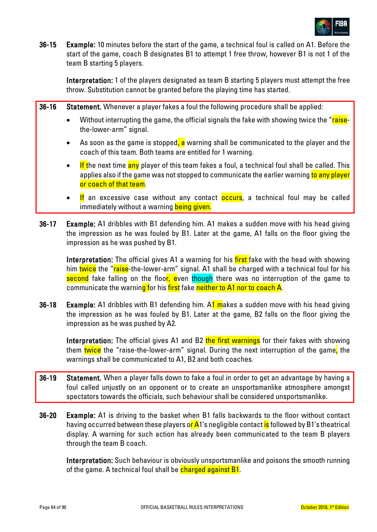

36-15 Example: 10 minutes before the start of the game, a technical foul is called on A1. Before the start of the game, coach B designates B1 to attempt 1 free throw, however B1 is not 1 of the team B starting 5 players.

Interpretation: 1 of the players designated as team B starting 5 players must attempt the free throw. Substitution cannot be granted before the playing time has started.

- 36-16 Statement. Whenever a player fakes a foul the following procedure shall be applied:
	- Without interrupting the game, the official signals the fake with showing twice the "raisethe-lower-arm" signal.
	- As soon as the game is stopped, a warning shall be communicated to the player and the coach of this team. Both teams are entitled for 1 warning.
	- If the next time any player of this team fakes a foul, a technical foul shall be called. This applies also if the game was not stopped to communicate the earlier warning to any player or coach of that team.
	- If an excessive case without any contact **occurs**, a technical foul may be called immediately without a warning being given.
- 36-17 Example: A1 dribbles with B1 defending him. A1 makes a sudden move with his head giving the impression as he was fouled by B1. Later at the game, A1 falls on the floor giving the impression as he was pushed by B1.

Interpretation: The official gives A1 a warning for his first fake with the head with showing him twice the "raise-the-lower-arm" signal. A1 shall be charged with a technical foul for his second fake falling on the floor, even though there was no interruption of the game to communicate the warning for his first fake neither to A1 nor to coach A.

**36-18** Example: A1 dribbles with B1 defending him. A1 makes a sudden move with his head giving the impression as he was fouled by B1. Later at the game, B2 falls on the floor giving the impression as he was pushed by A2.

Interpretation: The official gives A1 and B2 the first warnings for their fakes with showing them twice the "raise-the-lower-arm" signal. During the next interruption of the game, the warnings shall be communicated to A1, B2 and both coaches.

- 36-19 Statement. When a player falls down to fake a foul in order to get an advantage by having a foul called unjustly on an opponent or to create an unsportsmanlike atmosphere amongst spectators towards the officials, such behaviour shall be considered unsportsmanlike.
- **36-20 Example:** A1 is driving to the basket when B1 falls backwards to the floor without contact having occurred between these players o<mark>r A</mark>1's negligible contact is followed by B1's theatrical display. A warning for such action has already been communicated to the team B players through the team B coach.

Interpretation: Such behaviour is obviously unsportsmanlike and poisons the smooth running of the game. A technical foul shall be charged against B1.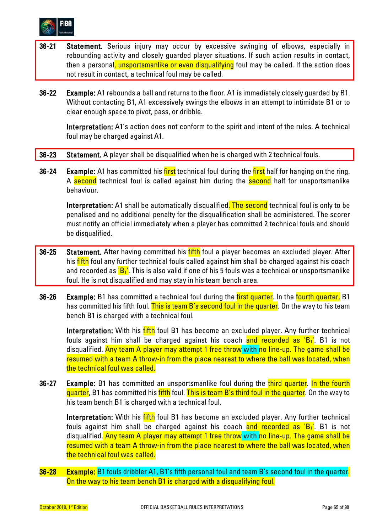

- 36-21 Statement. Serious injury may occur by excessive swinging of elbows, especially in rebounding activity and closely guarded player situations. If such action results in contact, then a personal, unsportsmanlike or even disqualifying foul may be called. If the action does not result in contact, a technical foul may be called.
- 36-22 Example: A1 rebounds a ball and returns to the floor. A1 is immediately closely guarded by B1. Without contacting B1, A1 excessively swings the elbows in an attempt to intimidate B1 or to clear enough space to pivot, pass, or dribble.

Interpretation: A1's action does not conform to the spirit and intent of the rules. A technical foul may be charged against A1.

- 36-23 Statement. A player shall be disqualified when he is charged with 2 technical fouls.
- **36-24 Example:** A1 has committed his first technical foul during the first half for hanging on the ring. A second technical foul is called against him during the second half for unsportsmanlike behaviour.

Interpretation: A1 shall be automatically disqualified. The second technical foul is only to be penalised and no additional penalty for the disqualification shall be administered. The scorer must notify an official immediately when a player has committed 2 technical fouls and should be disqualified.

- 36-25 Statement. After having committed his fifth foul a player becomes an excluded player. After his **fifth** foul any further technical fouls called against him shall be charged against his coach and recorded as  $B_1$ . This is also valid if one of his 5 fouls was a technical or unsportsmanlike foul. He is not disqualified and may stay in his team bench area.
- 36-26 Example: B1 has committed a technical foul during the first quarter. In the fourth quarter, B1 has committed his fifth foul. This is team B's second foul in the quarter. On the way to his team bench B1 is charged with a technical foul.

Interpretation: With his fifth foul B1 has become an excluded player. Any further technical fouls against him shall be charged against his coach and recorded as 'B<sub>1</sub>'. B1 is not disqualified. Any team A player may attempt 1 free throw with no line-up. The game shall be resumed with a team A throw-in from the place nearest to where the ball was located, when the technical foul was called.

36-27 Example: B1 has committed an unsportsmanlike foul during the third quarter. In the fourth guarter, B1 has committed his fifth foul. This is team B's third foul in the quarter. On the way to his team bench B1 is charged with a technical foul.

Interpretation: With his fifth foul B1 has become an excluded player. Any further technical fouls against him shall be charged against his coach and recorded as  $B_1$ . B1 is not disqualified. Any team A player may attempt 1 free throw with no line-up. The game shall be resumed with a team A throw-in from the place nearest to where the ball was located, when the technical foul was called.

36-28 Example: B1 fouls dribbler A1, B1's fifth personal foul and team B's second foul in the quarter. On the way to his team bench B1 is charged with a disqualifying foul.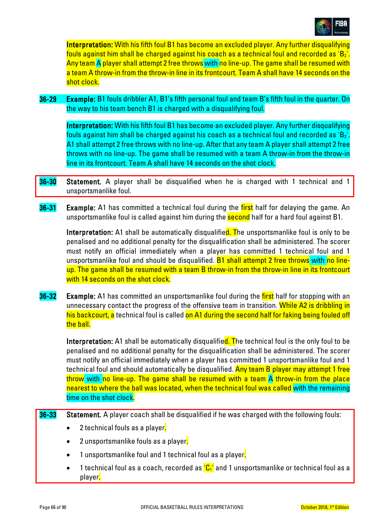

Interpretation: With his fifth foul B1 has become an excluded player. Any further disqualifying fouls against him shall be charged against his coach as a technical foul and recorded as  $B_2$ . Any team A player shall attempt 2 free throws with no line-up. The game shall be resumed with a team A throw-in from the throw-in line in its frontcourt. Team A shall have 14 seconds on the shot clock.

36-29 Example: B1 fouls dribbler A1, B1's fifth personal foul and team B's fifth foul in the quarter. On the way to his team bench B1 is charged with a disqualifying foul.

Interpretation: With his fifth foul B1 has become an excluded player. Any further disqualifying fouls against him shall be charged against his coach as a technical foul and recorded as  $B_2$ . A1 shall attempt 2 free throws with no line-up. After that any team A player shall attempt 2 free throws with no line-up. The game shall be resumed with a team A throw-in from the throw-in line in its frontcourt. Team A shall have 14 seconds on the shot clock.

- 36-30 Statement. A player shall be disqualified when he is charged with 1 technical and 1 unsportsmanlike foul.
- 36-31 Example: A1 has committed a technical foul during the first half for delaying the game. An unsportsmanlike foul is called against him during the **second** half for a hard foul against B1.

Interpretation: A1 shall be automatically disqualified. The unsportsmanlike foul is only to be penalised and no additional penalty for the disqualification shall be administered. The scorer must notify an official immediately when a player has committed 1 technical foul and 1 unsportsmanlike foul and should be disqualified. **B1 shall attempt 2 free throws** with no lineup. The game shall be resumed with a team B throw-in from the throw-in line in its frontcourt with 14 seconds on the shot clock.

36-32 Example: A1 has committed an unsportsmanlike foul during the first half for stopping with an unnecessary contact the progress of the offensive team in transition. While A2 is dribbling in his backcourt, a technical foul is called on A1 during the second half for faking being fouled off the ball.

Interpretation: A1 shall be automatically disqualified. The technical foul is the only foul to be penalised and no additional penalty for the disqualification shall be administered. The scorer must notify an official immediately when a player has committed 1 unsportsmanlike foul and 1 technical foul and should automatically be disqualified. Any team B player may attempt 1 free throw with no line-up. The game shall be resumed with a team A throw-in from the place nearest to where the ball was located, when the technical foul was called with the remaining time on the shot clock.

- 36-33 Statement. A player coach shall be disqualified if he was charged with the following fouls:
	- 2 technical fouls as a player.
	- 2 unsportsmanlike fouls as a player.
	- 1 unsportsmanlike foul and 1 technical foul as a player.
	- 1 technical foul as a coach, recorded as  ${}^{1}C_{1}{}^{1}$  and 1 unsportsmanlike or technical foul as a player.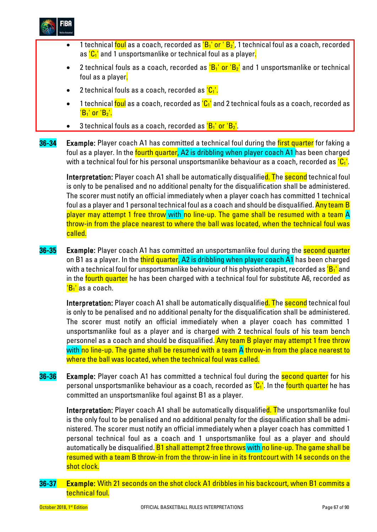

- 1 technical <mark>foul</mark> as a coach, recorded as 'B<sub>1</sub>' or ' B<sub>2</sub>', 1 technical foul as a coach, recorded as 'C<sub>1</sub>' and 1 unsportsmanlike or technical foul as a player.
- 2 technical fouls as a coach, recorded as  $B_1$  or  $B_2$  and 1 unsportsmanlike or technical foul as a player<mark>.</mark>
- 2 technical fouls as a coach, recorded as  $C_1$ .
- $\bullet$  1 technical <mark>foul</mark> as a coach, recorded as  $^{\prime}$ C<sub>1</sub>' and 2 technical fouls as a coach, recorded as  $\overline{B_1}$ ' or  $\overline{B_2}$ '.
- 3 technical fouls as a coach, recorded as  $B_1$ ' or ' $B_2$ '.

36-34 Example: Player coach A1 has committed a technical foul during the first quarter for faking a foul as a player. In the **fourth quarter, A2 is dribbling when player coach A1** has been charged with a technical foul for his personal unsportsmanlike behaviour as a coach, recorded as  $C_1$ .

Interpretation: Player coach A1 shall be automatically disqualified. The second technical foul is only to be penalised and no additional penalty for the disqualification shall be administered. The scorer must notify an official immediately when a player coach has committed 1 technical foul as a player and 1 personal technical foul as a coach and should be disqualified. Any team B player may attempt 1 free throw with no line-up. The game shall be resumed with a team A throw-in from the place nearest to where the ball was located, when the technical foul was called.

36-35 Example: Player coach A1 has committed an unsportsmanlike foul during the second quarter on B1 as a player. In the third quarter, A2 is dribbling when player coach A1 has been charged with a technical foul for unsportsmanlike behaviour of his physiotherapist, recorded as  $B_1$  and in the fourth quarter he has been charged with a technical foul for substitute A6, recorded as 'B<sub>1</sub>' as a coach.

Interpretation: Player coach A1 shall be automatically disqualified. The second technical foul is only to be penalised and no additional penalty for the disqualification shall be administered. The scorer must notify an official immediately when a player coach has committed 1 unsportsmanlike foul as a player and is charged with 2 technical fouls of his team bench personnel as a coach and should be disqualified. Any team B player may attempt 1 free throw with no line-up. The game shall be resumed with a team A throw-in from the place nearest to where the ball was located, when the technical foul was called.

36-36 Example: Player coach A1 has committed a technical foul during the second quarter for his personal unsportsmanlike behaviour as a coach, recorded as  ${}^{\mathsf{L}}\mathsf{C}_1{}^{\mathsf{L}}$ . In the fourth quarter he has committed an unsportsmanlike foul against B1 as a player.

**Interpretation:** Player coach A1 shall be automatically disqualified. The unsportsmanlike foul is the only foul to be penalised and no additional penalty for the disqualification shall be administered. The scorer must notify an official immediately when a player coach has committed 1 personal technical foul as a coach and 1 unsportsmanlike foul as a player and should automatically be disqualified. B1 shall attempt 2 free throws with no line-up. The game shall be resumed with a team B throw-in from the throw-in line in its frontcourt with 14 seconds on the shot clock.

36-37 Example: With 21 seconds on the shot clock A1 dribbles in his backcourt, when B1 commits a technical foul.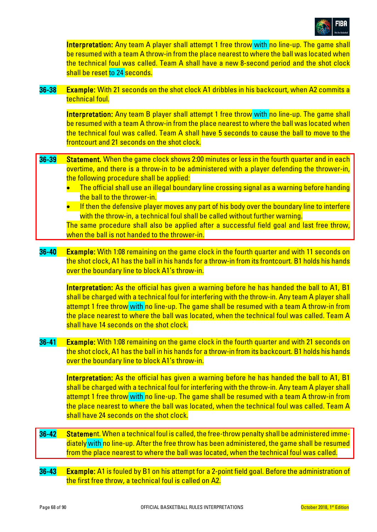

Interpretation: Any team A player shall attempt 1 free throw with no line-up. The game shall be resumed with a team A throw-in from the place nearest to where the ball was located when the technical foul was called. Team A shall have a new 8-second period and the shot clock shall be reset to 24 seconds.

36-38 Example: With 21 seconds on the shot clock A1 dribbles in his backcourt, when A2 commits a technical foul.

Interpretation: Any team B player shall attempt 1 free throw with no line-up. The game shall be resumed with a team A throw-in from the place nearest to where the ball was located when the technical foul was called. Team A shall have 5 seconds to cause the ball to move to the frontcourt and 21 seconds on the shot clock.

- 36-39 Statement. When the game clock shows 2:00 minutes or less in the fourth quarter and in each overtime, and there is a throw-in to be administered with a player defending the thrower-in, the following procedure shall be applied:
	- The official shall use an illegal boundary line crossing signal as a warning before handing the ball to the thrower-in.
	- If then the defensive player moves any part of his body over the boundary line to interfere with the throw-in, a technical foul shall be called without further warning.

The same procedure shall also be applied after a successful field goal and last free throw, when the ball is not handed to the thrower-in.

36-40 Example: With 1:08 remaining on the game clock in the fourth quarter and with 11 seconds on the shot clock, A1 has the ball in his hands for a throw-in from its frontcourt. B1 holds his hands over the boundary line to block A1's throw-in.

Interpretation: As the official has given a warning before he has handed the ball to A1, B1 shall be charged with a technical foul for interfering with the throw-in. Any team A player shall attempt 1 free throw with no line-up. The game shall be resumed with a team A throw-in from the place nearest to where the ball was located, when the technical foul was called. Team A shall have 14 seconds on the shot clock.

36-41 Example: With 1:08 remaining on the game clock in the fourth quarter and with 21 seconds on the shot clock, A1 has the ball in his hands for a throw-in from its backcourt. B1 holds his hands over the boundary line to block A1's throw-in.

Interpretation: As the official has given a warning before he has handed the ball to A1, B1 shall be charged with a technical foul for interfering with the throw-in. Any team A player shall attempt 1 free throw with no line-up. The game shall be resumed with a team A throw-in from the place nearest to where the ball was located, when the technical foul was called. Team A shall have 24 seconds on the shot clock.

- 36-42 Statement. When a technical foul is called, the free-throw penalty shall be administered immediately with no line-up. After the free throw has been administered, the game shall be resumed from the place nearest to where the ball was located, when the technical foul was called.
- 36-43 Example: A1 is fouled by B1 on his attempt for a 2-point field goal. Before the administration of the first free throw, a technical foul is called on A2.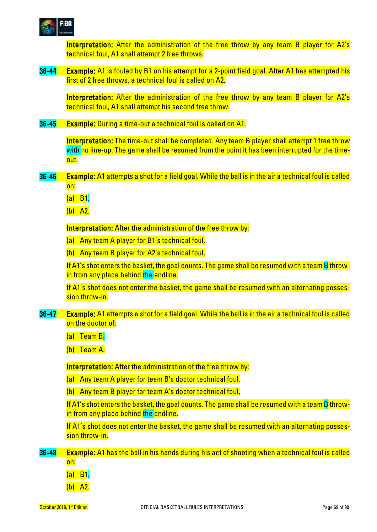

Interpretation: After the administration of the free throw by any team B player for A2's technical foul, A1 shall attempt 2 free throws.

36-44 Example: A1 is fouled by B1 on his attempt for a 2-point field goal. After A1 has attempted his first of 2 free throws, a technical foul is called on A2.

Interpretation: After the administration of the free throw by any team B player for A2's technical foul, A1 shall attempt his second free throw.

36-45 Example: During a time-out a technical foul is called on A1.

Interpretation: The time-out shall be completed. Any team B player shall attempt 1 free throw with no line-up. The game shall be resumed from the point it has been interrupted for the timeout.

- 36-46 Example: A1 attempts a shot for a field goal. While the ball is in the air a technical foul is called on:
	- (a) B1.
	- (b) A2.

Interpretation: After the administration of the free throw by:

(a) Any team A player for B1's technical foul,

(b) Any team B player for A2's technical foul,

If A1's shot enters the basket, the goal counts. The game shall be resumed with a team B throwin from any place behind the endline.

If A1's shot does not enter the basket, the game shall be resumed with an alternating possession throw-in.

- 36-47 Example: A1 attempts a shot for a field goal. While the ball is in the air a technical foul is called on the doctor of:
	- (a) Team B.
	- (b) Team A.

Interpretation: After the administration of the free throw by:

- (a) Any team A player for team B's doctor technical foul,
- (b) Any team B player for team A's doctor technical foul,

If A1's shot enters the basket, the goal counts. The game shall be resumed with a team B throwin from any place behind the endline.

If A1's shot does not enter the basket, the game shall be resumed with an alternating possession throw-in.

36-48 Example: A1 has the ball in his hands during his act of shooting when a technical foul is called on:

- (a) B1.
- (b) A2.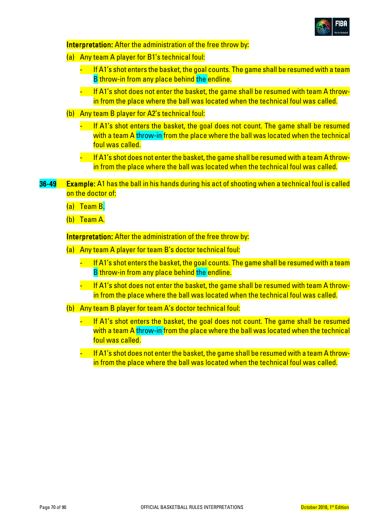

Interpretation: After the administration of the free throw by:

- (a) Any team A player for B1's technical foul:
	- If A1's shot enters the basket, the goal counts. The game shall be resumed with a team B throw-in from any place behind the endline.
	- If A1's shot does not enter the basket, the game shall be resumed with team A throwin from the place where the ball was located when the technical foul was called.
- (b) Any team B player for A2's technical foul:
	- If A1's shot enters the basket, the goal does not count. The game shall be resumed with a team A throw-in from the place where the ball was located when the technical foul was called.
	- If A1's shot does not enter the basket, the game shall be resumed with a team A throwin from the place where the ball was located when the technical foul was called.
- 36-49 Example: A1 has the ball in his hands during his act of shooting when a technical foul is called on the doctor of:
	- (a) Team B.
	- (b) Team A.

Interpretation: After the administration of the free throw by:

- (a) Any team A player for team B's doctor technical foul:
	- If A1's shot enters the basket, the goal counts. The game shall be resumed with a team B throw-in from any place behind the endline.
	- If A1's shot does not enter the basket, the game shall be resumed with team A throwin from the place where the ball was located when the technical foul was called.
- (b) Any team B player for team A's doctor technical foul:
	- If A1's shot enters the basket, the goal does not count. The game shall be resumed with a team A throw-in from the place where the ball was located when the technical foul was called.
	- If A1's shot does not enter the basket, the game shall be resumed with a team A throwin from the place where the ball was located when the technical foul was called.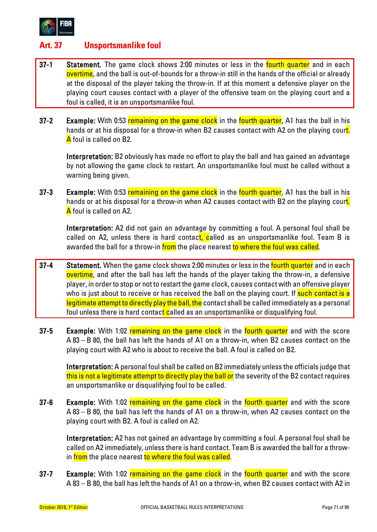

# **Art. 37 Unsportsmanlike foul**

- 37-1 Statement. The game clock shows 2:00 minutes or less in the fourth quarter and in each overtime, and the ball is out-of-bounds for a throw-in still in the hands of the official or already at the disposal of the player taking the throw-in. If at this moment a defensive player on the playing court causes contact with a player of the offensive team on the playing court and a foul is called, it is an unsportsmanlike foul.
- 37-2 Example: With 0:53 remaining on the game clock in the fourth quarter, A1 has the ball in his hands or at his disposal for a throw-in when B2 causes contact with A2 on the playing court. A foul is called on B2.

Interpretation: B2 obviously has made no effort to play the ball and has gained an advantage by not allowing the game clock to restart. An unsportsmanlike foul must be called without a warning being given.

37-3 Example: With 0:53 remaining on the game clock in the fourth quarter, A1 has the ball in his hands or at his disposal for a throw-in when A2 causes contact with B2 on the playing court. A foul is called on A2.

Interpretation: A2 did not gain an advantage by committing a foul. A personal foul shall be called on A2, unless there is hard contact, called as an unsportsmanlike foul. Team B is awarded the ball for a throw-in from the place nearest to where the foul was called.

- 37-4 Statement. When the game clock shows 2:00 minutes or less in the fourth quarter and in each overtime, and after the ball has left the hands of the player taking the throw-in, a defensive player, in order to stop or not to restart the game clock, causes contact with an offensive player who is just about to receive or has received the ball on the playing court. If such contact is a legitimate attempt to directly play the ball, the contact shall be called immediately as a personal foul unless there is hard contact called as an unsportsmanlike or disqualifying foul.
- 37-5 Example: With 1:02 remaining on the game clock in the fourth quarter and with the score A 83 – B 80, the ball has left the hands of A1 on a throw-in, when B2 causes contact on the playing court with A2 who is about to receive the ball. A foul is called on B2.

Interpretation: A personal foul shall be called on B2 immediately unless the officials judge that this is not a legitimate attempt to directly play the ball or the severity of the B2 contact requires an unsportsmanlike or disqualifying foul to be called.

37-6 Example: With 1:02 remaining on the game clock in the fourth quarter and with the score A 83 – B 80, the ball has left the hands of A1 on a throw-in, when A2 causes contact on the playing court with B2. A foul is called on A2.

Interpretation: A2 has not gained an advantage by committing a foul. A personal foul shall be called on A2 immediately, unless there is hard contact. Team B is awarded the ball for a throwin from the place nearest to where the foul was called.

37-7 Example: With 1:02 remaining on the game clock in the fourth quarter and with the score A 83 – B 80, the ball has left the hands of A1 on a throw-in, when B2 causes contact with A2 in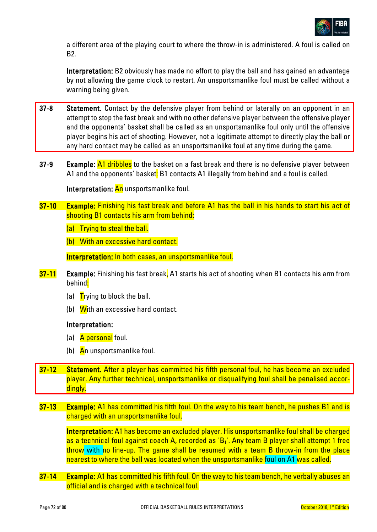

a different area of the playing court to where the throw-in is administered. A foul is called on B2.

Interpretation: B2 obviously has made no effort to play the ball and has gained an advantage by not allowing the game clock to restart. An unsportsmanlike foul must be called without a warning being given.

- 37-8 Statement. Contact by the defensive player from behind or laterally on an opponent in an attempt to stop the fast break and with no other defensive player between the offensive player and the opponents' basket shall be called as an unsportsmanlike foul only until the offensive player begins his act of shooting. However, not a legitimate attempt to directly play the ball or any hard contact may be called as an unsportsmanlike foul at any time during the game.
- 37-9 Example: A1 dribbles to the basket on a fast break and there is no defensive player between A1 and the opponents' basket: B1 contacts A1 illegally from behind and a foul is called.

Interpretation: An unsportsmanlike foul.

- 37-10 Example: Finishing his fast break and before A1 has the ball in his hands to start his act of shooting B1 contacts his arm from behind:
	- (a) Trying to steal the ball.

(b) With an excessive hard contact.

Interpretation: In both cases, an unsportsmanlike foul.

- 37-11 Example: Finishing his fast break, A1 starts his act of shooting when B1 contacts his arm from behind:
	- (a)  $\overline{\text{Try}}$  to block the ball.
	- (b) With an excessive hard contact.

## Interpretation:

- (a) A personal foul.
- (b)  $\Delta$ n unsportsmanlike foul.

## 37-12 Statement. After a player has committed his fifth personal foul, he has become an excluded player. Any further technical, unsportsmanlike or disqualifying foul shall be penalised accordingly.

37-13 Example: A1 has committed his fifth foul. On the way to his team bench, he pushes B1 and is charged with an unsportsmanlike foul.

Interpretation: A1 has become an excluded player. His unsportsmanlike foul shall be charged as a technical foul against coach A, recorded as 'B<sub>1</sub>'. Any team B player shall attempt 1 free throw with no line-up. The game shall be resumed with a team B throw-in from the place nearest to where the ball was located when the unsportsmanlike foul on A1 was called.

37-14 Example: A1 has committed his fifth foul. On the way to his team bench, he verbally abuses an official and is charged with a technical foul.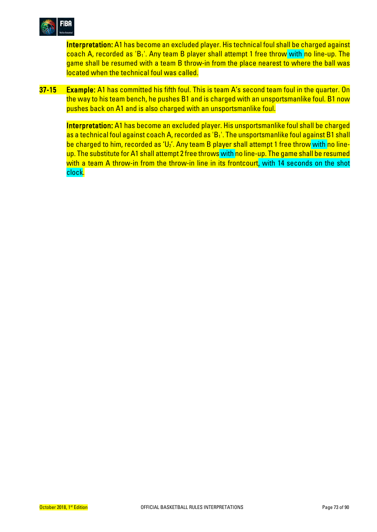

Interpretation: A1 has become an excluded player. His technical foul shall be charged against  $\frac{1}{2}$  coach A, recorded as 'B<sub>1</sub>'. Any team B player shall attempt 1 free throw with no line-up. The game shall be resumed with a team B throw-in from the place nearest to where the ball was located when the technical foul was called.

37-15 Example: A1 has committed his fifth foul. This is team A's second team foul in the quarter. On the way to his team bench, he pushes B1 and is charged with an unsportsmanlike foul. B1 now pushes back on A1 and is also charged with an unsportsmanlike foul.

Interpretation: A1 has become an excluded player. His unsportsmanlike foul shall be charged as a technical foul against coach A, recorded as 'B<sub>1</sub>'. The unsportsmanlike foul against B1 shall be charged to him, recorded as 'U<sub>2</sub>'. Any team B player shall attempt 1 free throw with no lineup. The substitute for A1 shall attempt 2 free throws with no line-up. The game shall be resumed with a team A throw-in from the throw-in line in its frontcourt, with 14 seconds on the shot clock.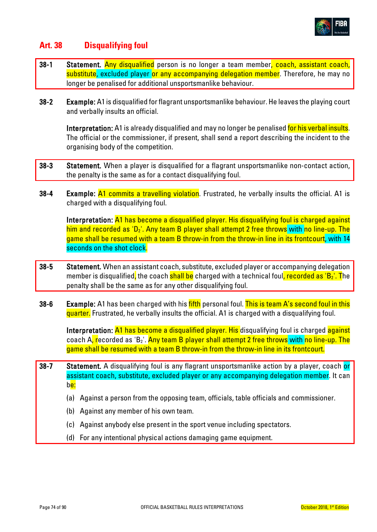

# **Art. 38 Disqualifying foul**

- 38-1 Statement. Any disqualified person is no longer a team member, coach, assistant coach, substitute, excluded player or any accompanying delegation member. Therefore, he may no longer be penalised for additional unsportsmanlike behaviour.
- 38-2 Example: A1 is disqualified for flagrant unsportsmanlike behaviour. He leaves the playing court and verbally insults an official.

Interpretation: A1 is already disqualified and may no longer be penalised for his verbal insults. The official or the commissioner, if present, shall send a report describing the incident to the organising body of the competition.

- 38-3 Statement. When a player is disqualified for a flagrant unsportsmanlike non-contact action, the penalty is the same as for a contact disqualifying foul.
- 38-4 Example: A1 commits a travelling violation. Frustrated, he verbally insults the official. A1 is charged with a disqualifying foul.

Interpretation: A1 has become a disqualified player. His disqualifying foul is charged against him and recorded as 'D<sub>2</sub>'. Any team B player shall attempt 2 free throws with no line-up. The game shall be resumed with a team B throw-in from the throw-in line in its frontcourt, with 14 seconds on the shot clock.

- 38-5 Statement. When an assistant coach, substitute, excluded player or accompanying delegation member is disqualified, the coach shall be charged with a technical foul, recorded as 'B<sub>2</sub>'. The penalty shall be the same as for any other disqualifying foul.
- 38-6 Example: A1 has been charged with his fifth personal foul. This is team A's second foul in this quarter. Frustrated, he verbally insults the official. A1 is charged with a disqualifying foul.

Interpretation: A1 has become a disqualified player. His disqualifying foul is charged against coach A, recorded as 'B<sub>2</sub>'. Any team B player shall attempt 2 free throws with no line-up. The game shall be resumed with a team B throw-in from the throw-in line in its frontcourt.

- 38-7 Statement. A disqualifying foul is any flagrant unsportsmanlike action by a player, coach or assistant coach, substitute, excluded player or any accompanying delegation member. It can be:
	- (a) Against a person from the opposing team, officials, table officials and commissioner.
	- (b) Against any member of his own team.
	- (c) Against anybody else present in the sport venue including spectators.
	- (d) For any intentional physical actions damaging game equipment.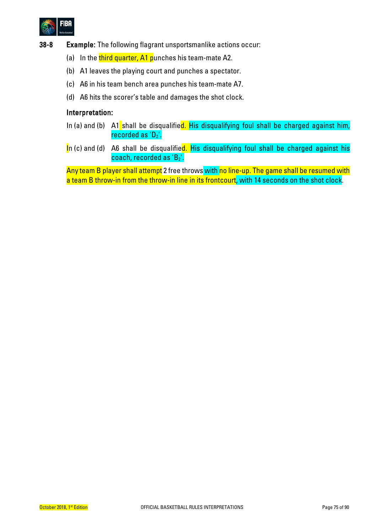

38-8 Example: The following flagrant unsportsmanlike actions occur:

- (a) In the third quarter,  $\mathsf{A1}$  punches his team-mate A2.
- (b) A1 leaves the playing court and punches a spectator.
- (c) A6 in his team bench area punches his team-mate A7.
- (d) A6 hits the scorer's table and damages the shot clock.

#### Interpretation:

- In (a) and (b) A1 shall be disqualified. His disqualifying foul shall be charged against him, recorded as  $D_2$ .
- In (c) and (d) A6 shall be disqualified. His disqualifying foul shall be charged against his coach, recorded as  $B_2$ .

Any team B player shall attempt 2 free throws with no line-up. The game shall be resumed with a team B throw-in from the throw-in line in its frontcourt, with 14 seconds on the shot clock.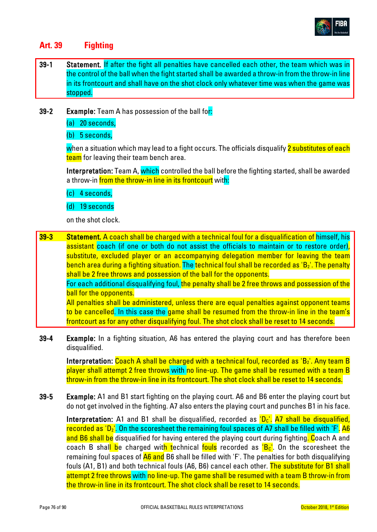

## **Art. 39 Fighting**

- 39-1 Statement. If after the fight all penalties have cancelled each other, the team which was in the control of the ball when the fight started shall be awarded a throw-in from the throw-in line in its frontcourt and shall have on the shot clock only whatever time was when the game was stopped.
- 39-2 Example: Team A has possession of the ball for:
	- (a) 20 seconds,
	- (b) 5 seconds,

when a situation which may lead to a fight occurs. The officials disqualify 2 substitutes of each team for leaving their team bench area.

Interpretation: Team A, which controlled the ball before the fighting started, shall be awarded a throw-in from the throw-in line in its frontcourt with:

(c) 4 seconds,

(d) 19 seconds

on the shot clock.

39-3 Statement. A coach shall be charged with a technical foul for a disqualification of himself, his assistant coach (if one or both do not assist the officials to maintain or to restore order), substitute, excluded player or an accompanying delegation member for leaving the team bench area during a fighting situation. The technical foul shall be recorded as 'B<sub>2</sub>'. The penalty shall be 2 free throws and possession of the ball for the opponents. For each additional disqualifying foul, the penalty shall be 2 free throws and possession of the ball for the opponents. All penalties shall be administered, unless there are equal penalties against opponent teams to be cancelled. In this case the game shall be resumed from the throw-in line in the team's

**39-4** Example: In a fighting situation, A6 has entered the playing court and has therefore been disqualified.

frontcourt as for any other disqualifying foul. The shot clock shall be reset to 14 seconds.

Interpretation: Coach A shall be charged with a technical foul, recorded as 'B<sub>2</sub>'. Any team B player shall attempt 2 free throws with no line-up. The game shall be resumed with a team B throw-in from the throw-in line in its frontcourt. The shot clock shall be reset to 14 seconds.

39-5 Example: A1 and B1 start fighting on the playing court. A6 and B6 enter the playing court but do not get involved in the fighting. A7 also enters the playing court and punches B1 in his face.

Interpretation: A1 and B1 shall be disqualified, recorded as  $D_c$ . A7 shall be disqualified, recorded as 'D<sub>2</sub>'. On the scoresheet the remaining foul spaces of A7 shall be filled with 'F'. A6 and B6 shall be disqualified for having entered the playing court during fighting. Coach A and coach B shall be charged with technical fouls recorded as 'B<sub>C</sub>'. On the scoresheet the remaining foul spaces of **A6 and** B6 shall be filled with 'F'. The penalties for both disqualifying fouls (A1, B1) and both technical fouls (A6, B6) cancel each other. The substitute for B1 shall attempt 2 free throws with no line-up. The game shall be resumed with a team B throw-in from the throw-in line in its frontcourt. The shot clock shall be reset to 14 seconds.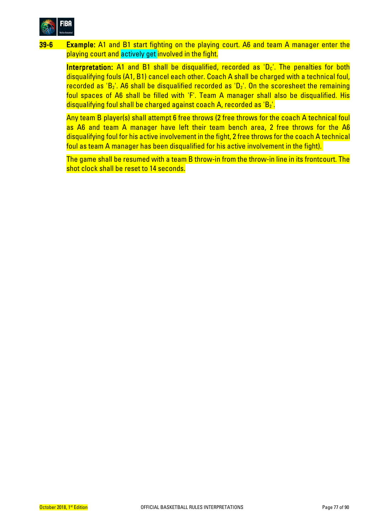

### 39-6 Example: A1 and B1 start fighting on the playing court. A6 and team A manager enter the playing court and actively get involved in the fight.

Interpretation: A1 and B1 shall be disqualified, recorded as ' $D<sub>c</sub>$ '. The penalties for both disqualifying fouls (A1, B1) cancel each other. Coach A shall be charged with a technical foul, recorded as 'B<sub>2</sub>'. A6 shall be disqualified recorded as 'D<sub>2</sub>'. On the scoresheet the remaining foul spaces of A6 shall be filled with 'F'. Team A manager shall also be disqualified. His disqualifying foul shall be charged against coach A, recorded as  $B_2$ .

Any team B player(s) shall attempt 6 free throws (2 free throws for the coach A technical foul as A6 and team A manager have left their team bench area, 2 free throws for the A6 disqualifying foul for his active involvement in the fight, 2 free throws for the coach A technical foul as team A manager has been disqualified for his active involvement in the fight).

The game shall be resumed with a team B throw-in from the throw-in line in its frontcourt. The shot clock shall be reset to 14 seconds.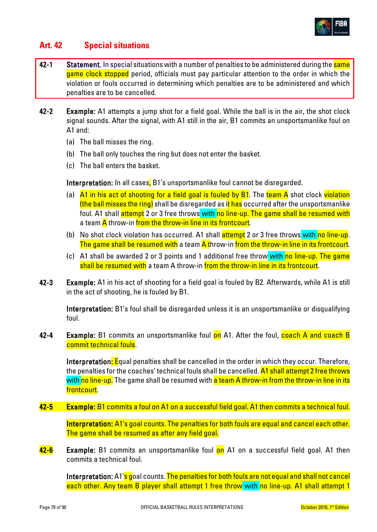

# **Art. 42 Special situations**

- 42-1 Statement. In special situations with a number of penalties to be administered during the same game clock stopped period, officials must pay particular attention to the order in which the violation or fouls occurred in determining which penalties are to be administered and which penalties are to be cancelled.
- 42-2 Example: A1 attempts a jump shot for a field goal. While the ball is in the air, the shot clock signal sounds. After the signal, with A1 still in the air, B1 commits an unsportsmanlike foul on A1 and:
	- (a) The ball misses the ring.
	- (b) The ball only touches the ring but does not enter the basket.
	- (c) The ball enters the basket.

Interpretation: In all cases, B1's unsportsmanlike foul cannot be disregarded.

- (a) A1 in his act of shooting for a field goal is fouled by B1. The team A shot clock violation (the ball misses the ring) shall be disregarded as it has occurred after the unsportsmanlike foul. A1 shall attempt 2 or 3 free throws with no line-up. The game shall be resumed with a team A throw-in from the throw-in line in its frontcourt.
- (b) No shot clock violation has occurred. A1 shall **attempt** 2 or 3 free throws with no line-up. The game shall be resumed with a team A throw-in from the throw-in line in its frontcourt.
- (c) A1 shall be awarded 2 or 3 points and 1 additional free throw with no line-up. The game shall be resumed with a team A throw-in from the throw-in line in its frontcourt.
- 42-3 Example: A1 in his act of shooting for a field goal is fouled by B2. Afterwards, while A1 is still in the act of shooting, he is fouled by B1.

Interpretation: B1's foul shall be disregarded unless it is an unsportsmanlike or disqualifying foul.

42-4 Example: B1 commits an unsportsmanlike foul on A1. After the foul, coach A and coach B commit technical fouls.

Interpretation<mark>: E</mark>qual penalties shall be cancelled in the order in which they occur. Therefore, the penalties for the coaches' technical fouls shall be cancelled. A1 shall attempt 2 free throws with no line-up. The game shall be resumed with a team A throw-in from the throw-in line in its frontcourt.

42-5 Example: B1 commits a foul on A1 on a successful field goal. A1 then commits a technical foul.

Interpretation: A1's goal counts. The penalties for both fouls are equal and cancel each other. The game shall be resumed as after any field goal.

42-6 Example: B1 commits an unsportsmanlike foul on A1 on a successful field goal. A1 then commits a technical foul.

Interpretation: A1's goal counts. The penalties for both fouls are not equal and shall not cancel each other. Any team B player shall attempt 1 free throw with no line-up. A1 shall attempt 1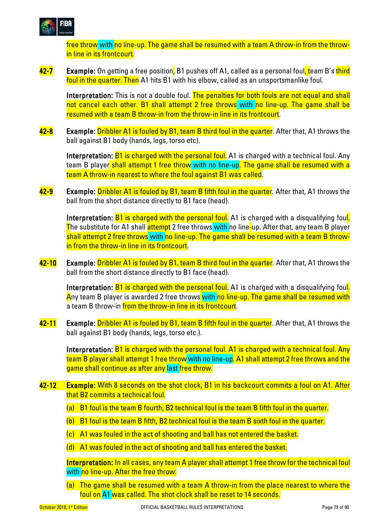

free throw with no line-up. The game shall be resumed with a team A throw-in from the throwin line in its frontcourt.

42-7 Example: On getting a free position, B1 pushes off A1, called as a personal foul, team B's third foul in the quarter. Then A1 hits B1 with his elbow, called as an unsportsmanlike foul.

Interpretation: This is not a double foul. The penalties for both fouls are not equal and shall not cancel each other. B1 shall attempt 2 free throws with no line-up. The game shall be resumed with a team B throw-in from the throw-in line in its frontcourt.

42-8 Example: Dribbler A1 is fouled by B1, team B third foul in the quarter. After that, A1 throws the ball against B1 body (hands, legs, torso etc).

Interpretation: **B1** is charged with the personal foul. A1 is charged with a technical foul. Any team B player shall attempt 1 free throw with no line-up. The game shall be resumed with a team A throw-in nearest to where the foul against B1 was called.

42-9 Example: Dribbler A1 is fouled by B1, team B fifth foul in the quarter. After that, A1 throws the ball from the short distance directly to B1 face (head).

Interpretation: **B1** is charged with the personal foul. A1 is charged with a disqualifying foul. The substitute for A1 shall attempt 2 free throws with no line-up. After that, any team B player shall attempt 2 free throws with no line-up. The game shall be resumed with a team B throwin from the throw-in line in its frontcourt.

42-10 Example: Dribbler A1 is fouled by B1, team B third foul in the quarter. After that, A1 throws the ball from the short distance directly to B1 face (head).

Interpretation: **B1** is charged with the personal foul. A1 is charged with a disqualifying foul. Any team B player is awarded 2 free throws with no line-up. The game shall be resumed with a team B throw-in from the throw-in line in its frontcourt.

42-11 Example: Dribbler A1 is fouled by B1, team B fifth foul in the quarter. After that, A1 throws the ball against B1 body (hands, legs, torso etc.).

Interpretation: **B1** is charged with the personal foul. A1 is charged with a technical foul. Any team B player shall attempt 1 free throw with no line-up. A1 shall attempt 2 free throws and the game shall continue as after any last free throw.

- 42-12 Example: With 8 seconds on the shot clock, B1 in his backcourt commits a foul on A1. After that B2 commits a technical foul.
	- (a) B1 foul is the team B fourth, B2 technical foul is the team B fifth foul in the quarter.
	- (b) B1 foul is the team B fifth, B2 technical foul is the team B sixth foul in the quarter.
	- (c) A1 was fouled in the act of shooting and ball has not entered the basket.
	- (d) A1 was fouled in the act of shooting and ball has entered the basket.

Interpretation: In all cases, any team A player shall attempt 1 free throw for the technical foul with no line-up. After the free throw:

(a) The game shall be resumed with a team A throw-in from the place nearest to where the foul on A1 was called. The shot clock shall be reset to 14 seconds.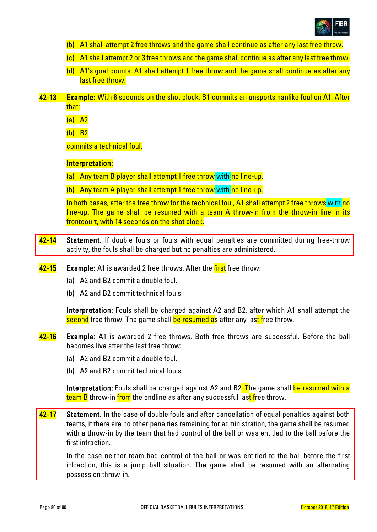

- (b) A1 shall attempt 2 free throws and the game shall continue as after any last free throw.
- (c) A1 shall attempt 2 or 3 free throws and the game shall continue as after any last free throw.
- (d) A1's goal counts. A1 shall attempt 1 free throw and the game shall continue as after any last free throw.
- 42-13 Example: With 8 seconds on the shot clock, B1 commits an unsportsmanlike foul on A1. After that:
	- $(a)$  A2
	- (b) B2

commits a technical foul.

#### Interpretation:

(a) Any team B player shall attempt 1 free throw with no line-up.

(b) Any team A player shall attempt 1 free throw with no line-up.

In both cases, after the free throw for the technical foul, A1 shall attempt 2 free throws with no line-up. The game shall be resumed with a team A throw-in from the throw-in line in its frontcourt, with 14 seconds on the shot clock.

- 42-14 Statement. If double fouls or fouls with equal penalties are committed during free-throw activity, the fouls shall be charged but no penalties are administered.
- 42-15 Example: A1 is awarded 2 free throws. After the first free throw:
	- (a) A2 and B2 commit a double foul.
	- (b) A2 and B2 commit technical fouls.

Interpretation: Fouls shall be charged against A2 and B2, after which A1 shall attempt the second free throw. The game shall be resumed as after any last free throw.

- 42-16 Example: A1 is awarded 2 free throws. Both free throws are successful. Before the ball becomes live after the last free throw:
	- (a) A2 and B2 commit a double foul.
	- (b) A2 and B2 commit technical fouls.

Interpretation: Fouls shall be charged against A2 and B2. The game shall be resumed with a team B throw-in from the endline as after any successful last free throw.

42-17 Statement. In the case of double fouls and after cancellation of equal penalties against both teams, if there are no other penalties remaining for administration, the game shall be resumed with a throw-in by the team that had control of the ball or was entitled to the ball before the first infraction.

In the case neither team had control of the ball or was entitled to the ball before the first infraction, this is a jump ball situation. The game shall be resumed with an alternating possession throw-in.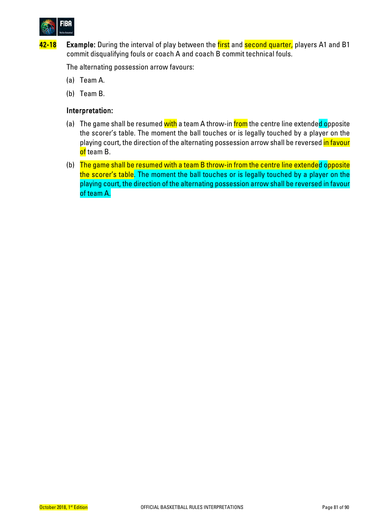

42-18 Example: During the interval of play between the first and second quarter, players A1 and B1 commit disqualifying fouls or coach A and coach B commit technical fouls.

The alternating possession arrow favours:

- (a) Team A.
- (b) Team B.

#### Interpretation:

- (a) The game shall be resumed with a team A throw-in from the centre line extended opposite the scorer's table. The moment the ball touches or is legally touched by a player on the playing court, the direction of the alternating possession arrow shall be reversed in favour of team B.
- (b) The game shall be resumed with a team B throw-in from the centre line extended opposite the scorer's table. The moment the ball touches or is legally touched by a player on the playing court, the direction of the alternating possession arrow shall be reversed in favour of team A.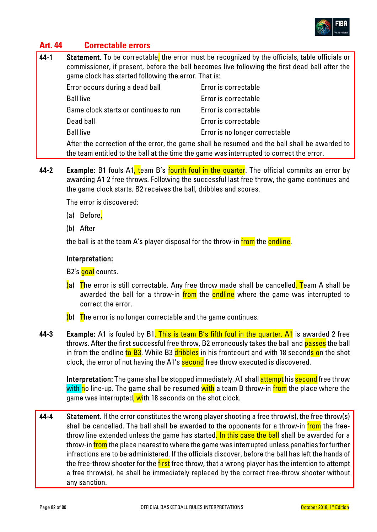

# **Art. 44 Correctable errors**

|                                                                                                                                                                                           | $44-1$ | <b>Statement.</b> To be correctable, the error must be recognized by the officials, table officials or<br>commissioner, if present, before the ball becomes live following the first dead ball after the<br>game clock has started following the error. That is: |                      |  |
|-------------------------------------------------------------------------------------------------------------------------------------------------------------------------------------------|--------|------------------------------------------------------------------------------------------------------------------------------------------------------------------------------------------------------------------------------------------------------------------|----------------------|--|
|                                                                                                                                                                                           |        | Error occurs during a dead ball                                                                                                                                                                                                                                  | Error is correctable |  |
| <b>Ball live</b><br>Error is correctable                                                                                                                                                  |        |                                                                                                                                                                                                                                                                  |                      |  |
| Game clock starts or continues to run<br>Error is correctable                                                                                                                             |        |                                                                                                                                                                                                                                                                  |                      |  |
| Dead ball<br>Error is correctable                                                                                                                                                         |        |                                                                                                                                                                                                                                                                  |                      |  |
| Error is no longer correctable<br><b>Ball live</b>                                                                                                                                        |        |                                                                                                                                                                                                                                                                  |                      |  |
| After the correction of the error, the game shall be resumed and the ball shall be awarded to<br>the team entitled to the ball at the time the game was interrupted to correct the error. |        |                                                                                                                                                                                                                                                                  |                      |  |

44-2 Example: B1 fouls A1, team B's fourth foul in the quarter. The official commits an error by awarding A1 2 free throws. Following the successful last free throw, the game continues and the game clock starts. B2 receives the ball, dribbles and scores.

The error is discovered:

- (a) Before,
- (b) After

the ball is at the team A's player disposal for the throw-in from the endline.

#### Interpretation:

B2's goal counts.

- (a) The error is still correctable. Any free throw made shall be cancelled. Team A shall be awarded the ball for a throw-in from the endline where the game was interrupted to correct the error.
- $\langle b \rangle$  The error is no longer correctable and the game continues.
- 44-3 Example: A1 is fouled by B1. This is team B's fifth foul in the quarter. A1 is awarded 2 free throws. After the first successful free throw, B2 erroneously takes the ball and **passes** the ball in from the endline to B3. While B3 dribbles in his frontcourt and with 18 seconds on the shot clock, the error of not having the A1's **second** free throw executed is discovered.

Interpretation: The game shall be stopped immediately. A1 shall attempt his second free throw with <mark>n</mark>o line-up. The game shall be resumed with a team B throw-in from the place where the game was interrupted, with 18 seconds on the shot clock.

44-4 Statement. If the error constitutes the wrong player shooting a free throw(s), the free throw(s) shall be cancelled. The ball shall be awarded to the opponents for a throw-in from the freethrow line extended unless the game has started. In this case the ball shall be awarded for a throw-in from the place nearest to where the game was interrupted unless penalties for further infractions are to be administered. If the officials discover, before the ball has left the hands of the free-throw shooter for the first free throw, that a wrong player has the intention to attempt a free throw(s), he shall be immediately replaced by the correct free-throw shooter without any sanction.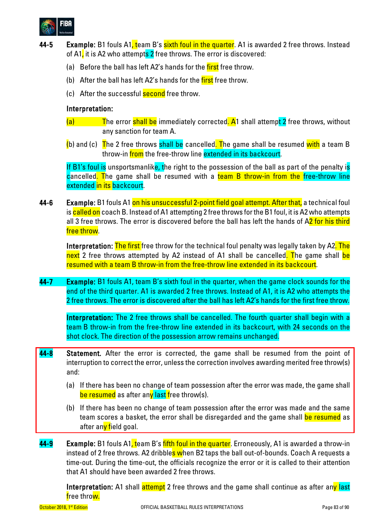

- 44-5 Example: B1 fouls A1, team B's sixth foul in the quarter. A1 is awarded 2 free throws. Instead of A1, it is A2 who attempts  $2$  free throws. The error is discovered:
	- (a) Before the ball has left A2's hands for the *first* free throw.
	- (b) After the ball has left A2's hands for the *first* free throw.
	- (c) After the successful **second** free throw.

### Interpretation:

- $(a)$  The error shall be immediately corrected. A<sub>1</sub> shall attempt 2 free throws, without any sanction for team A.
- (b) and (c)  $\overline{\text{The}}$  2 free throws shall be cancelled. The game shall be resumed with a team B throw-in **from** the free-throw line **extended in its backcourt**.

If B1's foul is unsportsmanlike, the right to the possession of the ball as part of the penalty is cancelled. The game shall be resumed with a team B throw-in from the free-throw line extended in its backcourt.

44-6 Example: B1 fouls A1 on his unsuccessful 2-point field goal attempt. After that, a technical foul is called on coach B. Instead of A1 attempting 2 free throws for the B1 foul, it is A2 who attempts all 3 free throws. The error is discovered before the ball has left the hands of A2 for his third free throw.

Interpretation: The first free throw for the technical foul penalty was legally taken by A2. The next 2 free throws attempted by A2 instead of A1 shall be cancelled<mark>. T</mark>he game shall be resumed with a team B throw-in from the free-throw line extended in its backcourt.

44-7 Example: B1 fouls A1, team B's sixth foul in the quarter, when the game clock sounds for the end of the third quarter. A1 is awarded 2 free throws. Instead of A1, it is A2 who attempts the 2 free throws. The error is discovered after the ball has left A2's hands for the first free throw.

Interpretation: The 2 free throws shall be cancelled. The fourth quarter shall begin with a team B throw-in from the free-throw line extended in its backcourt, with 24 seconds on the shot clock. The direction of the possession arrow remains unchanged.

- 44-8 Statement. After the error is corrected, the game shall be resumed from the point of interruption to correct the error, unless the correction involves awarding merited free throw(s) and:
	- (a) If there has been no change of team possession after the error was made, the game shall be resumed as after any last free throw(s).
	- (b) If there has been no change of team possession after the error was made and the same team scores a basket, the error shall be disregarded and the game shall be resumed as after an<mark>y f</mark>ield goal.
- 44-9 Example: B1 fouls A1, team B's fifth foul in the quarter. Erroneously, A1 is awarded a throw-in instead of 2 free throws. A2 dribbles when B2 taps the ball out-of-bounds. Coach A requests a time-out. During the time-out, the officials recognize the error or it is called to their attention that A1 should have been awarded 2 free throws.

Interpretation: A1 shall attempt 2 free throws and the game shall continue as after any last free throw.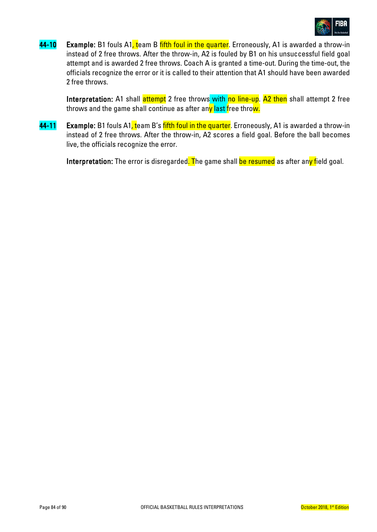

44-10 Example: B1 fouls A1, team B fifth foul in the quarter. Erroneously, A1 is awarded a throw-in instead of 2 free throws. After the throw-in, A2 is fouled by B1 on his unsuccessful field goal attempt and is awarded 2 free throws. Coach A is granted a time-out. During the time-out, the officials recognize the error or it is called to their attention that A1 should have been awarded 2 free throws.

Interpretation: A1 shall attempt 2 free throws with no line-up. A2 then shall attempt 2 free throws and the game shall continue as after any last free throw.

44-11 Example: B1 fouls A1, team B's fifth foul in the quarter. Erroneously, A1 is awarded a throw-in instead of 2 free throws. After the throw-in, A2 scores a field goal. Before the ball becomes live, the officials recognize the error.

Interpretation: The error is disregarded. The game shall be resumed as after any field goal.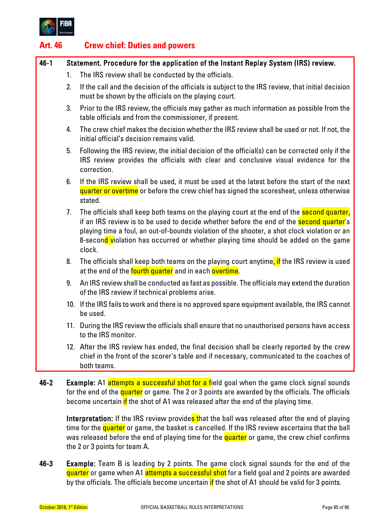

## **Art. 46 Crew chief: Duties and powers**

| $46 - 1$ | Statement. Procedure for the application of the Instant Replay System (IRS) review.                                                                                                                                                                                                         |                                                                                                                                                                                                                                                                                                                                                                                                                      |  |
|----------|---------------------------------------------------------------------------------------------------------------------------------------------------------------------------------------------------------------------------------------------------------------------------------------------|----------------------------------------------------------------------------------------------------------------------------------------------------------------------------------------------------------------------------------------------------------------------------------------------------------------------------------------------------------------------------------------------------------------------|--|
|          | 1.                                                                                                                                                                                                                                                                                          | The IRS review shall be conducted by the officials.                                                                                                                                                                                                                                                                                                                                                                  |  |
|          | 2.                                                                                                                                                                                                                                                                                          | If the call and the decision of the officials is subject to the IRS review, that initial decision<br>must be shown by the officials on the playing court.                                                                                                                                                                                                                                                            |  |
|          | 3.                                                                                                                                                                                                                                                                                          | Prior to the IRS review, the officials may gather as much information as possible from the<br>table officials and from the commissioner, if present.                                                                                                                                                                                                                                                                 |  |
|          | 4.                                                                                                                                                                                                                                                                                          | The crew chief makes the decision whether the IRS review shall be used or not. If not, the<br>initial official's decision remains valid.                                                                                                                                                                                                                                                                             |  |
|          | 5.                                                                                                                                                                                                                                                                                          | Following the IRS review, the initial decision of the official(s) can be corrected only if the<br>IRS review provides the officials with clear and conclusive visual evidence for the<br>correction.                                                                                                                                                                                                                 |  |
|          | 6.                                                                                                                                                                                                                                                                                          | If the IRS review shall be used, it must be used at the latest before the start of the next<br>quarter or overtime or before the crew chief has signed the scoresheet, unless otherwise<br>stated.                                                                                                                                                                                                                   |  |
|          | 7.                                                                                                                                                                                                                                                                                          | The officials shall keep both teams on the playing court at the end of the <b>second quarter</b> ,<br>if an IRS review is to be used to decide whether before the end of the <b>second quarter's</b><br>playing time a foul, an out-of-bounds violation of the shooter, a shot clock violation or an<br>8-secon <mark>d v</mark> iolation has occurred or whether playing time should be added on the game<br>clock. |  |
|          | 8.                                                                                                                                                                                                                                                                                          | The officials shall keep both teams on the playing court anytime, if the IRS review is used<br>at the end of the fourth quarter and in each overtime.                                                                                                                                                                                                                                                                |  |
|          | 9.                                                                                                                                                                                                                                                                                          | An IRS review shall be conducted as fast as possible. The officials may extend the duration<br>of the IRS review if technical problems arise.                                                                                                                                                                                                                                                                        |  |
|          |                                                                                                                                                                                                                                                                                             | 10. If the IRS fails to work and there is no approved spare equipment available, the IRS cannot<br>be used.                                                                                                                                                                                                                                                                                                          |  |
|          |                                                                                                                                                                                                                                                                                             | 11. During the IRS review the officials shall ensure that no unauthorised persons have access<br>to the IRS monitor.                                                                                                                                                                                                                                                                                                 |  |
|          |                                                                                                                                                                                                                                                                                             | 12. After the IRS review has ended, the final decision shall be clearly reported by the crew<br>chief in the front of the scorer's table and if necessary, communicated to the coaches of<br>both teams.                                                                                                                                                                                                             |  |
| $46 - 2$ | <b>Example:</b> A1 attempts a successful shot for a field goal when the game clock signal sounds<br>for the end of the quarter or game. The 2 or 3 points are awarded by the officials. The officials<br>become uncertain if the shot of A1 was released after the end of the playing time. |                                                                                                                                                                                                                                                                                                                                                                                                                      |  |

Interpretation: If the IRS review provides that the ball was released after the end of playing time for the quarter or game, the basket is cancelled. If the IRS review ascertains that the ball was released before the end of playing time for the quarter or game, the crew chief confirms the 2 or 3 points for team A.

46-3 Example: Team B is leading by 2 points. The game clock signal sounds for the end of the quarter or game when A1 attempts a successful shot for a field goal and 2 points are awarded by the officials. The officials become uncertain if the shot of A1 should be valid for 3 points.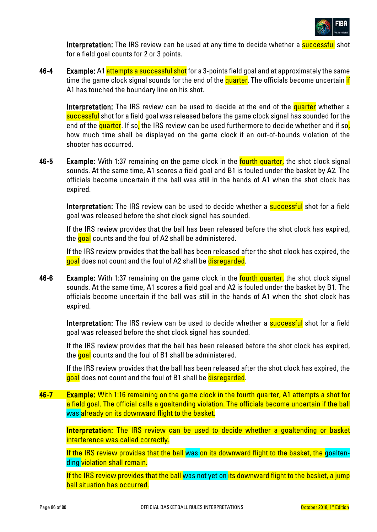

Interpretation: The IRS review can be used at any time to decide whether a **successful** shot for a field goal counts for 2 or 3 points.

46-4 Example: A1 attempts a successful shot for a 3-points field goal and at approximately the same time the game clock signal sounds for the end of the **quarter**. The officials become uncertain if A1 has touched the boundary line on his shot.

Interpretation: The IRS review can be used to decide at the end of the quarter whether a successful shot for a field goal was released before the game clock signal has sounded for the end of the quarter. If so, the IRS review can be used furthermore to decide whether and if so, how much time shall be displayed on the game clock if an out-of-bounds violation of the shooter has occurred.

46-5 Example: With 1:37 remaining on the game clock in the fourth quarter, the shot clock signal sounds. At the same time, A1 scores a field goal and B1 is fouled under the basket by A2. The officials become uncertain if the ball was still in the hands of A1 when the shot clock has expired.

Interpretation: The IRS review can be used to decide whether a **successful** shot for a field goal was released before the shot clock signal has sounded.

If the IRS review provides that the ball has been released before the shot clock has expired, the goal counts and the foul of A2 shall be administered.

If the IRS review provides that the ball has been released after the shot clock has expired, the goal does not count and the foul of A2 shall be disregarded.

46-6 Example: With 1:37 remaining on the game clock in the fourth quarter, the shot clock signal sounds. At the same time, A1 scores a field goal and A2 is fouled under the basket by B1. The officials become uncertain if the ball was still in the hands of A1 when the shot clock has expired.

Interpretation: The IRS review can be used to decide whether a **successful** shot for a field goal was released before the shot clock signal has sounded.

If the IRS review provides that the ball has been released before the shot clock has expired, the goal counts and the foul of B1 shall be administered.

If the IRS review provides that the ball has been released after the shot clock has expired, the aoal does not count and the foul of B1 shall be disregarded.

46-7 Example: With 1:16 remaining on the game clock in the fourth quarter, A1 attempts a shot for a field goal. The official calls a goaltending violation. The officials become uncertain if the ball was already on its downward flight to the basket.

Interpretation: The IRS review can be used to decide whether a goaltending or basket interference was called correctly.

If the IRS review provides that the ball was on its downward flight to the basket, the goaltending violation shall remain.

If the IRS review provides that the ball was not yet on its downward flight to the basket, a jump ball situation has occurred.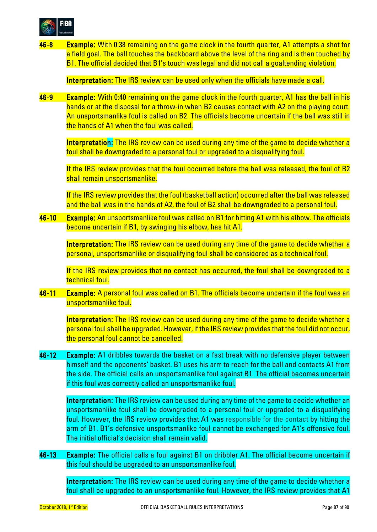

46-8 Example: With 0:38 remaining on the game clock in the fourth quarter, A1 attempts a shot for a field goal. The ball touches the backboard above the level of the ring and is then touched by B1. The official decided that B1's touch was legal and did not call a goaltending violation.

Interpretation: The IRS review can be used only when the officials have made a call.

46-9 Example: With 0:40 remaining on the game clock in the fourth quarter, A1 has the ball in his hands or at the disposal for a throw-in when B2 causes contact with A2 on the playing court. An unsportsmanlike foul is called on B2. The officials become uncertain if the ball was still in the hands of A1 when the foul was called.

Interpretation: The IRS review can be used during any time of the game to decide whether a foul shall be downgraded to a personal foul or upgraded to a disqualifying foul.

If the IRS review provides that the foul occurred before the ball was released, the foul of B2 shall remain unsportsmanlike.

If the IRS review provides that the foul (basketball action) occurred after the ball was released and the ball was in the hands of A2, the foul of B2 shall be downgraded to a personal foul.

46-10 Example: An unsportsmanlike foul was called on B1 for hitting A1 with his elbow. The officials become uncertain if B1, by swinging his elbow, has hit A1.

Interpretation: The IRS review can be used during any time of the game to decide whether a personal, unsportsmanlike or disqualifying foul shall be considered as a technical foul.

If the IRS review provides that no contact has occurred, the foul shall be downgraded to a technical foul.

46-11 Example: A personal foul was called on B1. The officials become uncertain if the foul was an unsportsmanlike foul.

Interpretation: The IRS review can be used during any time of the game to decide whether a personal foul shall be upgraded. However, if the IRS review provides that the foul did not occur, the personal foul cannot be cancelled.

46-12 Example: A1 dribbles towards the basket on a fast break with no defensive player between himself and the opponents' basket. B1 uses his arm to reach for the ball and contacts A1 from the side. The official calls an unsportsmanlike foul against B1. The official becomes uncertain if this foul was correctly called an unsportsmanlike foul.

Interpretation: The IRS review can be used during any time of the game to decide whether an unsportsmanlike foul shall be downgraded to a personal foul or upgraded to a disqualifying foul. However, the IRS review provides that A1 was responsible for the contact by hitting the arm of B1. B1's defensive unsportsmanlike foul cannot be exchanged for A1's offensive foul. The initial official's decision shall remain valid.

46-13 Example: The official calls a foul against B1 on dribbler A1. The official become uncertain if this foul should be upgraded to an unsportsmanlike foul.

Interpretation: The IRS review can be used during any time of the game to decide whether a foul shall be upgraded to an unsportsmanlike foul. However, the IRS review provides that A1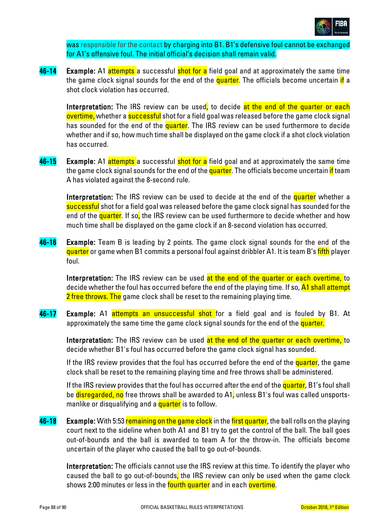

was responsible for the contact by charging into B1. B1's defensive foul cannot be exchanged for A1's offensive foul. The initial official's decision shall remain valid.

46-14 Example: A1 attempts a successful shot for a field goal and at approximately the same time the game clock signal sounds for the end of the **quarter**. The officials become uncertain if a shot clock violation has occurred.

Interpretation: The IRS review can be used, to decide at the end of the quarter or each overtime, whether a successful shot for a field goal was released before the game clock signal has sounded for the end of the *quarter*. The IRS review can be used furthermore to decide whether and if so, how much time shall be displayed on the game clock if a shot clock violation has occurred.

46-15 Example: A1 attempts a successful shot for a field goal and at approximately the same time the game clock signal sounds for the end of the quarter. The officials become uncertain if team A has violated against the 8-second rule.

Interpretation: The IRS review can be used to decide at the end of the quarter whether a successful shot for a field goal was released before the game clock signal has sounded for the end of the quarter. If so, the IRS review can be used furthermore to decide whether and how much time shall be displayed on the game clock if an 8-second violation has occurred.

46-16 Example: Team B is leading by 2 points. The game clock signal sounds for the end of the quarter or game when B1 commits a personal foul against dribbler A1. It is team B's fifth player foul.

Interpretation: The IRS review can be used at the end of the quarter or each overtime, to decide whether the foul has occurred before the end of the playing time. If so, A1 shall attempt **2** free throws. The game clock shall be reset to the remaining playing time.

46-17 Example: A1 attempts an unsuccessful shot for a field goal and is fouled by B1. At approximately the same time the game clock signal sounds for the end of the quarter.

Interpretation: The IRS review can be used at the end of the quarter or each overtime, to decide whether B1's foul has occurred before the game clock signal has sounded.

If the IRS review provides that the foul has occurred before the end of the quarter, the game clock shall be reset to the remaining playing time and free throws shall be administered.

If the IRS review provides that the foul has occurred after the end of the quarter, B1's foul shall be disregarded, no free throws shall be awarded to A1, unless B1's foul was called unsportsmanlike or disqualifying and a quarter is to follow.

46-18 Example: With 5:53 remaining on the game clock in the first quarter, the ball rolls on the playing court next to the sideline when both A1 and B1 try to get the control of the ball. The ball goes out-of-bounds and the ball is awarded to team A for the throw-in. The officials become uncertain of the player who caused the ball to go out-of-bounds.

Interpretation: The officials cannot use the IRS review at this time. To identify the player who caused the ball to go out-of-bounds, the IRS review can only be used when the game clock shows 2:00 minutes or less in the **fourth quarter** and in each overtime.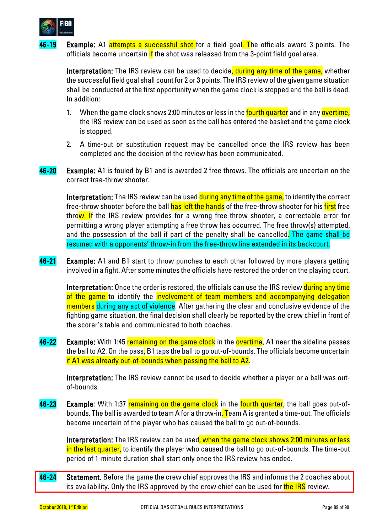

46-19 Example: A1 attempts a successful shot for a field goal. The officials award 3 points. The officials become uncertain if the shot was released from the 3-point field goal area.

Interpretation: The IRS review can be used to decide, during any time of the game, whether the successful field goal shall count for 2 or 3 points. The IRS review of the given game situation shall be conducted at the first opportunity when the game clock is stopped and the ball is dead. In addition:

- 1. When the game clock shows 2:00 minutes or less in the fourth quarter and in any overtime, the IRS review can be used as soon as the ball has entered the basket and the game clock is stopped.
- 2. A time-out or substitution request may be cancelled once the IRS review has been completed and the decision of the review has been communicated.
- 46-20 Example: A1 is fouled by B1 and is awarded 2 free throws. The officials are uncertain on the correct free-throw shooter.

Interpretation: The IRS review can be used during any time of the game, to identify the correct free-throw shooter before the ball has left the hands of the free-throw shooter for his first free throw. If the IRS review provides for a wrong free-throw shooter, a correctable error for permitting a wrong player attempting a free throw has occurred. The free throw(s) attempted, and the possession of the ball if part of the penalty shall be cancelled. The game shall be resumed with a opponents' throw-in from the free-throw line extended in its backcourt.

46-21 Example: A1 and B1 start to throw punches to each other followed by more players getting involved in a fight. After some minutes the officials have restored the order on the playing court.

Interpretation: Once the order is restored, the officials can use the IRS review during any time of the game to identify the involvement of team members and accompanying delegation members during any act of violence. After gathering the clear and conclusive evidence of the fighting game situation, the final decision shall clearly be reported by the crew chief in front of the scorer's table and communicated to both coaches.

46-22 Example: With 1:45 remaining on the game clock in the overtime, A1 near the sideline passes the ball to A2. On the pass, B1 taps the ball to go out-of-bounds. The officials become uncertain if A1 was already out-of-bounds when passing the ball to A2.

Interpretation: The IRS review cannot be used to decide whether a player or a ball was outof-bounds.

46-23 Example: With 1:37 remaining on the game clock in the fourth quarter, the ball goes out-ofbounds. The ball is awarded to team A for a throw-in<mark>. T</mark>eam A is granted a time-out. The officials become uncertain of the player who has caused the ball to go out-of-bounds.

Interpretation: The IRS review can be used, when the game clock shows 2:00 minutes or less in the last quarter, to identify the player who caused the ball to go out-of-bounds. The time-out period of 1-minute duration shall start only once the IRS review has ended.

46-24 Statement. Before the game the crew chief approves the IRS and informs the 2 coaches about its availability. Only the IRS approved by the crew chief can be used for the IRS review.